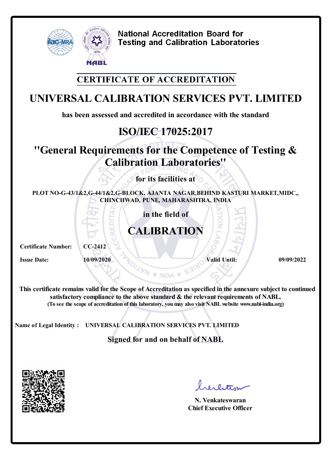

#### **CERTIFICATE OF ACCREDITATION**

### **UNIVERSAL CALIBRATION SERVICES PVT. LIMITED**

**has been assessed and accredited in accordance with the standard**

# **ISO/IEC 17025:2017**

### **''General Requirements for the Competence of Testing & Calibration Laboratories''**

**for its facilities at**

**PLOT NO-G-43/1&2,G-44/1&2,G-BLOCK, AJANTA NAGAR,BEHIND KASTURI MARKET,MIDC,, CHINCHWAD, PUNE, MAHARASHTRA, INDIA**

**in the field of**

# **CALIBRATION**

**Certificate Number: CC-2412**

**Issue Date: 10/09/2020** *Valid Until:* **<b>09/09/2022** *O9/09/2022* 

**This certificate remains valid forthe Scope of Accreditation as specified in the annexure subject to continued satisfactory compliance to the above standard & the relevant requirements of NABL. (To see the scope of accreditation of this laboratory, youmay also visit NABLwebsite www.nabl-india.org)**

**Name of Legal Identity : UNIVERSAL CALIBRATION SERVICES PVT. LIMITED**

**Signed for and on behalf of NABL**



**N. Venkateswaran Chief Executive Officer**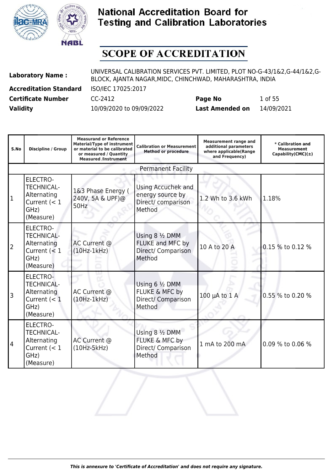



| <b>Laboratory Name:</b>       | UNIVERSAL CALIBRATION SERVICES PVT. LIMITED, PLOT NO-G-43/1&2,G-44/1&2,G-<br>BLOCK, AJANTA NAGAR, MIDC, CHINCHWAD, MAHARASHTRA, INDIA |                        |            |  |
|-------------------------------|---------------------------------------------------------------------------------------------------------------------------------------|------------------------|------------|--|
| <b>Accreditation Standard</b> | ISO/IEC 17025:2017                                                                                                                    |                        |            |  |
| <b>Certificate Number</b>     | CC-2412                                                                                                                               | Page No                | 1 of 55    |  |
| <b>Validity</b>               | 10/09/2020 to 09/09/2022                                                                                                              | <b>Last Amended on</b> | 14/09/2021 |  |

| S.No | Discipline / Group                                                                         | <b>Measurand or Reference</b><br><b>Material/Type of instrument</b><br>or material to be calibrated<br>or measured / Quantity<br><b>Measured /Instrument</b> | <b>Calibration or Measurement</b><br><b>Method or procedure</b>        | <b>Measurement range and</b><br>additional parameters<br>where applicable(Range<br>and Frequency) | * Calibration and<br><b>Measurement</b><br>Capability(CMC) $(\pm)$ |
|------|--------------------------------------------------------------------------------------------|--------------------------------------------------------------------------------------------------------------------------------------------------------------|------------------------------------------------------------------------|---------------------------------------------------------------------------------------------------|--------------------------------------------------------------------|
|      |                                                                                            |                                                                                                                                                              | <b>Permanent Facility</b>                                              |                                                                                                   |                                                                    |
| 1    | <b>ELECTRO-</b><br><b>TECHNICAL-</b><br>Alternating<br>Current $(< 1$<br>GHz)<br>(Measure) | 1&3 Phase Energy (<br>240V, 5A & UPF)@<br>50Hz                                                                                                               | Using Accuchek and<br>energy source by<br>Direct/ comparison<br>Method | 1.2 Wh to 3.6 kWh                                                                                 | 1.18%                                                              |
| 2    | <b>ELECTRO-</b><br><b>TECHNICAL-</b><br>Alternating<br>Current $(< 1$<br>GHz)<br>(Measure) | AC Current @<br>$(10Hz-1kHz)$                                                                                                                                | Using 8 1/2 DMM<br>FLUKE and MFC by<br>Direct/ Comparison<br>Method    | 10 A to 20 A                                                                                      | 0.15 % to 0.12 %                                                   |
| 3    | ELECTRO-<br><b>TECHNICAL-</b><br>Alternating<br>Current $(< 1$<br>GHz)<br>(Measure)        | AC Current @<br>$(10Hz-1kHz)$                                                                                                                                | Using 6 1/2 DMM<br>FLUKE & MFC by<br>Direct/ Comparison<br>Method      | 100 µA to 1 A                                                                                     | 0.55 % to 0.20 %                                                   |
| 14   | <b>ELECTRO-</b><br><b>TECHNICAL-</b><br>Alternating<br>Current $(< 1$<br>GHz)<br>(Measure) | AC Current @<br>$(10Hz-5kHz)$                                                                                                                                | Using 8 1/2 DMM<br>FLUKE & MFC by<br>Direct/ Comparison<br>Method      | 1 mA to 200 mA                                                                                    | 0.09 % to 0.06 %                                                   |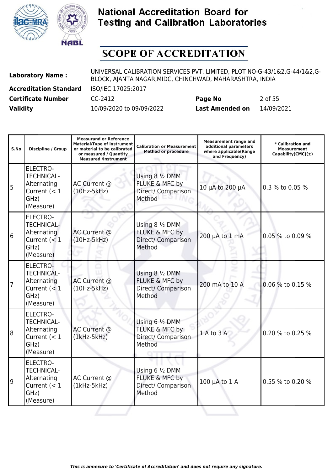



| <b>Laboratory Name:</b>       | UNIVERSAL CALIBRATION SERVICES PVT. LIMITED, PLOT NO-G-43/1&2,G-44/1&2,G-<br>BLOCK, AJANTA NAGAR, MIDC, CHINCHWAD, MAHARASHTRA, INDIA |                        |            |  |
|-------------------------------|---------------------------------------------------------------------------------------------------------------------------------------|------------------------|------------|--|
| <b>Accreditation Standard</b> | ISO/IEC 17025:2017                                                                                                                    |                        |            |  |
| <b>Certificate Number</b>     | CC-2412                                                                                                                               | Page No                | 2 of 55    |  |
| <b>Validity</b>               | 10/09/2020 to 09/09/2022                                                                                                              | <b>Last Amended on</b> | 14/09/2021 |  |

| S.No | <b>Discipline / Group</b>                                                                  | <b>Measurand or Reference</b><br><b>Material/Type of instrument</b><br>or material to be calibrated<br>or measured / Quantity<br><b>Measured /Instrument</b> | <b>Calibration or Measurement</b><br><b>Method or procedure</b>              | <b>Measurement range and</b><br>additional parameters<br>where applicable(Range<br>and Frequency) | * Calibration and<br><b>Measurement</b><br>$Capability(CMC)(\pm)$ |
|------|--------------------------------------------------------------------------------------------|--------------------------------------------------------------------------------------------------------------------------------------------------------------|------------------------------------------------------------------------------|---------------------------------------------------------------------------------------------------|-------------------------------------------------------------------|
| 5    | <b>ELECTRO-</b><br><b>TECHNICAL-</b><br>Alternating<br>Current $(< 1$<br>GHz)<br>(Measure) | AC Current @<br>$(10Hz-5kHz)$                                                                                                                                | Using 8 1/2 DMM<br><b>FLUKE &amp; MFC by</b><br>Direct/ Comparison<br>Method | 10 μA to 200 μA                                                                                   | 0.3 % to 0.05 %                                                   |
| 6    | <b>ELECTRO-</b><br><b>TECHNICAL-</b><br>Alternating<br>Current $(< 1$<br>GHz)<br>(Measure) | AC Current @<br>$(10Hz-5kHz)$                                                                                                                                | Using 8 1/2 DMM<br>FLUKE & MFC by<br>Direct/ Comparison<br>Method            | 200 µA to 1 mA                                                                                    | 0.05 % to 0.09 %                                                  |
| 7    | <b>ELECTRO-</b><br><b>TECHNICAL-</b><br>Alternating<br>Current $(< 1$<br>GHz)<br>(Measure) | AC Current @<br>$(10Hz-5kHz)$                                                                                                                                | Using 8 1/2 DMM<br>FLUKE & MFC by<br>Direct/ Comparison<br>Method            | 200 mA to 10 A                                                                                    | 0.06 % to 0.15 %                                                  |
| 8    | <b>ELECTRO-</b><br><b>TECHNICAL-</b><br>Alternating<br>Current $(< 1$<br>GHz)<br>(Measure) | AC Current @<br>$(1kHz-5kHz)$                                                                                                                                | Using 6 1/2 DMM<br>FLUKE & MFC by<br>Direct/ Comparison<br>Method            | 1 A to 3 A                                                                                        | 0.20 % to 0.25 %                                                  |
| 9    | <b>ELECTRO-</b><br><b>TECHNICAL-</b><br>Alternating<br>Current $(< 1$<br>GHz)<br>(Measure) | AC Current @<br>$(1kHz-5kHz)$                                                                                                                                | Using 6 1/2 DMM<br>FLUKE & MFC by<br>Direct/ Comparison<br>Method            | 100 µA to 1 A                                                                                     | 0.55 % to 0.20 %                                                  |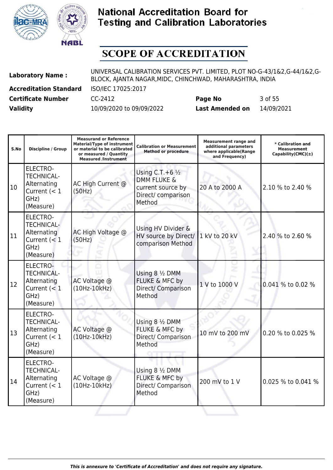



| <b>Laboratory Name:</b>       | UNIVERSAL CALIBRATION SERVICES PVT. LIMITED, PLOT NO-G-43/1&2,G-44/1&2,G-<br>BLOCK, AJANTA NAGAR, MIDC, CHINCHWAD, MAHARASHTRA, INDIA |                        |            |  |
|-------------------------------|---------------------------------------------------------------------------------------------------------------------------------------|------------------------|------------|--|
| <b>Accreditation Standard</b> | ISO/IEC 17025:2017                                                                                                                    |                        |            |  |
| <b>Certificate Number</b>     | CC-2412                                                                                                                               | Page No                | 3 of 55    |  |
| <b>Validity</b>               | 10/09/2020 to 09/09/2022                                                                                                              | <b>Last Amended on</b> | 14/09/2021 |  |

| S.No | <b>Discipline / Group</b>                                                                  | <b>Measurand or Reference</b><br><b>Material/Type of instrument</b><br>or material to be calibrated<br>or measured / Quantity<br><b>Measured /Instrument</b> | <b>Calibration or Measurement</b><br><b>Method or procedure</b>                                            | <b>Measurement range and</b><br>additional parameters<br>where applicable(Range<br>and Frequency) | * Calibration and<br><b>Measurement</b><br>$Capability(CMC)(\pm)$ |
|------|--------------------------------------------------------------------------------------------|--------------------------------------------------------------------------------------------------------------------------------------------------------------|------------------------------------------------------------------------------------------------------------|---------------------------------------------------------------------------------------------------|-------------------------------------------------------------------|
| 10   | <b>ELECTRO-</b><br><b>TECHNICAL-</b><br>Alternating<br>Current $(< 1$<br>GHz)<br>(Measure) | AC High Current @<br>(50Hz)                                                                                                                                  | Using C.T. + $6\frac{1}{2}$<br><b>DMM FLUKE &amp;</b><br>current source by<br>Direct/ comparison<br>Method | 20 A to 2000 A                                                                                    | 2.10 % to 2.40 %                                                  |
| 11   | <b>ELECTRO-</b><br><b>TECHNICAL-</b><br>Alternating<br>Current $(< 1$<br>GHz)<br>(Measure) | AC High Voltage @<br>(50Hz)                                                                                                                                  | Using HV Divider &<br>HV source by Direct/<br>comparison Method                                            | 1 kV to 20 kV                                                                                     | 2.40 % to 2.60 %                                                  |
| 12   | <b>ELECTRO-</b><br><b>TECHNICAL-</b><br>Alternating<br>Current $(< 1$<br>GHz)<br>(Measure) | AC Voltage @<br>$(10Hz-10kHz)$                                                                                                                               | Using 8 1/2 DMM<br>FLUKE & MFC by<br>Direct/ Comparison<br>Method                                          | 1 V to 1000 V                                                                                     | 0.041 % to 0.02 %                                                 |
| 13   | <b>ELECTRO-</b><br><b>TECHNICAL-</b><br>Alternating<br>Current $(< 1$<br>GHz)<br>(Measure) | AC Voltage @<br>$(10Hz-10kHz)$                                                                                                                               | Using 8 1/2 DMM<br>FLUKE & MFC by<br>Direct/ Comparison<br>Method                                          | 10 mV to 200 mV                                                                                   | 0.20 % to 0.025 %                                                 |
| 14   | <b>ELECTRO-</b><br><b>TECHNICAL-</b><br>Alternating<br>Current $(< 1$<br>GHz)<br>(Measure) | AC Voltage @<br>$(10Hz-10kHz)$                                                                                                                               | Using 8 1/2 DMM<br>FLUKE & MFC by<br>Direct/ Comparison<br>Method                                          | 200 mV to 1 V                                                                                     | 0.025 % to 0.041 %                                                |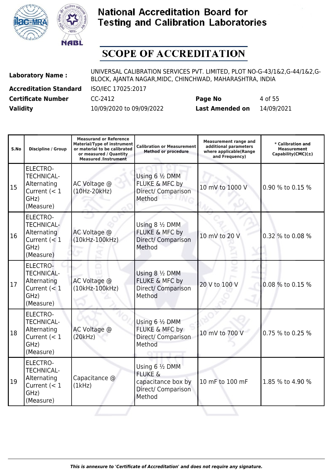



| <b>Laboratory Name:</b>       | UNIVERSAL CALIBRATION SERVICES PVT. LIMITED, PLOT NO-G-43/1&2,G-44/1&2,G-<br>BLOCK, AJANTA NAGAR, MIDC, CHINCHWAD, MAHARASHTRA, INDIA |                        |            |  |
|-------------------------------|---------------------------------------------------------------------------------------------------------------------------------------|------------------------|------------|--|
| <b>Accreditation Standard</b> | ISO/IEC 17025:2017                                                                                                                    |                        |            |  |
| <b>Certificate Number</b>     | CC-2412                                                                                                                               | Page No                | 4 of 55    |  |
| <b>Validity</b>               | 10/09/2020 to 09/09/2022                                                                                                              | <b>Last Amended on</b> | 14/09/2021 |  |

| S.No | <b>Discipline / Group</b>                                                                  | <b>Measurand or Reference</b><br><b>Material/Type of instrument</b><br>or material to be calibrated<br>or measured / Quantity<br><b>Measured /Instrument</b> | <b>Calibration or Measurement</b><br><b>Method or procedure</b>                             | <b>Measurement range and</b><br>additional parameters<br>where applicable(Range<br>and Frequency) | * Calibration and<br><b>Measurement</b><br>Capability(CMC) $(\pm)$ |
|------|--------------------------------------------------------------------------------------------|--------------------------------------------------------------------------------------------------------------------------------------------------------------|---------------------------------------------------------------------------------------------|---------------------------------------------------------------------------------------------------|--------------------------------------------------------------------|
| 15   | <b>ELECTRO-</b><br><b>TECHNICAL-</b><br>Alternating<br>Current $(< 1$<br>GHz)<br>(Measure) | AC Voltage @<br>(10Hz-20kHz)                                                                                                                                 | Using 6 1/2 DMM<br>FLUKE & MFC by<br>Direct/ Comparison<br>Method                           | 10 mV to 1000 V                                                                                   | 0.90 % to 0.15 %                                                   |
| 16   | <b>ELECTRO-</b><br><b>TECHNICAL-</b><br>Alternating<br>Current $(< 1$<br>GHz)<br>(Measure) | AC Voltage @<br>(10kHz-100kHz)                                                                                                                               | Using 8 1/2 DMM<br>FLUKE & MFC by<br>Direct/ Comparison<br>Method                           | 10 mV to 20 V                                                                                     | 0.32 % to 0.08 %                                                   |
| 17   | <b>ELECTRO-</b><br><b>TECHNICAL-</b><br>Alternating<br>Current $(< 1$<br>GHz)<br>(Measure) | AC Voltage @<br>(10kHz-100kHz)                                                                                                                               | Using $8\frac{1}{2}$ DMM<br>FLUKE & MFC by<br>Direct/ Comparison<br>Method                  | 20 V to 100 V                                                                                     | 0.08 % to 0.15 %                                                   |
| 18   | <b>ELECTRO-</b><br><b>TECHNICAL-</b><br>Alternating<br>Current $(< 1$<br>GHz)<br>(Measure) | AC Voltage @<br>(20kHz)                                                                                                                                      | Using 6 1/2 DMM<br>FLUKE & MFC by<br>Direct/ Comparison<br>Method                           | 10 mV to 700 V                                                                                    | 0.75 % to 0.25 %                                                   |
| 19   | <b>ELECTRO-</b><br><b>TECHNICAL-</b><br>Alternating<br>Current $(< 1$<br>GHz)<br>(Measure) | Capacitance @<br>(1kHz)                                                                                                                                      | Using 6 1/2 DMM<br><b>FLUKE &amp;</b><br>capacitance box by<br>Direct/ Comparison<br>Method | 10 mF to 100 mF                                                                                   | 1.85 % to 4.90 %                                                   |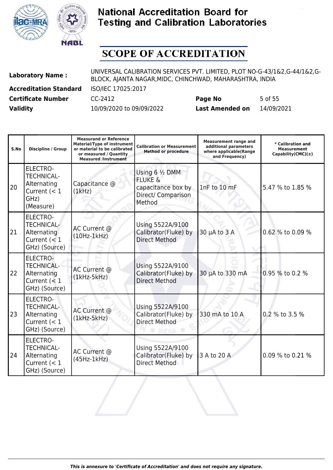



| <b>Laboratory Name:</b>       | UNIVERSAL CALIBRATION SERVICES PVT. LIMITED, PLOT NO-G-43/1&2,G-44/1&2,G-<br>BLOCK, AJANTA NAGAR, MIDC, CHINCHWAD, MAHARASHTRA, INDIA |                        |            |  |
|-------------------------------|---------------------------------------------------------------------------------------------------------------------------------------|------------------------|------------|--|
| <b>Accreditation Standard</b> | ISO/IEC 17025:2017                                                                                                                    |                        |            |  |
| <b>Certificate Number</b>     | CC-2412                                                                                                                               | Page No                | 5 of 55    |  |
| <b>Validity</b>               | 10/09/2020 to 09/09/2022                                                                                                              | <b>Last Amended on</b> | 14/09/2021 |  |

| S.No | <b>Discipline / Group</b>                                                                  | <b>Measurand or Reference</b><br><b>Material/Type of instrument</b><br>or material to be calibrated<br>or measured / Quantity<br><b>Measured /Instrument</b> | <b>Calibration or Measurement</b><br><b>Method or procedure</b>                                      | <b>Measurement range and</b><br>additional parameters<br>where applicable(Range<br>and Frequency) | * Calibration and<br><b>Measurement</b><br>Capability(CMC) $(\pm)$ |
|------|--------------------------------------------------------------------------------------------|--------------------------------------------------------------------------------------------------------------------------------------------------------------|------------------------------------------------------------------------------------------------------|---------------------------------------------------------------------------------------------------|--------------------------------------------------------------------|
| 20   | <b>ELECTRO-</b><br><b>TECHNICAL-</b><br>Alternating<br>Current $(< 1$<br>GHz)<br>(Measure) | Capacitance @<br>(1kHz)                                                                                                                                      | Using $6\frac{1}{2}$ DMM<br><b>FLUKE &amp;</b><br>capacitance box by<br>Direct/ Comparison<br>Method | 1nF to 10 mF                                                                                      | 5.47 % to 1.85 %                                                   |
| 21   | <b>ELECTRO-</b><br><b>TECHNICAL-</b><br>Alternating<br>Current $(< 1$<br>GHz) (Source)     | AC Current @<br>$(10Hz-1kHz)$                                                                                                                                | Using 5522A/9100<br>Calibrator(Fluke) by<br><b>Direct Method</b>                                     | 30 µA to 3 A                                                                                      | 0.62 % to 0.09 %                                                   |
| 22   | ELECTRO-<br><b>TECHNICAL-</b><br>Alternating<br>Current $(< 1$<br>GHz) (Source)            | AC Current @<br>$(1kHz-5kHz)$                                                                                                                                | Using 5522A/9100<br>Calibrator(Fluke) by<br><b>Direct Method</b>                                     | 30 µA to 330 mA                                                                                   | 0.95 % to 0.2 %                                                    |
| 23   | <b>ELECTRO-</b><br><b>TECHNICAL-</b><br>Alternating<br>Current $(< 1$<br>GHz) (Source)     | AC Current @<br>$(1kHz-5kHz)$                                                                                                                                | Using 5522A/9100<br>Calibrator(Fluke) by<br><b>Direct Method</b>                                     | 330 mA to 10 A                                                                                    | 0.2 % to 3.5 %                                                     |
| 24   | <b>ELECTRO-</b><br><b>TECHNICAL-</b><br>Alternating<br>Current $(< 1$<br>GHz) (Source)     | AC Current @<br>$(45Hz-1kHz)$                                                                                                                                | Using 5522A/9100<br>Calibrator(Fluke) by<br><b>Direct Method</b>                                     | 3 A to 20 A                                                                                       | 0.09 % to 0.21 %                                                   |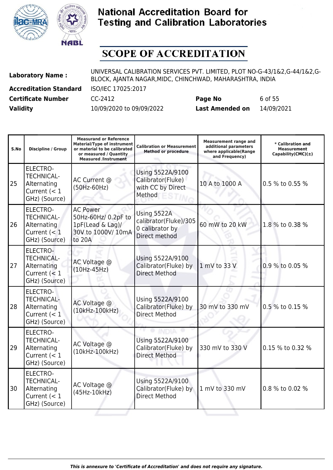



| <b>Laboratory Name:</b>       | UNIVERSAL CALIBRATION SERVICES PVT. LIMITED, PLOT NO-G-43/1&2,G-44/1&2,G-<br>BLOCK, AJANTA NAGAR, MIDC, CHINCHWAD, MAHARASHTRA, INDIA |                        |            |  |
|-------------------------------|---------------------------------------------------------------------------------------------------------------------------------------|------------------------|------------|--|
| <b>Accreditation Standard</b> | ISO/IEC 17025:2017                                                                                                                    |                        |            |  |
| <b>Certificate Number</b>     | CC-2412                                                                                                                               | Page No                | 6 of 55    |  |
| <b>Validity</b>               | 10/09/2020 to 09/09/2022                                                                                                              | <b>Last Amended on</b> | 14/09/2021 |  |

| S.No | <b>Discipline / Group</b>                                                              | <b>Measurand or Reference</b><br><b>Material/Type of instrument</b><br>or material to be calibrated<br>or measured / Quantity<br><b>Measured /Instrument</b> | <b>Calibration or Measurement</b><br><b>Method or procedure</b>          | <b>Measurement range and</b><br>additional parameters<br>where applicable(Range<br>and Frequency) | * Calibration and<br><b>Measurement</b><br>Capability(CMC) $(\pm)$ |
|------|----------------------------------------------------------------------------------------|--------------------------------------------------------------------------------------------------------------------------------------------------------------|--------------------------------------------------------------------------|---------------------------------------------------------------------------------------------------|--------------------------------------------------------------------|
| 25   | <b>ELECTRO-</b><br><b>TECHNICAL-</b><br>Alternating<br>Current $(< 1$<br>GHz) (Source) | AC Current @<br>(50Hz-60Hz)                                                                                                                                  | Using 5522A/9100<br>Calibrator(Fluke)<br>with CC by Direct<br>Method     | 10 A to 1000 A                                                                                    | 0.5 % to 0.55 %                                                    |
| 26   | <b>ELECTRO-</b><br><b>TECHNICAL-</b><br>Alternating<br>Current $(< 1$<br>GHz) (Source) | <b>AC Power</b><br>50Hz-60Hz/ 0.2pF to<br>1pF(Lead & Lag)/<br>30V to 1000V/ 10mA<br>to 20A                                                                   | Using 5522A<br>calibrator(Fluke)/305<br>0 calibrator by<br>Direct method | 60 mW to 20 kW                                                                                    | 1.8 % to 0.38 %                                                    |
| 27   | <b>ELECTRO-</b><br><b>TECHNICAL-</b><br>Alternating<br>Current $(< 1$<br>GHz) (Source) | AC Voltage @<br>$(10Hz-45Hz)$                                                                                                                                | Using 5522A/9100<br>Calibrator(Fluke) by<br><b>Direct Method</b>         | 1 mV to 33 V                                                                                      | 0.9 % to 0.05 %                                                    |
| 28   | ELECTRO-<br><b>TECHNICAL-</b><br>Alternating<br>Current $(< 1$<br>GHz) (Source)        | AC Voltage @<br>(10kHz-100kHz)                                                                                                                               | Using 5522A/9100<br>Calibrator(Fluke) by<br><b>Direct Method</b>         | 30 mV to 330 mV                                                                                   | 0.5 % to 0.15 %                                                    |
| 29   | <b>ELECTRO-</b><br><b>TECHNICAL-</b><br>Alternating<br>Current $(< 1$<br>GHz) (Source) | AC Voltage @<br>(10kHz-100kHz)                                                                                                                               | Using 5522A/9100<br>Calibrator(Fluke) by<br><b>Direct Method</b>         | 330 mV to 330 V                                                                                   | 0.15 % to 0.32 %                                                   |
| 30   | ELECTRO-<br><b>TECHNICAL-</b><br>Alternating<br>Current $(< 1$<br>GHz) (Source)        | AC Voltage @<br>(45Hz-10kHz)                                                                                                                                 | Using 5522A/9100<br>Calibrator(Fluke) by<br><b>Direct Method</b>         | 1 mV to 330 mV                                                                                    | 0.8 % to 0.02 %                                                    |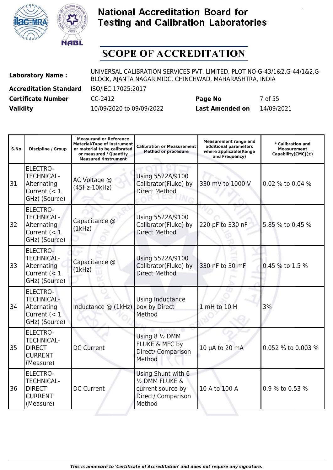



| <b>Laboratory Name:</b>       | UNIVERSAL CALIBRATION SERVICES PVT. LIMITED, PLOT NO-G-43/1&2,G-44/1&2,G-<br>BLOCK, AJANTA NAGAR, MIDC, CHINCHWAD, MAHARASHTRA, INDIA |                        |            |  |
|-------------------------------|---------------------------------------------------------------------------------------------------------------------------------------|------------------------|------------|--|
| <b>Accreditation Standard</b> | ISO/IEC 17025:2017                                                                                                                    |                        |            |  |
| <b>Certificate Number</b>     | CC-2412                                                                                                                               | Page No                | 7 of 55    |  |
| <b>Validity</b>               | 10/09/2020 to 09/09/2022                                                                                                              | <b>Last Amended on</b> | 14/09/2021 |  |

| S.No | <b>Discipline / Group</b>                                                              | <b>Measurand or Reference</b><br><b>Material/Type of instrument</b><br>or material to be calibrated<br>or measured / Quantity<br><b>Measured /Instrument</b> | <b>Calibration or Measurement</b><br><b>Method or procedure</b>                            | <b>Measurement range and</b><br>additional parameters<br>where applicable(Range<br>and Frequency) | * Calibration and<br><b>Measurement</b><br>$Capability(CMC)(\pm)$ |
|------|----------------------------------------------------------------------------------------|--------------------------------------------------------------------------------------------------------------------------------------------------------------|--------------------------------------------------------------------------------------------|---------------------------------------------------------------------------------------------------|-------------------------------------------------------------------|
| 31   | <b>ELECTRO-</b><br><b>TECHNICAL-</b><br>Alternating<br>Current $(< 1$<br>GHz) (Source) | AC Voltage @<br>(45Hz-10kHz)                                                                                                                                 | Using 5522A/9100<br>Calibrator(Fluke) by<br><b>Direct Method</b>                           | 330 mV to 1000 V                                                                                  | 0.02 % to 0.04 %                                                  |
| 32   | <b>ELECTRO-</b><br><b>TECHNICAL-</b><br>Alternating<br>Current $(< 1$<br>GHz) (Source) | Capacitance @<br>(1kHz)                                                                                                                                      | Using 5522A/9100<br>Calibrator(Fluke) by<br><b>Direct Method</b>                           | 220 pF to 330 nF                                                                                  | 5.85 % to 0.45 %                                                  |
| 33   | ELECTRO-<br><b>TECHNICAL-</b><br>Alternating<br>Current $(< 1$<br>GHz) (Source)        | Capacitance @<br>(1kHz)                                                                                                                                      | Using 5522A/9100<br>Calibrator(Fluke) by<br><b>Direct Method</b>                           | 330 nF to 30 mF                                                                                   | 0.45 % to 1.5 %                                                   |
| 34   | ELECTRO-<br><b>TECHNICAL-</b><br>Alternating<br>Current $(< 1$<br>GHz) (Source)        | Inductance @ (1kHz)                                                                                                                                          | Using Inductance<br>box by Direct<br>Method                                                | 1 mH to 10 H                                                                                      | 3%                                                                |
| 35   | <b>ELECTRO-</b><br><b>TECHNICAL-</b><br><b>DIRECT</b><br><b>CURRENT</b><br>(Measure)   | <b>DC Current</b>                                                                                                                                            | Using 8 1/2 DMM<br>FLUKE & MFC by<br>Direct/ Comparison<br>Method                          | 10 µA to 20 mA                                                                                    | 0.052 % to 0.003 %                                                |
| 36   | <b>ELECTRO-</b><br><b>TECHNICAL-</b><br><b>DIRECT</b><br><b>CURRENT</b><br>(Measure)   | <b>DC Current</b>                                                                                                                                            | Using Shunt with 6<br>1/2 DMM FLUKE &<br>current source by<br>Direct/ Comparison<br>Method | 10 A to 100 A                                                                                     | 0.9 % to 0.53 %                                                   |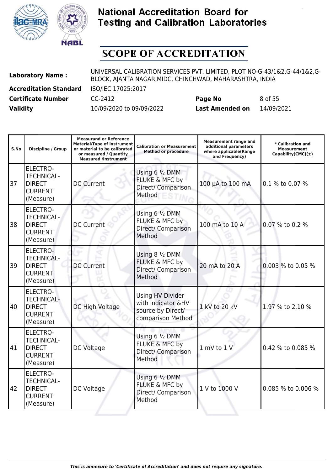



| <b>Laboratory Name:</b>       | UNIVERSAL CALIBRATION SERVICES PVT. LIMITED, PLOT NO-G-43/1&2,G-44/1&2,G-<br>BLOCK, AJANTA NAGAR, MIDC, CHINCHWAD, MAHARASHTRA, INDIA |                        |            |  |
|-------------------------------|---------------------------------------------------------------------------------------------------------------------------------------|------------------------|------------|--|
| <b>Accreditation Standard</b> | ISO/IEC 17025:2017                                                                                                                    |                        |            |  |
| <b>Certificate Number</b>     | CC-2412                                                                                                                               | Page No                | 8 of 55    |  |
| <b>Validity</b>               | 10/09/2020 to 09/09/2022                                                                                                              | <b>Last Amended on</b> | 14/09/2021 |  |

| S.No | <b>Discipline / Group</b>                                                            | <b>Measurand or Reference</b><br><b>Material/Type of instrument</b><br>or material to be calibrated<br>or measured / Quantity<br><b>Measured /Instrument</b> | <b>Calibration or Measurement</b><br><b>Method or procedure</b>                         | <b>Measurement range and</b><br>additional parameters<br>where applicable(Range<br>and Frequency) | * Calibration and<br><b>Measurement</b><br>Capability(CMC) $(\pm)$ |
|------|--------------------------------------------------------------------------------------|--------------------------------------------------------------------------------------------------------------------------------------------------------------|-----------------------------------------------------------------------------------------|---------------------------------------------------------------------------------------------------|--------------------------------------------------------------------|
| 37   | <b>ELECTRO-</b><br><b>TECHNICAL-</b><br><b>DIRECT</b><br><b>CURRENT</b><br>(Measure) | <b>DC Current</b>                                                                                                                                            | Using 6 1/2 DMM<br>FLUKE & MFC by<br>Direct/ Comparison<br>Method                       | 100 µA to 100 mA                                                                                  | 0.1 % to 0.07 %                                                    |
| 38   | <b>ELECTRO-</b><br><b>TECHNICAL-</b><br><b>DIRECT</b><br><b>CURRENT</b><br>(Measure) | <b>DC Current</b>                                                                                                                                            | Using 6 1/2 DMM<br>FLUKE & MFC by<br>Direct/ Comparison<br>Method                       | 100 mA to 10 A                                                                                    | 0.07 % to 0.2 %                                                    |
| 39   | ELECTRO-<br><b>TECHNICAL-</b><br><b>DIRECT</b><br><b>CURRENT</b><br>(Measure)        | <b>DC Current</b>                                                                                                                                            | Using 8 1/2 DMM<br>FLUKE & MFC by<br>Direct/ Comparison<br>Method                       | 20 mA to 20 A                                                                                     | 0.003 % to 0.05 %                                                  |
| 40   | <b>ELECTRO-</b><br><b>TECHNICAL-</b><br><b>DIRECT</b><br><b>CURRENT</b><br>(Measure) | DC High Voltage                                                                                                                                              | <b>Using HV Divider</b><br>with indicator &HV<br>source by Direct/<br>comparison Method | 1 kV to 20 kV                                                                                     | 1.97 % to 2.10 %                                                   |
| 41   | <b>ELECTRO-</b><br><b>TECHNICAL-</b><br><b>DIRECT</b><br><b>CURRENT</b><br>(Measure) | DC Voltage                                                                                                                                                   | Using 6 1/2 DMM<br>FLUKE & MFC by<br>Direct/ Comparison<br>Method                       | 1 mV to 1 V                                                                                       | 0.42 % to 0.085 %                                                  |
| 42   | <b>ELECTRO-</b><br><b>TECHNICAL-</b><br><b>DIRECT</b><br><b>CURRENT</b><br>(Measure) | DC Voltage                                                                                                                                                   | Using 6 1/2 DMM<br>FLUKE & MFC by<br>Direct/ Comparison<br>Method                       | 1 V to 1000 V                                                                                     | 0.085 % to 0.006 %                                                 |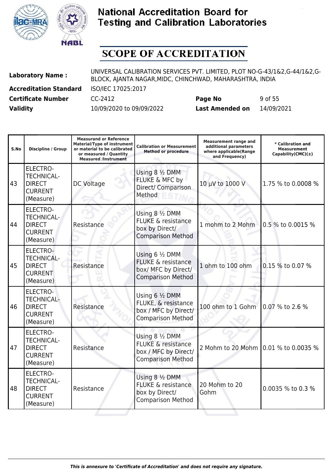



| <b>Laboratory Name:</b>       | UNIVERSAL CALIBRATION SERVICES PVT. LIMITED, PLOT NO-G-43/1&2,G-44/1&2,G-<br>BLOCK, AJANTA NAGAR, MIDC, CHINCHWAD, MAHARASHTRA, INDIA |                        |            |  |
|-------------------------------|---------------------------------------------------------------------------------------------------------------------------------------|------------------------|------------|--|
| <b>Accreditation Standard</b> | ISO/IEC 17025:2017                                                                                                                    |                        |            |  |
| <b>Certificate Number</b>     | CC-2412                                                                                                                               | Page No                | 9 of 55    |  |
| <b>Validity</b>               | 10/09/2020 to 09/09/2022                                                                                                              | <b>Last Amended on</b> | 14/09/2021 |  |

| S.No | <b>Discipline / Group</b>                                                            | <b>Measurand or Reference</b><br><b>Material/Type of instrument</b><br>or material to be calibrated<br>or measured / Quantity<br><b>Measured /Instrument</b> | <b>Calibration or Measurement</b><br><b>Method or procedure</b>                                      | <b>Measurement range and</b><br>additional parameters<br>where applicable(Range<br>and Frequency) | * Calibration and<br><b>Measurement</b><br>Capability(CMC) $(\pm)$ |
|------|--------------------------------------------------------------------------------------|--------------------------------------------------------------------------------------------------------------------------------------------------------------|------------------------------------------------------------------------------------------------------|---------------------------------------------------------------------------------------------------|--------------------------------------------------------------------|
| 43   | <b>ELECTRO-</b><br><b>TECHNICAL-</b><br><b>DIRECT</b><br><b>CURRENT</b><br>(Measure) | <b>DC Voltage</b>                                                                                                                                            | Using 8 1/2 DMM<br>FLUKE & MFC by<br>Direct/ Comparison<br>Method                                    | 10 μV to 1000 V                                                                                   | 1.75 % to 0.0008 %                                                 |
| 44   | <b>ELECTRO-</b><br><b>TECHNICAL-</b><br><b>DIRECT</b><br><b>CURRENT</b><br>(Measure) | Resistance                                                                                                                                                   | Using 8 1/2 DMM<br><b>FLUKE &amp; resistance</b><br>box by Direct/<br><b>Comparison Method</b>       | 1 mohm to 2 Mohm                                                                                  | 0.5 % to 0.0015 %                                                  |
| 45   | ELECTRO-<br><b>TECHNICAL-</b><br><b>DIRECT</b><br><b>CURRENT</b><br>(Measure)        | Resistance                                                                                                                                                   | Using 6 1/2 DMM<br><b>FLUKE &amp; resistance</b><br>box/ MFC by Direct/<br><b>Comparison Method</b>  | 1 ohm to 100 ohm                                                                                  | 0.15 % to 0.07 %                                                   |
| 46   | <b>ELECTRO-</b><br><b>TECHNICAL-</b><br><b>DIRECT</b><br><b>CURRENT</b><br>(Measure) | Resistance                                                                                                                                                   | Using 6 1/2 DMM<br>FLUKE, & resistance<br>box / MFC by Direct/<br><b>Comparison Method</b>           | 100 ohm to 1 Gohm                                                                                 | 0.07 % to 2.6 %                                                    |
| 47   | <b>ELECTRO-</b><br><b>TECHNICAL-</b><br><b>DIRECT</b><br><b>CURRENT</b><br>(Measure) | Resistance                                                                                                                                                   | Using 8 1/2 DMM<br><b>FLUKE &amp; resistance</b><br>box / MFC by Direct/<br><b>Comparison Method</b> | 2 Mohm to 20 Mohm 0.01 % to 0.0035 %                                                              |                                                                    |
| 48   | <b>ELECTRO-</b><br><b>TECHNICAL-</b><br><b>DIRECT</b><br><b>CURRENT</b><br>(Measure) | Resistance                                                                                                                                                   | Using 8 1/2 DMM<br><b>FLUKE &amp; resistance</b><br>box by Direct/<br><b>Comparison Method</b>       | 20 Mohm to 20<br>Gohm                                                                             | 0.0035 % to 0.3 %                                                  |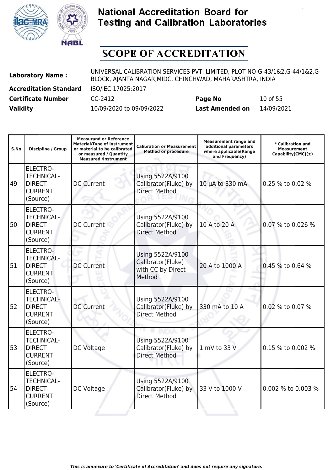



| <b>Laboratory Name:</b>       | UNIVERSAL CALIBRATION SERVICES PVT. LIMITED, PLOT NO-G-43/1&2,G-44/1&2,G-<br>BLOCK, AJANTA NAGAR, MIDC, CHINCHWAD, MAHARASHTRA, INDIA |                        |            |  |
|-------------------------------|---------------------------------------------------------------------------------------------------------------------------------------|------------------------|------------|--|
| <b>Accreditation Standard</b> | ISO/IEC 17025:2017                                                                                                                    |                        |            |  |
| <b>Certificate Number</b>     | CC-2412                                                                                                                               | Page No                | 10 of 55   |  |
| <b>Validity</b>               | 10/09/2020 to 09/09/2022                                                                                                              | <b>Last Amended on</b> | 14/09/2021 |  |

| S.No | <b>Discipline / Group</b>                                                           | <b>Measurand or Reference</b><br><b>Material/Type of instrument</b><br>or material to be calibrated<br>or measured / Quantity<br><b>Measured /Instrument</b> | <b>Calibration or Measurement</b><br><b>Method or procedure</b>      | <b>Measurement range and</b><br>additional parameters<br>where applicable(Range<br>and Frequency) | * Calibration and<br><b>Measurement</b><br>Capability(CMC) $(\pm)$ |
|------|-------------------------------------------------------------------------------------|--------------------------------------------------------------------------------------------------------------------------------------------------------------|----------------------------------------------------------------------|---------------------------------------------------------------------------------------------------|--------------------------------------------------------------------|
| 49   | <b>ELECTRO-</b><br><b>TECHNICAL-</b><br><b>DIRECT</b><br><b>CURRENT</b><br>(Source) | <b>DC Current</b>                                                                                                                                            | Using 5522A/9100<br>Calibrator(Fluke) by<br><b>Direct Method</b>     | 10 µA to 330 mA                                                                                   | 0.25 % to 0.02 %                                                   |
| 50   | <b>ELECTRO-</b><br><b>TECHNICAL-</b><br><b>DIRECT</b><br><b>CURRENT</b><br>(Source) | <b>DC Current</b>                                                                                                                                            | Using 5522A/9100<br>Calibrator(Fluke) by<br><b>Direct Method</b>     | 10 A to 20 A                                                                                      | 0.07 % to 0.026 %                                                  |
| 51   | <b>ELECTRO-</b><br><b>TECHNICAL-</b><br><b>DIRECT</b><br><b>CURRENT</b><br>(Source) | <b>DC Current</b>                                                                                                                                            | Using 5522A/9100<br>Calibrator(Fluke)<br>with CC by Direct<br>Method | 20 A to 1000 A                                                                                    | 0.45 % to 0.64 %                                                   |
| 52   | <b>ELECTRO-</b><br><b>TECHNICAL-</b><br><b>DIRECT</b><br><b>CURRENT</b><br>(Source) | <b>DC Current</b>                                                                                                                                            | Using 5522A/9100<br>Calibrator(Fluke) by<br><b>Direct Method</b>     | 330 mA to 10 A                                                                                    | 0.02 % to 0.07 %                                                   |
| 53   | <b>ELECTRO-</b><br><b>TECHNICAL-</b><br><b>DIRECT</b><br><b>CURRENT</b><br>(Source) | DC Voltage                                                                                                                                                   | Using 5522A/9100<br>Calibrator(Fluke) by<br><b>Direct Method</b>     | 1 mV to 33 V                                                                                      | 0.15 % to 0.002 %                                                  |
| 54   | <b>ELECTRO-</b><br><b>TECHNICAL-</b><br><b>DIRECT</b><br><b>CURRENT</b><br>(Source) | DC Voltage                                                                                                                                                   | Using 5522A/9100<br>Calibrator(Fluke) by<br><b>Direct Method</b>     | 33 V to 1000 V                                                                                    | 0.002 % to 0.003 %                                                 |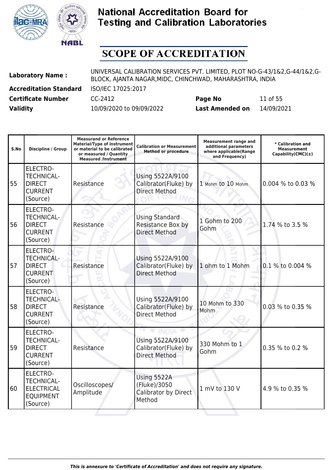



| <b>Laboratory Name:</b>       | UNIVERSAL CALIBRATION SERVICES PVT. LIMITED, PLOT NO-G-43/1&2,G-44/1&2,G-<br>BLOCK, AJANTA NAGAR, MIDC, CHINCHWAD, MAHARASHTRA, INDIA |                        |            |  |
|-------------------------------|---------------------------------------------------------------------------------------------------------------------------------------|------------------------|------------|--|
| <b>Accreditation Standard</b> | ISO/IEC 17025:2017                                                                                                                    |                        |            |  |
| <b>Certificate Number</b>     | CC-2412                                                                                                                               | Page No                | 11 of 55   |  |
| <b>Validity</b>               | 10/09/2020 to 09/09/2022                                                                                                              | <b>Last Amended on</b> | 14/09/2021 |  |

| S.No | <b>Discipline / Group</b>                                                           | <b>Measurand or Reference</b><br><b>Material/Type of instrument</b><br>or material to be calibrated<br>or measured / Quantity<br><b>Measured /Instrument</b> | <b>Calibration or Measurement</b><br><b>Method or procedure</b>    | <b>Measurement range and</b><br>additional parameters<br>where applicable(Range<br>and Frequency) | * Calibration and<br><b>Measurement</b><br>Capability(CMC) $(\pm)$ |
|------|-------------------------------------------------------------------------------------|--------------------------------------------------------------------------------------------------------------------------------------------------------------|--------------------------------------------------------------------|---------------------------------------------------------------------------------------------------|--------------------------------------------------------------------|
| 55   | <b>ELECTRO-</b><br><b>TECHNICAL-</b><br><b>DIRECT</b><br><b>CURRENT</b><br>(Source) | Resistance                                                                                                                                                   | Using 5522A/9100<br>Calibrator(Fluke) by<br><b>Direct Method</b>   | 1 Mohm to 10 Mohm                                                                                 | 0.004 % to 0.03 %                                                  |
| 56   | <b>ELECTRO-</b><br><b>TECHNICAL-</b><br><b>DIRECT</b><br><b>CURRENT</b><br>(Source) | Resistance                                                                                                                                                   | <b>Using Standard</b><br>Resistance Box by<br><b>Direct Method</b> | 1 Gohm to 200<br>Gohm                                                                             | 1.74 % to 3.5 %                                                    |
| 57   | <b>ELECTRO-</b><br><b>TECHNICAL-</b><br><b>DIRECT</b><br><b>CURRENT</b><br>(Source) | Resistance                                                                                                                                                   | Using 5522A/9100<br>Calibrator(Fluke) by<br><b>Direct Method</b>   | 1 ohm to 1 Mohm                                                                                   | 0.1 % to 0.004 %                                                   |
| 58   | ELECTRO-<br><b>TECHNICAL-</b><br><b>DIRECT</b><br><b>CURRENT</b><br>(Source)        | Resistance                                                                                                                                                   | Using 5522A/9100<br>Calibrator(Fluke) by<br><b>Direct Method</b>   | 10 Mohm to 330<br>Mohm                                                                            | 0.03 % to 0.35 %                                                   |
| 59   | <b>ELECTRO-</b><br><b>TECHNICAL-</b><br><b>DIRECT</b><br><b>CURRENT</b><br>(Source) | Resistance                                                                                                                                                   | Using 5522A/9100<br>Calibrator(Fluke) by<br><b>Direct Method</b>   | 330 Mohm to 1<br>Gohm                                                                             | 0.35 % to 0.2 %                                                    |
| 160  | ELECTRO-<br><b>TECHNICAL-</b><br><b>ELECTRICAL</b><br><b>EQUIPMENT</b><br>(Source)  | Oscilloscopes/<br>Amplitude                                                                                                                                  | Using 5522A<br>(Fluke)/3050<br>Calibrator by Direct<br>Method      | 1 mV to 130 V                                                                                     | 4.9 % to 0.35 %                                                    |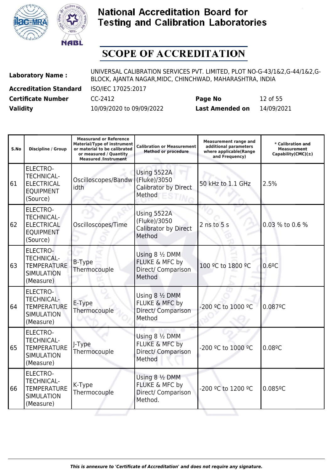



| <b>Laboratory Name:</b>       | UNIVERSAL CALIBRATION SERVICES PVT. LIMITED, PLOT NO-G-43/1&2,G-44/1&2,G-<br>BLOCK, AJANTA NAGAR, MIDC, CHINCHWAD, MAHARASHTRA, INDIA |                        |            |  |
|-------------------------------|---------------------------------------------------------------------------------------------------------------------------------------|------------------------|------------|--|
| <b>Accreditation Standard</b> | ISO/IEC 17025:2017                                                                                                                    |                        |            |  |
| <b>Certificate Number</b>     | CC-2412                                                                                                                               | Page No                | 12 of 55   |  |
| <b>Validity</b>               | 10/09/2020 to 09/09/2022                                                                                                              | <b>Last Amended on</b> | 14/09/2021 |  |

| S.No | <b>Discipline / Group</b>                                                                    | <b>Measurand or Reference</b><br><b>Material/Type of instrument</b><br>or material to be calibrated<br>or measured / Quantity<br><b>Measured /Instrument</b> | <b>Calibration or Measurement</b><br><b>Method or procedure</b>      | <b>Measurement range and</b><br>additional parameters<br>where applicable(Range<br>and Frequency) | * Calibration and<br>Measurement<br>Capability(CMC) $(\pm)$ |
|------|----------------------------------------------------------------------------------------------|--------------------------------------------------------------------------------------------------------------------------------------------------------------|----------------------------------------------------------------------|---------------------------------------------------------------------------------------------------|-------------------------------------------------------------|
| 61   | <b>ELECTRO-</b><br><b>TECHNICAL-</b><br><b>ELECTRICAL</b><br><b>EQUIPMENT</b><br>(Source)    | Oscilloscopes/Bandw<br>idth                                                                                                                                  | Using 5522A<br>(Fluke)/3050<br>Calibrator by Direct<br>Method        | 50 kHz to 1.1 GHz                                                                                 | 2.5%                                                        |
| 62   | <b>ELECTRO-</b><br><b>TECHNICAL-</b><br><b>ELECTRICAL</b><br><b>EQUIPMENT</b><br>(Source)    | Oscilloscopes/Time                                                                                                                                           | Using 5522A<br>(Fluke)/3050<br><b>Calibrator by Direct</b><br>Method | $2$ ns to $5s$                                                                                    | 0.03 % to 0.6 %                                             |
| 63   | <b>ELECTRO-</b><br><b>TECHNICAL-</b><br><b>TEMPERATURE</b><br><b>SIMULATION</b><br>(Measure) | <b>B-Type</b><br>Thermocouple                                                                                                                                | Using 8 1/2 DMM<br>FLUKE & MFC by<br>Direct/ Comparison<br>Method    | 100 °C to 1800 °C                                                                                 | 0.6 <sup>°</sup> C                                          |
| 64   | <b>ELECTRO-</b><br><b>TECHNICAL-</b><br><b>TEMPERATURE</b><br><b>SIMULATION</b><br>(Measure) | E-Type<br>Thermocouple                                                                                                                                       | Using 8 1/2 DMM<br>FLUKE & MFC by<br>Direct/ Comparison<br>Method    | -200 °C to 1000 °C                                                                                | 0.087°C                                                     |
| 65   | <b>ELECTRO-</b><br><b>TECHNICAL-</b><br><b>TEMPERATURE</b><br><b>SIMULATION</b><br>(Measure) | J-Type<br>Thermocouple                                                                                                                                       | Using 8 1/2 DMM<br>FLUKE & MFC by<br>Direct/ Comparison<br>Method    | -200 °C to 1000 °C                                                                                | 0.089C                                                      |
| 66   | <b>ELECTRO-</b><br><b>TECHNICAL-</b><br><b>TEMPERATURE</b><br><b>SIMULATION</b><br>(Measure) | K-Type<br>Thermocouple                                                                                                                                       | Using 8 1/2 DMM<br>FLUKE & MFC by<br>Direct/ Comparison<br>Method.   | -200 °C to 1200 °C                                                                                | $0.085$ <sup>o</sup> C                                      |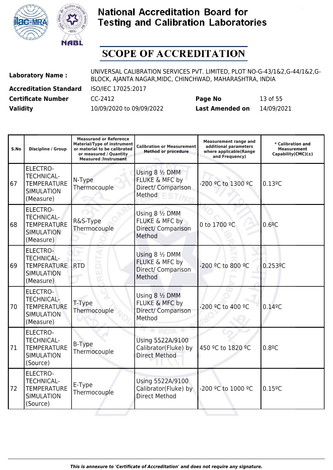



| <b>Laboratory Name:</b>       | UNIVERSAL CALIBRATION SERVICES PVT. LIMITED, PLOT NO-G-43/1&2,G-44/1&2,G-<br>BLOCK, AJANTA NAGAR, MIDC, CHINCHWAD, MAHARASHTRA, INDIA |                        |            |  |
|-------------------------------|---------------------------------------------------------------------------------------------------------------------------------------|------------------------|------------|--|
| <b>Accreditation Standard</b> | ISO/IEC 17025:2017                                                                                                                    |                        |            |  |
| <b>Certificate Number</b>     | CC-2412                                                                                                                               | Page No                | 13 of 55   |  |
| <b>Validity</b>               | 10/09/2020 to 09/09/2022                                                                                                              | <b>Last Amended on</b> | 14/09/2021 |  |

| S.No | <b>Discipline / Group</b>                                                                    | <b>Measurand or Reference</b><br><b>Material/Type of instrument</b><br>or material to be calibrated<br>or measured / Quantity<br><b>Measured /Instrument</b> | <b>Calibration or Measurement</b><br><b>Method or procedure</b>   | <b>Measurement range and</b><br>additional parameters<br>where applicable(Range<br>and Frequency) | * Calibration and<br><b>Measurement</b><br>Capability(CMC) $(\pm)$ |
|------|----------------------------------------------------------------------------------------------|--------------------------------------------------------------------------------------------------------------------------------------------------------------|-------------------------------------------------------------------|---------------------------------------------------------------------------------------------------|--------------------------------------------------------------------|
| 67   | <b>ELECTRO-</b><br><b>TECHNICAL-</b><br><b>TEMPERATURE</b><br><b>SIMULATION</b><br>(Measure) | N-Type<br>Thermocouple                                                                                                                                       | Using 8 1/2 DMM<br>FLUKE & MFC by<br>Direct/ Comparison<br>Method | -200 °C to 1300 °C                                                                                | $0.13$ <sup>o</sup> C                                              |
| 68   | <b>ELECTRO-</b><br><b>TECHNICAL-</b><br><b>TEMPERATURE</b><br><b>SIMULATION</b><br>(Measure) | R&S-Type<br>Thermocouple                                                                                                                                     | Using 8 1/2 DMM<br>FLUKE & MFC by<br>Direct/ Comparison<br>Method | 0 to 1700 °C                                                                                      | 0.69C                                                              |
| 69   | ELECTRO-<br><b>TECHNICAL-</b><br><b>TEMPERATURE</b><br><b>SIMULATION</b><br>(Measure)        | <b>RTD</b>                                                                                                                                                   | Using 8 1/2 DMM<br>FLUKE & MFC by<br>Direct/ Comparison<br>Method | -200 ºC to 800 ºC                                                                                 | $0.253$ <sup>o</sup> C                                             |
| 70   | <b>ELECTRO-</b><br><b>TECHNICAL-</b><br><b>TEMPERATURE</b><br><b>SIMULATION</b><br>(Measure) | T-Type<br>Thermocouple                                                                                                                                       | Using 8 1/2 DMM<br>FLUKE & MFC by<br>Direct/ Comparison<br>Method | -200 °C to 400 °C                                                                                 | 0.149C                                                             |
| 71   | <b>ELECTRO-</b><br><b>TECHNICAL-</b><br><b>TEMPERATURE</b><br><b>SIMULATION</b><br>(Source)  | <b>B-Type</b><br>Thermocouple                                                                                                                                | Using 5522A/9100<br>Calibrator(Fluke) by<br><b>Direct Method</b>  | 450 °C to 1820 °C                                                                                 | 0.8 <sup>°</sup> C                                                 |
| 72   | <b>ELECTRO-</b><br><b>TECHNICAL-</b><br><b>TEMPERATURE</b><br><b>SIMULATION</b><br>(Source)  | E-Type<br>Thermocouple                                                                                                                                       | Using 5522A/9100<br>Calibrator(Fluke) by<br><b>Direct Method</b>  | -200 °C to 1000 °C                                                                                | 0.159C                                                             |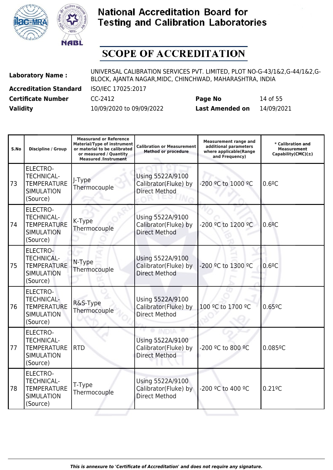



| <b>Laboratory Name:</b>       | UNIVERSAL CALIBRATION SERVICES PVT. LIMITED, PLOT NO-G-43/1&2.G-44/1&2.G-<br>BLOCK, AJANTA NAGAR, MIDC, CHINCHWAD, MAHARASHTRA, INDIA |                        |            |  |
|-------------------------------|---------------------------------------------------------------------------------------------------------------------------------------|------------------------|------------|--|
| <b>Accreditation Standard</b> | ISO/IEC 17025:2017                                                                                                                    |                        |            |  |
| <b>Certificate Number</b>     | CC-2412                                                                                                                               | Page No                | 14 of 55   |  |
| <b>Validity</b>               | 10/09/2020 to 09/09/2022                                                                                                              | <b>Last Amended on</b> | 14/09/2021 |  |

| S.No | <b>Discipline / Group</b>                                                                   | <b>Measurand or Reference</b><br><b>Material/Type of instrument</b><br>or material to be calibrated<br>or measured / Quantity<br><b>Measured /Instrument</b> | <b>Calibration or Measurement</b><br><b>Method or procedure</b>  | <b>Measurement range and</b><br>additional parameters<br>where applicable(Range<br>and Frequency) | * Calibration and<br><b>Measurement</b><br>$Capability(CMC)(\pm)$ |
|------|---------------------------------------------------------------------------------------------|--------------------------------------------------------------------------------------------------------------------------------------------------------------|------------------------------------------------------------------|---------------------------------------------------------------------------------------------------|-------------------------------------------------------------------|
| 73   | <b>ELECTRO-</b><br><b>TECHNICAL-</b><br><b>TEMPERATURE</b><br><b>SIMULATION</b><br>(Source) | J-Type<br>Thermocouple                                                                                                                                       | Using 5522A/9100<br>Calibrator(Fluke) by<br><b>Direct Method</b> | -200 °C to 1000 °C                                                                                | 0.6 <sup>°</sup> C                                                |
| 74   | <b>ELECTRO-</b><br><b>TECHNICAL-</b><br><b>TEMPERATURE</b><br><b>SIMULATION</b><br>(Source) | K-Type<br>Thermocouple                                                                                                                                       | Using 5522A/9100<br>Calibrator(Fluke) by<br><b>Direct Method</b> | -200 °C to 1200 °C                                                                                | 0.69C                                                             |
| 75   | ELECTRO-<br><b>TECHNICAL-</b><br><b>TEMPERATURE</b><br><b>SIMULATION</b><br>(Source)        | N-Type<br>Thermocouple                                                                                                                                       | Using 5522A/9100<br>Calibrator(Fluke) by<br><b>Direct Method</b> | -200 °C to 1300 °C                                                                                | 0.6 <sup>°</sup> C                                                |
| 76   | <b>ELECTRO-</b><br><b>TECHNICAL-</b><br><b>TEMPERATURE</b><br><b>SIMULATION</b><br>(Source) | R&S-Type<br>Thermocouple                                                                                                                                     | Using 5522A/9100<br>Calibrator(Fluke) by<br><b>Direct Method</b> | 100 °C to 1700 °C                                                                                 | 0.659C                                                            |
| 77   | <b>ELECTRO-</b><br><b>TECHNICAL-</b><br><b>TEMPERATURE</b><br><b>SIMULATION</b><br>(Source) | <b>RTD</b>                                                                                                                                                   | Using 5522A/9100<br>Calibrator(Fluke) by<br><b>Direct Method</b> | -200 °C to 800 °C                                                                                 | $0.085$ <sup>o</sup> C                                            |
| 78   | ELECTRO-<br><b>TECHNICAL-</b><br><b>TEMPERATURE</b><br><b>SIMULATION</b><br>(Source)        | T-Type<br>Thermocouple                                                                                                                                       | Using 5522A/9100<br>Calibrator(Fluke) by<br><b>Direct Method</b> | -200 °C to 400 °C                                                                                 | $0.21$ <sup>o</sup> C                                             |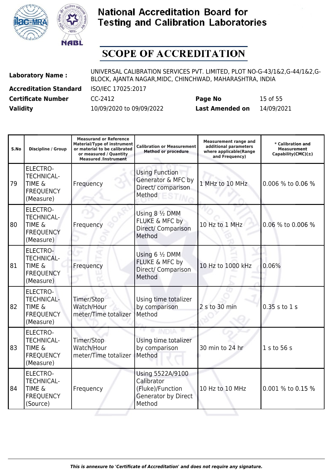



| <b>Laboratory Name:</b>       | UNIVERSAL CALIBRATION SERVICES PVT. LIMITED, PLOT NO-G-43/1&2,G-44/1&2,G-<br>BLOCK, AJANTA NAGAR, MIDC, CHINCHWAD, MAHARASHTRA, INDIA |                        |            |  |
|-------------------------------|---------------------------------------------------------------------------------------------------------------------------------------|------------------------|------------|--|
| <b>Accreditation Standard</b> | ISO/IEC 17025:2017                                                                                                                    |                        |            |  |
| <b>Certificate Number</b>     | CC-2412                                                                                                                               | Page No                | 15 of 55   |  |
| <b>Validity</b>               | 10/09/2020 to 09/09/2022                                                                                                              | <b>Last Amended on</b> | 14/09/2021 |  |

| S.No | <b>Discipline / Group</b>                                                                  | <b>Measurand or Reference</b><br><b>Material/Type of instrument</b><br>or material to be calibrated<br>or measured / Quantity<br><b>Measured /Instrument</b> | <b>Calibration or Measurement</b><br><b>Method or procedure</b>                            | <b>Measurement range and</b><br>additional parameters<br>where applicable(Range<br>and Frequency) | * Calibration and<br><b>Measurement</b><br>Capability(CMC) $(\pm)$ |
|------|--------------------------------------------------------------------------------------------|--------------------------------------------------------------------------------------------------------------------------------------------------------------|--------------------------------------------------------------------------------------------|---------------------------------------------------------------------------------------------------|--------------------------------------------------------------------|
| 79   | <b>ELECTRO-</b><br><b>TECHNICAL-</b><br><b>TIME &amp;</b><br><b>FREQUENCY</b><br>(Measure) | Frequency                                                                                                                                                    | <b>Using Function</b><br>Generator & MFC by<br>Direct/ comparison<br>Method                | 1 MHz to 10 MHz                                                                                   | 0.006 % to 0.06 %                                                  |
| 80   | <b>ELECTRO-</b><br><b>TECHNICAL-</b><br><b>TIME &amp;</b><br><b>FREQUENCY</b><br>(Measure) | Frequency                                                                                                                                                    | Using 8 1/2 DMM<br>FLUKE & MFC by<br>Direct/ Comparison<br>Method                          | 10 Hz to 1 MHz                                                                                    | 0.06 % to 0.006 %                                                  |
| 81   | ELECTRO-<br><b>TECHNICAL-</b><br><b>TIME &amp;</b><br><b>FREQUENCY</b><br>(Measure)        | Frequency                                                                                                                                                    | Using $6\frac{1}{2}$ DMM<br>FLUKE & MFC by<br>Direct/ Comparison<br>Method                 | 10 Hz to 1000 kHz                                                                                 | 0.06%                                                              |
| 82   | <b>ELECTRO-</b><br><b>TECHNICAL-</b><br><b>TIME &amp;</b><br><b>FREQUENCY</b><br>(Measure) | Timer/Stop<br>Watch/Hour<br>meter/Time totalizer                                                                                                             | Using time totalizer<br>by comparison<br>Method                                            | 2 s to 30 min                                                                                     | 0.35 s to 1 s                                                      |
| 83   | <b>ELECTRO-</b><br><b>TECHNICAL-</b><br><b>TIME &amp;</b><br><b>FREQUENCY</b><br>(Measure) | Timer/Stop<br>Watch/Hour<br>meter/Time totalizer                                                                                                             | Using time totalizer<br>by comparison<br>Method                                            | 30 min to 24 hr                                                                                   | 1 s to 56 s                                                        |
| 84   | <b>ELECTRO-</b><br><b>TECHNICAL-</b><br><b>TIME &amp;</b><br><b>FREQUENCY</b><br>(Source)  | Frequency                                                                                                                                                    | Using 5522A/9100<br>Calibrator<br>(Fluke)/Function<br><b>Generator by Direct</b><br>Method | 10 Hz to 10 MHz                                                                                   | 0.001 % to 0.15 %                                                  |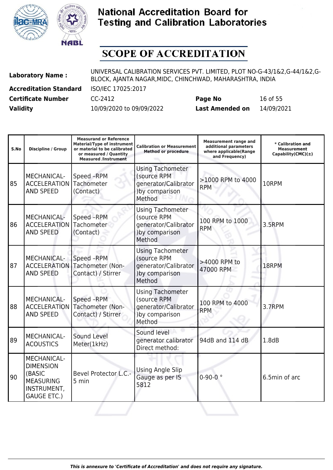



| <b>Laboratory Name:</b>       | UNIVERSAL CALIBRATION SERVICES PVT. LIMITED, PLOT NO-G-43/1&2,G-44/1&2,G-<br>BLOCK, AJANTA NAGAR, MIDC, CHINCHWAD, MAHARASHTRA, INDIA |                        |            |  |
|-------------------------------|---------------------------------------------------------------------------------------------------------------------------------------|------------------------|------------|--|
| <b>Accreditation Standard</b> | ISO/IEC 17025:2017                                                                                                                    |                        |            |  |
| <b>Certificate Number</b>     | CC-2412                                                                                                                               | Page No                | 16 of 55   |  |
| <b>Validity</b>               | 10/09/2020 to 09/09/2022                                                                                                              | <b>Last Amended on</b> | 14/09/2021 |  |

| S.No | <b>Discipline / Group</b>                                                                          | <b>Measurand or Reference</b><br><b>Material/Type of instrument</b><br>or material to be calibrated<br>or measured / Quantity<br><b>Measured /Instrument</b> | <b>Calibration or Measurement</b><br><b>Method or procedure</b>                            | <b>Measurement range and</b><br>additional parameters<br>where applicable(Range<br>and Frequency) | * Calibration and<br>Measurement<br>Capability(CMC) $(\pm)$ |
|------|----------------------------------------------------------------------------------------------------|--------------------------------------------------------------------------------------------------------------------------------------------------------------|--------------------------------------------------------------------------------------------|---------------------------------------------------------------------------------------------------|-------------------------------------------------------------|
| 85   | <b>MECHANICAL-</b><br><b>ACCELERATION</b><br><b>AND SPEED</b>                                      | Speed -RPM<br>Tachometer<br>(Contact)                                                                                                                        | <b>Using Tachometer</b><br>(source RPM<br>generator/Calibrator<br>)by comparison<br>Method | >1000 RPM to 4000<br><b>RPM</b>                                                                   | 10RPM                                                       |
| 86   | MECHANICAL-<br><b>ACCELERATION</b><br><b>AND SPEED</b>                                             | Speed -RPM<br>Tachometer<br>(Contact)                                                                                                                        | <b>Using Tachometer</b><br>(source RPM<br>generator/Calibrator<br>)by comparison<br>Method | 100 RPM to 1000<br><b>RPM</b>                                                                     | 3.5RPM                                                      |
| 87   | MECHANICAL-<br><b>ACCELERATION</b><br><b>AND SPEED</b>                                             | Speed -RPM<br>Tachometer (Non-<br>Contact) / Stirrer                                                                                                         | <b>Using Tachometer</b><br>(source RPM<br>generator/Calibrator<br>)by comparison<br>Method | >4000 RPM to<br>47000 RPM                                                                         | 18RPM                                                       |
| 88   | MECHANICAL-<br><b>ACCELERATION</b><br><b>AND SPEED</b>                                             | Speed -RPM<br>Tachometer (Non-<br>Contact) / Stirrer                                                                                                         | <b>Using Tachometer</b><br>(source RPM<br>generator/Calibrator<br>)by comparison<br>Method | 100 RPM to 4000<br><b>RPM</b>                                                                     | 3.7RPM                                                      |
| 89   | <b>MECHANICAL-</b><br><b>ACOUSTICS</b>                                                             | Sound Level<br>Meter(1kHz)                                                                                                                                   | Sound level<br>generator calibrator<br>Direct method:                                      | 94dB and 114 dB                                                                                   | 1.8dB                                                       |
| 90   | MECHANICAL-<br><b>DIMENSION</b><br>(BASIC<br><b>MEASURING</b><br>INSTRUMENT,<br><b>GAUGE ETC.)</b> | <b>Bevel Protector L.C.-</b><br>5 min                                                                                                                        | <b>Using Angle Slip</b><br>Gauge as per IS<br>5812                                         | $0 - 90 - 0$ °                                                                                    | 6.5min of arc                                               |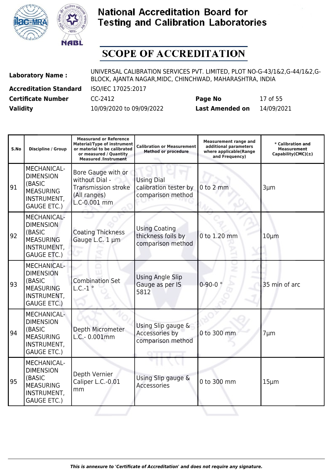



| <b>Laboratory Name:</b>       | UNIVERSAL CALIBRATION SERVICES PVT. LIMITED, PLOT NO-G-43/1&2,G-44/1&2,G-<br>BLOCK, AJANTA NAGAR, MIDC, CHINCHWAD, MAHARASHTRA, INDIA |                        |            |  |
|-------------------------------|---------------------------------------------------------------------------------------------------------------------------------------|------------------------|------------|--|
| <b>Accreditation Standard</b> | ISO/IEC 17025:2017                                                                                                                    |                        |            |  |
| <b>Certificate Number</b>     | CC-2412                                                                                                                               | Page No                | 17 of 55   |  |
| <b>Validity</b>               | 10/09/2020 to 09/09/2022                                                                                                              | <b>Last Amended on</b> | 14/09/2021 |  |

| S.No | <b>Discipline / Group</b>                                                                                 | <b>Measurand or Reference</b><br><b>Material/Type of instrument</b><br>or material to be calibrated<br>or measured / Quantity<br><b>Measured /Instrument</b> | <b>Calibration or Measurement</b><br><b>Method or procedure</b> | <b>Measurement range and</b><br>additional parameters<br>where applicable(Range<br>and Frequency) | * Calibration and<br><b>Measurement</b><br>Capability(CMC) $(\pm)$ |
|------|-----------------------------------------------------------------------------------------------------------|--------------------------------------------------------------------------------------------------------------------------------------------------------------|-----------------------------------------------------------------|---------------------------------------------------------------------------------------------------|--------------------------------------------------------------------|
| 91   | MECHANICAL-<br><b>DIMENSION</b><br>(BASIC<br><b>MEASURING</b><br>INSTRUMENT,<br><b>GAUGE ETC.)</b>        | Bore Gauge with or<br>without Dial -<br><b>Transmission stroke</b><br>(All ranges)<br>L.C-0.001 mm                                                           | <b>Using Dial</b><br>calibration tester by<br>comparison method | $0$ to $2$ mm                                                                                     | 3µm                                                                |
| 92   | <b>MECHANICAL-</b><br><b>DIMENSION</b><br>(BASIC<br><b>MEASURING</b><br>INSTRUMENT,<br><b>GAUGE ETC.)</b> | <b>Coating Thickness</b><br>Gauge L.C. 1 µm                                                                                                                  | <b>Using Coating</b><br>thickness foils by<br>comparison method | 0 to 1.20 mm                                                                                      | $10 \mu m$                                                         |
| 93   | MECHANICAL-<br><b>DIMENSION</b><br>(BASIC<br><b>MEASURING</b><br>INSTRUMENT,<br><b>GAUGE ETC.)</b>        | <b>Combination Set</b><br>$L.C.-1°$                                                                                                                          | <b>Using Angle Slip</b><br>Gauge as per IS<br>5812              | $0 - 90 - 0$ °                                                                                    | 35 min of arc                                                      |
| 94   | MECHANICAL-<br><b>DIMENSION</b><br>(BASIC<br><b>MEASURING</b><br>INSTRUMENT,<br><b>GAUGE ETC.)</b>        | Depth Micrometer<br>L.C.- 0.001mm                                                                                                                            | Using Slip gauge &<br>Accessories by<br>comparison method       | 0 to 300 mm                                                                                       | 7µm                                                                |
| 95   | <b>MECHANICAL-</b><br><b>DIMENSION</b><br>(BASIC<br><b>MEASURING</b><br>INSTRUMENT,<br><b>GAUGE ETC.)</b> | Depth Vernier<br>Caliper L.C.-0.01<br>mm                                                                                                                     | Using Slip gauge &<br><b>Accessories</b>                        | 0 to 300 mm                                                                                       | $15 \mu m$                                                         |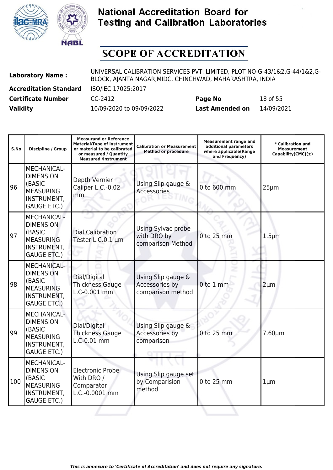



| <b>Laboratory Name:</b>       | UNIVERSAL CALIBRATION SERVICES PVT. LIMITED, PLOT NO-G-43/1&2,G-44/1&2,G-<br>BLOCK, AJANTA NAGAR, MIDC, CHINCHWAD, MAHARASHTRA, INDIA |                        |            |  |
|-------------------------------|---------------------------------------------------------------------------------------------------------------------------------------|------------------------|------------|--|
| <b>Accreditation Standard</b> | ISO/IEC 17025:2017                                                                                                                    |                        |            |  |
| <b>Certificate Number</b>     | CC-2412                                                                                                                               | Page No                | 18 of 55   |  |
| <b>Validity</b>               | 10/09/2020 to 09/09/2022                                                                                                              | <b>Last Amended on</b> | 14/09/2021 |  |

| S.No | <b>Discipline / Group</b>                                                                                 | <b>Measurand or Reference</b><br><b>Material/Type of instrument</b><br>or material to be calibrated<br>or measured / Quantity<br><b>Measured /Instrument</b> | <b>Calibration or Measurement</b><br><b>Method or procedure</b> | <b>Measurement range and</b><br>additional parameters<br>where applicable(Range<br>and Frequency) | * Calibration and<br><b>Measurement</b><br>Capability(CMC) $(\pm)$ |
|------|-----------------------------------------------------------------------------------------------------------|--------------------------------------------------------------------------------------------------------------------------------------------------------------|-----------------------------------------------------------------|---------------------------------------------------------------------------------------------------|--------------------------------------------------------------------|
| 96   | <b>MECHANICAL-</b><br><b>DIMENSION</b><br>(BASIC<br><b>MEASURING</b><br>INSTRUMENT,<br><b>GAUGE ETC.)</b> | Depth Vernier<br>Caliper L.C.-0.02<br>mm                                                                                                                     | Using Slip gauge &<br>Accessories                               | 0 to 600 mm                                                                                       | $25 \mu m$                                                         |
| 97   | MECHANICAL-<br><b>DIMENSION</b><br>(BASIC<br><b>MEASURING</b><br>INSTRUMENT,<br><b>GAUGE ETC.)</b>        | <b>Dial Calibration</b><br>Tester L.C.0.1 µm                                                                                                                 | Using Sylvac probe<br>with DRO by<br>comparison Method          | 0 to 25 mm                                                                                        | $1.5 \mu m$                                                        |
| 98   | <b>MECHANICAL-</b><br><b>DIMENSION</b><br>(BASIC<br><b>MEASURING</b><br>INSTRUMENT,<br><b>GAUGE ETC.)</b> | Dial/Digital<br><b>Thickness Gauge</b><br>L.C-0.001 mm                                                                                                       | Using Slip gauge &<br>Accessories by<br>comparison method       | 0 to 1 mm                                                                                         | $2 \mu m$                                                          |
| 99   | MECHANICAL-<br><b>DIMENSION</b><br>(BASIC<br><b>MEASURING</b><br>INSTRUMENT,<br><b>GAUGE ETC.)</b>        | Dial/Digital<br><b>Thickness Gauge</b><br>L.C-0.01 mm                                                                                                        | Using Slip gauge &<br>Accessories by<br>comparison              | 0 to 25 mm                                                                                        | $7.60 \mu m$                                                       |
| 100  | <b>MECHANICAL-</b><br><b>DIMENSION</b><br>(BASIC<br><b>MEASURING</b><br>INSTRUMENT,<br><b>GAUGE ETC.)</b> | <b>Electronic Probe</b><br>With DRO /<br>Comparator<br>L.C.-0.0001 mm                                                                                        | Using Slip gauge set<br>by Comparision<br>method                | 0 to 25 mm                                                                                        | $1 \mu m$                                                          |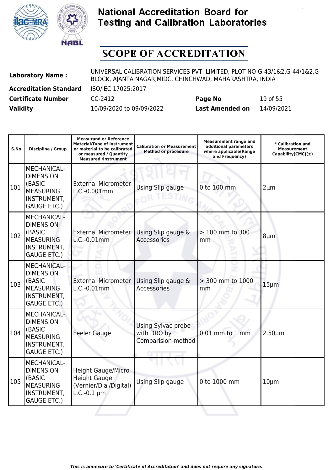



| <b>Laboratory Name:</b>       | UNIVERSAL CALIBRATION SERVICES PVT. LIMITED, PLOT NO-G-43/1&2,G-44/1&2,G-<br>BLOCK, AJANTA NAGAR, MIDC, CHINCHWAD, MAHARASHTRA, INDIA |                        |            |  |
|-------------------------------|---------------------------------------------------------------------------------------------------------------------------------------|------------------------|------------|--|
| <b>Accreditation Standard</b> | ISO/IEC 17025:2017                                                                                                                    |                        |            |  |
| <b>Certificate Number</b>     | CC-2412                                                                                                                               | Page No                | 19 of 55   |  |
| <b>Validity</b>               | 10/09/2020 to 09/09/2022                                                                                                              | <b>Last Amended on</b> | 14/09/2021 |  |

| S.No | <b>Discipline / Group</b>                                                                                        | <b>Measurand or Reference</b><br><b>Material/Type of instrument</b><br>or material to be calibrated<br>or measured / Quantity<br><b>Measured /Instrument</b> | <b>Calibration or Measurement</b><br><b>Method or procedure</b> | <b>Measurement range and</b><br>additional parameters<br>where applicable(Range<br>and Frequency) | * Calibration and<br>Measurement<br>Capability(CMC) $(\pm)$ |
|------|------------------------------------------------------------------------------------------------------------------|--------------------------------------------------------------------------------------------------------------------------------------------------------------|-----------------------------------------------------------------|---------------------------------------------------------------------------------------------------|-------------------------------------------------------------|
| 101  | MECHANICAL-<br><b>DIMENSION</b><br>(BASIC<br><b>MEASURING</b><br>INSTRUMENT,<br><b>GAUGE ETC.)</b>               | <b>External Micrometer</b><br>L.C.-0.001mm                                                                                                                   | Using Slip gauge                                                | 0 to 100 mm                                                                                       | $2 \mu m$                                                   |
| 102  | <b>MECHANICAL-</b><br><b>DIMENSION</b><br>(BASIC<br><b>MEASURING</b><br>INSTRUMENT,<br><b>GAUGE ETC.)</b>        | <b>External Micrometer</b><br>L.C.-0.01mm                                                                                                                    | Using Slip gauge &<br><b>Accessories</b>                        | > 100 mm to 300<br>mm                                                                             | $8 \mu m$                                                   |
| 103  | <b>MECHANICAL-</b><br><b>DIMENSION</b><br>(BASIC<br><b>MEASURING</b><br>INSTRUMENT,<br><b>GAUGE ETC.)</b>        | <b>External Micrometer</b><br>L.C.-0.01mm                                                                                                                    | Using Slip gauge &<br><b>Accessories</b>                        | > 300 mm to 1000<br>mm                                                                            | $15 \mu m$                                                  |
| 104  | <b>MECHANICAL-</b><br><b>DIMENSION</b><br>(BASIC<br><b>MEASURING</b><br><b>INSTRUMENT,</b><br><b>GAUGE ETC.)</b> | <b>Feeler Gauge</b>                                                                                                                                          | Using Sylvac probe<br>with DRO by<br>Comparision method         | $0.01$ mm to $1$ mm                                                                               | $2.50 \mu m$                                                |
| 105  | <b>MECHANICAL-</b><br><b>DIMENSION</b><br>(BASIC<br><b>MEASURING</b><br><b>INSTRUMENT,</b><br><b>GAUGE ETC.)</b> | <b>Height Gauge/Micro</b><br><b>Height Gauge</b><br>(Vernier/Dial/Digital)<br>$L.C.-0.1 \mu m$                                                               | Using Slip gauge                                                | 0 to 1000 mm                                                                                      | $10 \mu m$                                                  |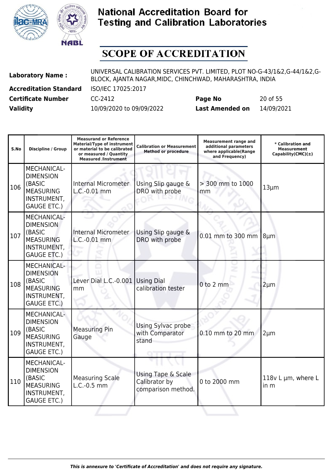



| <b>Laboratory Name:</b>       | UNIVERSAL CALIBRATION SERVICES PVT. LIMITED, PLOT NO-G-43/1&2,G-44/1&2,G-<br>BLOCK, AJANTA NAGAR, MIDC, CHINCHWAD, MAHARASHTRA, INDIA |                        |            |  |
|-------------------------------|---------------------------------------------------------------------------------------------------------------------------------------|------------------------|------------|--|
| <b>Accreditation Standard</b> | ISO/IEC 17025:2017                                                                                                                    |                        |            |  |
| <b>Certificate Number</b>     | CC-2412                                                                                                                               | Page No                | 20 of 55   |  |
| <b>Validity</b>               | 10/09/2020 to 09/09/2022                                                                                                              | <b>Last Amended on</b> | 14/09/2021 |  |

| S.No | <b>Discipline / Group</b>                                                                                 | <b>Measurand or Reference</b><br><b>Material/Type of instrument</b><br>or material to be calibrated<br>or measured / Quantity<br><b>Measured /Instrument</b> | <b>Calibration or Measurement</b><br><b>Method or procedure</b> | <b>Measurement range and</b><br>additional parameters<br>where applicable(Range<br>and Frequency) | * Calibration and<br><b>Measurement</b><br>Capability(CMC) $(\pm)$ |
|------|-----------------------------------------------------------------------------------------------------------|--------------------------------------------------------------------------------------------------------------------------------------------------------------|-----------------------------------------------------------------|---------------------------------------------------------------------------------------------------|--------------------------------------------------------------------|
| 106  | MECHANICAL-<br><b>DIMENSION</b><br>(BASIC<br><b>MEASURING</b><br>INSTRUMENT,<br><b>GAUGE ETC.)</b>        | <b>Internal Micrometer</b><br>L.C.-0.01 mm                                                                                                                   | Using Slip gauge &<br>DRO with probe                            | > 300 mm to 1000<br>mm                                                                            | $13 \mu m$                                                         |
| 107  | MECHANICAL-<br><b>DIMENSION</b><br>(BASIC<br><b>MEASURING</b><br>INSTRUMENT,<br><b>GAUGE ETC.)</b>        | <b>Internal Micrometer</b><br>L.C.-0.01 mm                                                                                                                   | Using Slip gauge &<br>DRO with probe                            | 0.01 mm to 300 mm                                                                                 | $8 \mu m$                                                          |
| 108  | <b>MECHANICAL-</b><br><b>DIMENSION</b><br>(BASIC<br><b>MEASURING</b><br>INSTRUMENT,<br><b>GAUGE ETC.)</b> | Lever Dial L.C.-0.001 Using Dial<br>mm                                                                                                                       | calibration tester                                              | $0$ to $2$ mm                                                                                     | $2 \mu m$                                                          |
| 109  | <b>MECHANICAL-</b><br><b>DIMENSION</b><br>(BASIC<br><b>MEASURING</b><br>INSTRUMENT,<br><b>GAUGE ETC.)</b> | <b>Measuring Pin</b><br>Gauge                                                                                                                                | Using Sylvac probe<br>with Comparator<br>stand                  | 0.10 mm to 20 mm                                                                                  | $2 \mu m$                                                          |
| 110  | <b>MECHANICAL-</b><br><b>DIMENSION</b><br>(BASIC<br><b>MEASURING</b><br>INSTRUMENT,<br><b>GAUGE ETC.)</b> | <b>Measuring Scale</b><br>$L.C.-0.5$ mm                                                                                                                      | Using Tape & Scale<br>Calibrator by<br>comparison method.       | 0 to 2000 mm                                                                                      | 118 $v$ L $\mu$ m, where L<br>in m                                 |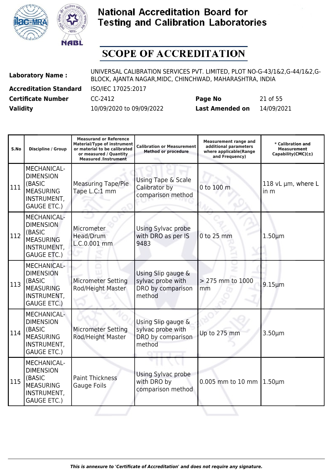



| <b>Laboratory Name:</b>       | UNIVERSAL CALIBRATION SERVICES PVT. LIMITED, PLOT NO-G-43/1&2,G-44/1&2,G-<br>BLOCK, AJANTA NAGAR, MIDC, CHINCHWAD, MAHARASHTRA, INDIA |                        |            |  |
|-------------------------------|---------------------------------------------------------------------------------------------------------------------------------------|------------------------|------------|--|
| <b>Accreditation Standard</b> | ISO/IEC 17025:2017                                                                                                                    |                        |            |  |
| <b>Certificate Number</b>     | CC-2412                                                                                                                               | Page No                | 21 of 55   |  |
| <b>Validity</b>               | 10/09/2020 to 09/09/2022                                                                                                              | <b>Last Amended on</b> | 14/09/2021 |  |

| S.No | <b>Discipline / Group</b>                                                                                        | <b>Measurand or Reference</b><br><b>Material/Type of instrument</b><br>or material to be calibrated<br>or measured / Quantity<br><b>Measured /Instrument</b> | <b>Calibration or Measurement</b><br><b>Method or procedure</b>        | <b>Measurement range and</b><br>additional parameters<br>where applicable(Range<br>and Frequency) | * Calibration and<br>Measurement<br>$Capability(CMC)(\pm)$ |
|------|------------------------------------------------------------------------------------------------------------------|--------------------------------------------------------------------------------------------------------------------------------------------------------------|------------------------------------------------------------------------|---------------------------------------------------------------------------------------------------|------------------------------------------------------------|
| 111  | <b>MECHANICAL-</b><br><b>DIMENSION</b><br>(BASIC<br><b>MEASURING</b><br><b>INSTRUMENT,</b><br><b>GAUGE ETC.)</b> | <b>Measuring Tape/Pie</b><br>Tape L.C:1 mm                                                                                                                   | Using Tape & Scale<br>Calibrator by<br>comparison method               | 0 to 100 m                                                                                        | 118 vL µm, where L<br>in m                                 |
| 112  | <b>MECHANICAL-</b><br><b>DIMENSION</b><br>(BASIC<br><b>MEASURING</b><br>INSTRUMENT,<br><b>GAUGE ETC.)</b>        | Micrometer<br>Head/Drum<br>L.C.0.001 mm                                                                                                                      | Using Sylvac probe<br>with DRO as per IS<br>9483                       | 0 to 25 mm                                                                                        | $1.50 \mu m$                                               |
| 113  | <b>MECHANICAL-</b><br><b>DIMENSION</b><br>(BASIC<br><b>MEASURING</b><br>INSTRUMENT,<br><b>GAUGE ETC.)</b>        | <b>Micrometer Setting</b><br>Rod/Height Master                                                                                                               | Using Slip gauge &<br>sylvac probe with<br>DRO by comparison<br>method | > 275 mm to 1000<br>mm                                                                            | $9.15 \mu m$                                               |
| 114  | <b>MECHANICAL-</b><br><b>DIMENSION</b><br>(BASIC<br><b>MEASURING</b><br><b>INSTRUMENT,</b><br><b>GAUGE ETC.)</b> | <b>Micrometer Setting</b><br>Rod/Height Master                                                                                                               | Using Slip gauge &<br>sylvac probe with<br>DRO by comparison<br>method | Up to 275 mm                                                                                      | $3.50 \mu m$                                               |
| 115  | MECHANICAL-<br><b>DIMENSION</b><br>(BASIC<br><b>MEASURING</b><br><b>INSTRUMENT,</b><br><b>GAUGE ETC.)</b>        | <b>Paint Thickness</b><br>Gauge Foils                                                                                                                        | Using Sylvac probe<br>with DRO by<br>comparison method                 | 0.005 mm to 10 mm $1.50 \mu m$                                                                    |                                                            |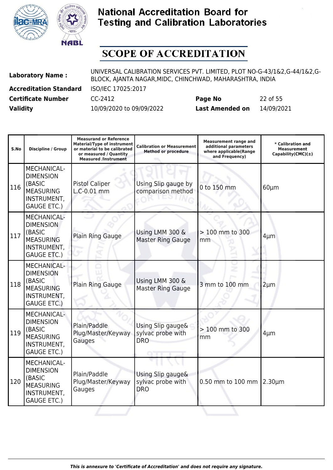



| <b>Laboratory Name:</b>       | UNIVERSAL CALIBRATION SERVICES PVT. LIMITED, PLOT NO-G-43/1&2,G-44/1&2,G-<br>BLOCK, AJANTA NAGAR, MIDC, CHINCHWAD, MAHARASHTRA, INDIA |                        |            |  |
|-------------------------------|---------------------------------------------------------------------------------------------------------------------------------------|------------------------|------------|--|
| <b>Accreditation Standard</b> | ISO/IEC 17025:2017                                                                                                                    |                        |            |  |
| <b>Certificate Number</b>     | CC-2412                                                                                                                               | Page No                | 22 of 55   |  |
| <b>Validity</b>               | 10/09/2020 to 09/09/2022                                                                                                              | <b>Last Amended on</b> | 14/09/2021 |  |

| S.No | <b>Discipline / Group</b>                                                                                        | <b>Measurand or Reference</b><br><b>Material/Type of instrument</b><br>or material to be calibrated<br>or measured / Quantity<br><b>Measured /Instrument</b> | <b>Calibration or Measurement</b><br><b>Method or procedure</b> | <b>Measurement range and</b><br>additional parameters<br>where applicable(Range<br>and Frequency) | * Calibration and<br><b>Measurement</b><br>Capability(CMC) $(\pm)$ |
|------|------------------------------------------------------------------------------------------------------------------|--------------------------------------------------------------------------------------------------------------------------------------------------------------|-----------------------------------------------------------------|---------------------------------------------------------------------------------------------------|--------------------------------------------------------------------|
| 116  | <b>MECHANICAL-</b><br><b>DIMENSION</b><br>(BASIC<br><b>MEASURING</b><br><b>INSTRUMENT,</b><br><b>GAUGE ETC.)</b> | <b>Pistol Caliper</b><br>L.C-0.01 mm                                                                                                                         | Using Slip gauge by<br>comparison method                        | 0 to 150 mm                                                                                       | $60 \mu m$                                                         |
| 117  | MECHANICAL-<br><b>DIMENSION</b><br>(BASIC<br><b>MEASURING</b><br>INSTRUMENT,<br><b>GAUGE ETC.)</b>               | Plain Ring Gauge                                                                                                                                             | Using LMM 300 &<br><b>Master Ring Gauge</b>                     | > 100 mm to 300<br>mm                                                                             | $4 \mu m$                                                          |
| 118  | MECHANICAL-<br><b>DIMENSION</b><br>(BASIC<br><b>MEASURING</b><br>INSTRUMENT,<br><b>GAUGE ETC.)</b>               | Plain Ring Gauge                                                                                                                                             | Using LMM 300 &<br><b>Master Ring Gauge</b>                     | 3 mm to 100 mm                                                                                    | $2 \mu m$                                                          |
| 119  | MECHANICAL-<br><b>DIMENSION</b><br>(BASIC<br><b>MEASURING</b><br>INSTRUMENT,<br><b>GAUGE ETC.)</b>               | Plain/Paddle<br>Plug/Master/Keyway<br>Gauges                                                                                                                 | Using Slip gauge&<br>sylvac probe with<br><b>DRO</b>            | > 100 mm to 300<br>mm                                                                             | $4 \mu m$                                                          |
| 120  | <b>MECHANICAL-</b><br><b>DIMENSION</b><br>(BASIC<br><b>MEASURING</b><br>INSTRUMENT,<br><b>GAUGE ETC.)</b>        | Plain/Paddle<br>Plug/Master/Keyway<br>Gauges                                                                                                                 | Using Slip gauge&<br>sylvac probe with<br><b>DRO</b>            | 0.50 mm to 100 mm $ 2.30 \mu m$                                                                   |                                                                    |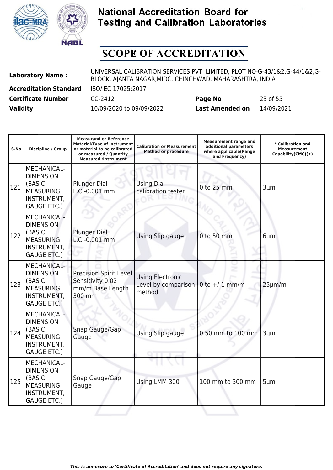



| <b>Laboratory Name:</b>       | UNIVERSAL CALIBRATION SERVICES PVT. LIMITED, PLOT NO-G-43/1&2,G-44/1&2,G-<br>BLOCK, AJANTA NAGAR, MIDC, CHINCHWAD, MAHARASHTRA, INDIA |                        |            |  |
|-------------------------------|---------------------------------------------------------------------------------------------------------------------------------------|------------------------|------------|--|
| <b>Accreditation Standard</b> | ISO/IEC 17025:2017                                                                                                                    |                        |            |  |
| <b>Certificate Number</b>     | CC-2412                                                                                                                               | Page No                | 23 of 55   |  |
| <b>Validity</b>               | 10/09/2020 to 09/09/2022                                                                                                              | <b>Last Amended on</b> | 14/09/2021 |  |

| S.No | <b>Discipline / Group</b>                                                                                        | <b>Measurand or Reference</b><br><b>Material/Type of instrument</b><br>or material to be calibrated<br>or measured / Quantity<br><b>Measured /Instrument</b> | <b>Calibration or Measurement</b><br><b>Method or procedure</b> | <b>Measurement range and</b><br>additional parameters<br>where applicable(Range<br>and Frequency) | * Calibration and<br>Measurement<br>Capability(CMC) $(\pm)$ |
|------|------------------------------------------------------------------------------------------------------------------|--------------------------------------------------------------------------------------------------------------------------------------------------------------|-----------------------------------------------------------------|---------------------------------------------------------------------------------------------------|-------------------------------------------------------------|
| 121  | MECHANICAL-<br><b>DIMENSION</b><br>(BASIC<br><b>MEASURING</b><br><b>INSTRUMENT,</b><br><b>GAUGE ETC.)</b>        | <b>Plunger Dial</b><br>L.C.-0.001 mm                                                                                                                         | <b>Using Dial</b><br>calibration tester                         | 0 to 25 mm                                                                                        | $3 \mu m$                                                   |
| 122  | MECHANICAL-<br><b>DIMENSION</b><br>(BASIC<br><b>MEASURING</b><br>INSTRUMENT,<br><b>GAUGE ETC.)</b>               | <b>Plunger Dial</b><br>L.C.-0.001 mm                                                                                                                         | Using Slip gauge                                                | 0 to 50 mm                                                                                        | $6 \mu m$                                                   |
| 123  | <b>MECHANICAL-</b><br><b>DIMENSION</b><br>(BASIC<br><b>MEASURING</b><br><b>INSTRUMENT,</b><br><b>GAUGE ETC.)</b> | <b>Precision Spirit Level</b><br>Sensitivity 0.02<br>mm/m Base Length<br>300 mm                                                                              | <b>Using Electronic</b><br>Level by comparison<br>method        | 0 to $+/-1$ mm/m                                                                                  | $25 \mu m/m$                                                |
| 124  | MECHANICAL-<br><b>DIMENSION</b><br>(BASIC<br><b>MEASURING</b><br>INSTRUMENT,<br><b>GAUGE ETC.)</b>               | Snap Gauge/Gap<br>Gauge                                                                                                                                      | Using Slip gauge                                                | 0.50 mm to 100 mm                                                                                 | $3 \mu m$                                                   |
| 125  | MECHANICAL-<br><b>DIMENSION</b><br>(BASIC<br><b>MEASURING</b><br>INSTRUMENT,<br><b>GAUGE ETC.)</b>               | Snap Gauge/Gap<br>Gauge                                                                                                                                      | Using LMM 300                                                   | 100 mm to 300 mm                                                                                  | $5 \mu m$                                                   |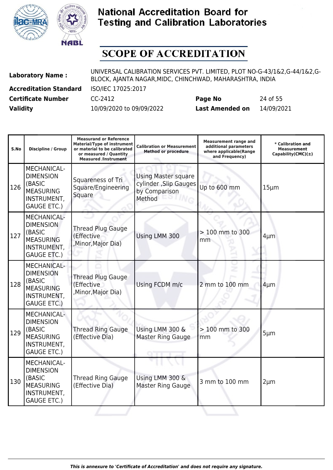



| <b>Laboratory Name:</b>       | UNIVERSAL CALIBRATION SERVICES PVT. LIMITED, PLOT NO-G-43/1&2,G-44/1&2,G-<br>BLOCK, AJANTA NAGAR, MIDC, CHINCHWAD, MAHARASHTRA, INDIA |                        |            |  |
|-------------------------------|---------------------------------------------------------------------------------------------------------------------------------------|------------------------|------------|--|
| <b>Accreditation Standard</b> | ISO/IEC 17025:2017                                                                                                                    |                        |            |  |
| <b>Certificate Number</b>     | CC-2412                                                                                                                               | Page No                | 24 of 55   |  |
| <b>Validity</b>               | 10/09/2020 to 09/09/2022                                                                                                              | <b>Last Amended on</b> | 14/09/2021 |  |

| S.No | <b>Discipline / Group</b>                                                                                 | <b>Measurand or Reference</b><br><b>Material/Type of instrument</b><br>or material to be calibrated<br>or measured / Quantity<br><b>Measured /Instrument</b> | <b>Calibration or Measurement</b><br><b>Method or procedure</b>                 | <b>Measurement range and</b><br>additional parameters<br>where applicable(Range<br>and Frequency) | * Calibration and<br><b>Measurement</b><br>Capability(CMC) $(\pm)$ |
|------|-----------------------------------------------------------------------------------------------------------|--------------------------------------------------------------------------------------------------------------------------------------------------------------|---------------------------------------------------------------------------------|---------------------------------------------------------------------------------------------------|--------------------------------------------------------------------|
| 126  | MECHANICAL-<br><b>DIMENSION</b><br>(BASIC<br><b>MEASURING</b><br>INSTRUMENT,<br><b>GAUGE ETC.)</b>        | Squareness of Tri<br>Square/Engineering<br>Square                                                                                                            | <b>Using Master square</b><br>cylinder , Slip Gauges<br>by Comparison<br>Method | Up to 600 mm                                                                                      | $15 \mu m$                                                         |
| 127  | MECHANICAL-<br><b>DIMENSION</b><br>(BASIC<br><b>MEASURING</b><br>INSTRUMENT,<br><b>GAUGE ETC.)</b>        | <b>Thread Plug Gauge</b><br>(Effective<br>, Minor, Major Dia)                                                                                                | Using LMM 300                                                                   | > 100 mm to 300<br>mm                                                                             | $4 \mu m$                                                          |
| 128  | <b>MECHANICAL-</b><br><b>DIMENSION</b><br>(BASIC<br><b>MEASURING</b><br>INSTRUMENT,<br><b>GAUGE ETC.)</b> | <b>Thread Plug Gauge</b><br>(Effective<br>, Minor, Major Dia)                                                                                                | Using FCDM m/c                                                                  | 2 mm to 100 mm                                                                                    | $4 \mu m$                                                          |
| 129  | <b>MECHANICAL-</b><br><b>DIMENSION</b><br>(BASIC<br><b>MEASURING</b><br>INSTRUMENT,<br><b>GAUGE ETC.)</b> | <b>Thread Ring Gauge</b><br>(Effective Dia)                                                                                                                  | Using LMM 300 &<br>Master Ring Gauge                                            | > 100 mm to 300<br>mm                                                                             | $5 \mu m$                                                          |
| 130  | <b>MECHANICAL-</b><br><b>DIMENSION</b><br>(BASIC<br><b>MEASURING</b><br>INSTRUMENT,<br><b>GAUGE ETC.)</b> | <b>Thread Ring Gauge</b><br>(Effective Dia)                                                                                                                  | Using LMM 300 &<br>Master Ring Gauge                                            | 3 mm to 100 mm                                                                                    | $2 \mu m$                                                          |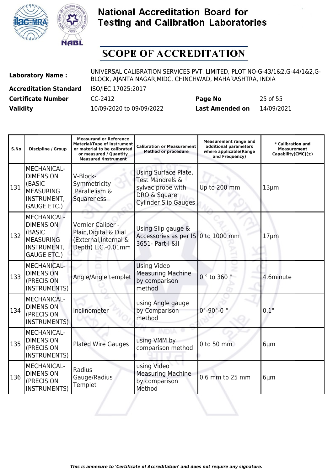



| <b>Laboratory Name:</b>       | UNIVERSAL CALIBRATION SERVICES PVT. LIMITED, PLOT NO-G-43/1&2,G-44/1&2,G-<br>BLOCK, AJANTA NAGAR, MIDC, CHINCHWAD, MAHARASHTRA, INDIA |                        |            |  |
|-------------------------------|---------------------------------------------------------------------------------------------------------------------------------------|------------------------|------------|--|
| <b>Accreditation Standard</b> | ISO/IEC 17025:2017                                                                                                                    |                        |            |  |
| <b>Certificate Number</b>     | CC-2412                                                                                                                               | Page No                | 25 of 55   |  |
| <b>Validity</b>               | 10/09/2020 to 09/09/2022                                                                                                              | <b>Last Amended on</b> | 14/09/2021 |  |

| S.No | <b>Discipline / Group</b>                                                                                 | <b>Measurand or Reference</b><br><b>Material/Type of instrument</b><br>or material to be calibrated<br>or measured / Quantity<br><b>Measured /Instrument</b> | <b>Calibration or Measurement</b><br><b>Method or procedure</b>                                             | <b>Measurement range and</b><br>additional parameters<br>where applicable(Range<br>and Frequency) | * Calibration and<br><b>Measurement</b><br>Capability(CMC) $(\pm)$ |
|------|-----------------------------------------------------------------------------------------------------------|--------------------------------------------------------------------------------------------------------------------------------------------------------------|-------------------------------------------------------------------------------------------------------------|---------------------------------------------------------------------------------------------------|--------------------------------------------------------------------|
| 131  | <b>MECHANICAL-</b><br><b>DIMENSION</b><br>(BASIC<br><b>MEASURING</b><br>INSTRUMENT,<br><b>GAUGE ETC.)</b> | V-Block-<br>Symmetricity<br>,Parallelism &<br>Squareness                                                                                                     | Using Surface Plate,<br>Test Mandrels &<br>sylvac probe with<br>DRO & Square<br><b>Cylinder Slip Gauges</b> | Up to 200 mm                                                                                      | $13 \mu m$                                                         |
| 132  | <b>MECHANICAL-</b><br><b>DIMENSION</b><br>(BASIC<br><b>MEASURING</b><br>INSTRUMENT,<br><b>GAUGE ETC.)</b> | Vernier Caliper -<br>Plain, Digital & Dial<br>(External, Internal &<br>Depth) L.C.-0.01mm                                                                    | Using Slip gauge &<br>Accessories as per IS<br>3651- Part-I &II                                             | 0 to 1000 mm                                                                                      | $17 \mu m$                                                         |
| 133  | <b>MECHANICAL-</b><br><b>DIMENSION</b><br>(PRECISION<br><b>INSTRUMENTS)</b>                               | Angle/Angle templet                                                                                                                                          | <b>Using Video</b><br><b>Measuring Machine</b><br>by comparison<br>method                                   | 0 ° to 360 °                                                                                      | 4.6minute                                                          |
| 134  | <b>MECHANICAL-</b><br><b>DIMENSION</b><br>(PRECISION<br>INSTRUMENTS)                                      | Inclinometer                                                                                                                                                 | using Angle gauge<br>by Comparison<br>method                                                                | $0^\circ - 90^\circ - 0^\circ$                                                                    | $0.1^\circ$                                                        |
| 135  | MECHANICAL-<br><b>DIMENSION</b><br>(PRECISION<br><b>INSTRUMENTS)</b>                                      | <b>Plated Wire Gauges</b>                                                                                                                                    | using VMM by<br>comparison method                                                                           | 0 to 50 mm                                                                                        | $6 \mu m$                                                          |
| 136  | MECHANICAL-<br><b>DIMENSION</b><br>(PRECISION<br><b>INSTRUMENTS)</b>                                      | Radius<br>Gauge/Radius<br>Templet                                                                                                                            | using Video<br><b>Measuring Machine</b><br>by comparison<br>Method                                          | 0.6 mm to 25 mm                                                                                   | $6 \mu m$                                                          |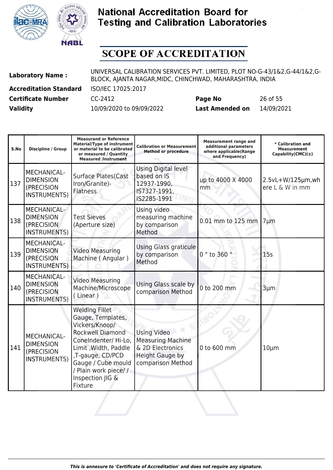



| <b>Laboratory Name:</b>       | UNIVERSAL CALIBRATION SERVICES PVT. LIMITED, PLOT NO-G-43/1&2,G-44/1&2,G-<br>BLOCK, AJANTA NAGAR, MIDC, CHINCHWAD, MAHARASHTRA, INDIA |                        |            |  |
|-------------------------------|---------------------------------------------------------------------------------------------------------------------------------------|------------------------|------------|--|
| <b>Accreditation Standard</b> | ISO/IEC 17025:2017                                                                                                                    |                        |            |  |
| <b>Certificate Number</b>     | CC-2412                                                                                                                               | Page No                | 26 of 55   |  |
| <b>Validity</b>               | 10/09/2020 to 09/09/2022                                                                                                              | <b>Last Amended on</b> | 14/09/2021 |  |

| S.No | <b>Discipline / Group</b>                                                   | <b>Measurand or Reference</b><br><b>Material/Type of instrument</b><br>or material to be calibrated<br>or measured / Quantity<br><b>Measured /Instrument</b>                                                                            | <b>Calibration or Measurement</b><br><b>Method or procedure</b>                                                   | <b>Measurement range and</b><br>additional parameters<br>where applicable(Range<br>and Frequency) | * Calibration and<br><b>Measurement</b><br>Capability(CMC) $(\pm)$ |
|------|-----------------------------------------------------------------------------|-----------------------------------------------------------------------------------------------------------------------------------------------------------------------------------------------------------------------------------------|-------------------------------------------------------------------------------------------------------------------|---------------------------------------------------------------------------------------------------|--------------------------------------------------------------------|
| 137  | <b>MECHANICAL-</b><br><b>DIMENSION</b><br>(PRECISION<br><b>INSTRUMENTS)</b> | <b>Surface Plates(Cast</b><br>Iron/Granite)-<br><b>Flatness</b>                                                                                                                                                                         | Using Digital level<br>based on IS<br>12937-1990,<br>IS7327-1991,<br>IS2285-1991                                  | up to 4000 X 4000<br>mm                                                                           | $2.5vL+W/125\mu m, wh$<br>ere L & W in mm                          |
| 138  | MECHANICAL-<br><b>DIMENSION</b><br>(PRECISION<br><b>INSTRUMENTS)</b>        | <b>Test Sieves</b><br>(Aperture size)                                                                                                                                                                                                   | Using video<br>measuring machine<br>by comparison<br>Method                                                       | 0.01 mm to 125 mm                                                                                 | $7 \mu m$                                                          |
| 139  | <b>MECHANICAL-</b><br><b>DIMENSION</b><br>(PRECISION<br><b>INSTRUMENTS)</b> | <b>Video Measuring</b><br>Machine (Angular)                                                                                                                                                                                             | Using Glass graticule<br>by comparison<br>Method                                                                  | $0°$ to 360                                                                                       | 15s                                                                |
| 140  | <b>MECHANICAL-</b><br><b>DIMENSION</b><br>(PRECISION<br><b>INSTRUMENTS)</b> | <b>Video Measuring</b><br>Machine/Microscope<br>(Linear)                                                                                                                                                                                | Using Glass scale by<br>comparison Method                                                                         | 0 to 200 mm                                                                                       | 3µm                                                                |
| 141  | MECHANICAL-<br><b>DIMENSION</b><br>(PRECISION<br><b>INSTRUMENTS)</b>        | <b>Welding Fillet</b><br>Gauge, Templates,<br>Vickers/Knoop/<br><b>Rockwell Diamond</b><br>ConeIndenter/Hi-Lo,<br>Limit, Width, Paddle<br>,T-gauge, CD/PCD<br>Gauge / Cube mould<br>/ Plain work piece//<br>Inspection JIG &<br>Fixture | <b>Using Video</b><br><b>Measuring Machine</b><br>& 2D Electronics<br><b>Height Gauge by</b><br>comparison Method | 0 to 600 mm                                                                                       | $10 \mu m$                                                         |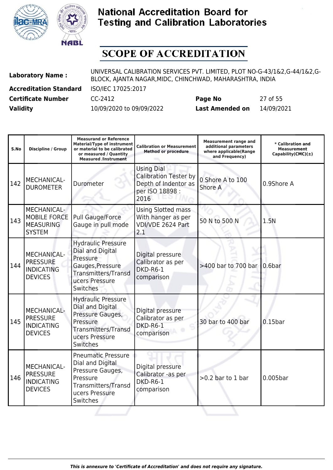



| <b>Laboratory Name:</b>       | UNIVERSAL CALIBRATION SERVICES PVT. LIMITED, PLOT NO-G-43/1&2,G-44/1&2,G-<br>BLOCK, AJANTA NAGAR, MIDC, CHINCHWAD, MAHARASHTRA, INDIA |                        |            |  |
|-------------------------------|---------------------------------------------------------------------------------------------------------------------------------------|------------------------|------------|--|
| <b>Accreditation Standard</b> | ISO/IEC 17025:2017                                                                                                                    |                        |            |  |
| <b>Certificate Number</b>     | CC-2412                                                                                                                               | Page No                | 27 of 55   |  |
| <b>Validity</b>               | 10/09/2020 to 09/09/2022                                                                                                              | <b>Last Amended on</b> | 14/09/2021 |  |

| S.No | <b>Discipline / Group</b>                                                      | <b>Measurand or Reference</b><br><b>Material/Type of instrument</b><br>or material to be calibrated<br>or measured / Quantity<br><b>Measured /Instrument</b> | <b>Calibration or Measurement</b><br><b>Method or procedure</b>                                      | <b>Measurement range and</b><br>additional parameters<br>where applicable(Range<br>and Frequency) | * Calibration and<br><b>Measurement</b><br>$Capability(CMC)(\pm)$ |
|------|--------------------------------------------------------------------------------|--------------------------------------------------------------------------------------------------------------------------------------------------------------|------------------------------------------------------------------------------------------------------|---------------------------------------------------------------------------------------------------|-------------------------------------------------------------------|
| 142  | MECHANICAL-<br><b>DUROMETER</b>                                                | Durometer                                                                                                                                                    | <b>Using Dial</b><br><b>Calibration Tester by</b><br>Depth of Indentor as<br>per ISO 18898 :<br>2016 | 0 Shore A to 100<br>Shore A                                                                       | 0.9Shore A                                                        |
| 143  | <b>MECHANICAL-</b><br><b>MOBILE FORCE</b><br><b>MEASURING</b><br><b>SYSTEM</b> | <b>Pull Gauge/Force</b><br>Gauge in pull mode                                                                                                                | <b>Using Slotted mass</b><br>With hanger as per<br>VDI/VDE 2624 Part<br>2.1                          | 50 N to 500 N                                                                                     | 1.5N                                                              |
| 144  | <b>MECHANICAL-</b><br><b>PRESSURE</b><br><b>INDICATING</b><br><b>DEVICES</b>   | <b>Hydraulic Pressure</b><br>Dial and Digital<br>Pressure<br>Gauges, Pressure<br><b>Transmitters/Transd</b><br>ucers Pressure<br>Switches                    | Digital pressure<br>Calibrator as per<br>DKD-R6-1<br>comparison                                      | >400 bar to 700 bar                                                                               | 10.6 <sub>bar</sub>                                               |
| 145  | <b>MECHANICAL-</b><br><b>PRESSURE</b><br><b>INDICATING</b><br><b>DEVICES</b>   | <b>Hydraulic Pressure</b><br>Dial and Digital<br>Pressure Gauges,<br>Pressure<br>Transmitters/Transd<br>ucers Pressure<br>Switches                           | Digital pressure<br>Calibrator as per<br>DKD-R6-1<br>comparison                                      | 30 bar to 400 bar                                                                                 | $0.15$ bar                                                        |
| 146  | <b>MECHANICAL-</b><br><b>PRESSURE</b><br><b>INDICATING</b><br><b>DEVICES</b>   | <b>Pneumatic Pressure</b><br>Dial and Digital<br>Pressure Gauges,<br>Pressure<br><b>Transmitters/Transd</b><br>ucers Pressure<br>Switches                    | Digital pressure<br>Calibrator -as per<br>DKD-R6-1<br>comparison                                     | $>0.2$ bar to 1 bar                                                                               | 0.005bar                                                          |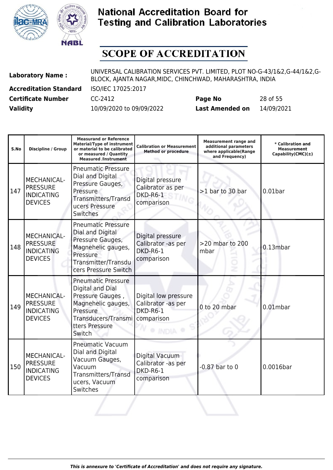



| <b>Laboratory Name:</b>       | UNIVERSAL CALIBRATION SERVICES PVT. LIMITED, PLOT NO-G-43/1&2,G-44/1&2,G-<br>BLOCK, AJANTA NAGAR, MIDC, CHINCHWAD, MAHARASHTRA, INDIA |                        |            |  |
|-------------------------------|---------------------------------------------------------------------------------------------------------------------------------------|------------------------|------------|--|
| <b>Accreditation Standard</b> | ISO/IEC 17025:2017                                                                                                                    |                        |            |  |
| <b>Certificate Number</b>     | CC-2412                                                                                                                               | Page No                | 28 of 55   |  |
| <b>Validity</b>               | 10/09/2020 to 09/09/2022                                                                                                              | <b>Last Amended on</b> | 14/09/2021 |  |

| S.No | <b>Discipline / Group</b>                                                    | <b>Measurand or Reference</b><br><b>Material/Type of instrument</b><br>or material to be calibrated<br>or measured / Quantity<br><b>Measured /Instrument</b> | <b>Calibration or Measurement</b><br><b>Method or procedure</b>      | <b>Measurement range and</b><br>additional parameters<br>where applicable(Range<br>and Frequency) | * Calibration and<br><b>Measurement</b><br>Capability(CMC) $(\pm)$ |
|------|------------------------------------------------------------------------------|--------------------------------------------------------------------------------------------------------------------------------------------------------------|----------------------------------------------------------------------|---------------------------------------------------------------------------------------------------|--------------------------------------------------------------------|
| 147  | MECHANICAL-<br><b>PRESSURE</b><br><b>INDICATING</b><br><b>DEVICES</b>        | <b>Pneumatic Pressure</b><br>Dial and Digital<br>Pressure Gauges,<br>Pressure<br>Transmitters/Transd<br>ucers Pressure<br>Switches                           | Digital pressure<br>Calibrator as per<br>DKD-R6-1<br>comparison      | >1 bar to 30 bar                                                                                  | $0.01$ bar                                                         |
| 148  | <b>MECHANICAL-</b><br><b>PRESSURE</b><br><b>INDICATING</b><br><b>DEVICES</b> | <b>Pneumatic Pressure</b><br>Dial and Digital<br>Pressure Gauges,<br>Magnehelic gauges,<br>Pressure<br>Transmitter/Transdu<br>cers Pressure Switch           | Digital pressure<br>Calibrator -as per<br>DKD-R6-1<br>comparison     | >20 mbar to 200<br>mbar                                                                           | 0.13mbar                                                           |
| 149  | <b>MECHANICAL-</b><br><b>PRESSURE</b><br><b>INDICATING</b><br><b>DEVICES</b> | <b>Pneumatic Pressure</b><br>Digital and Dial<br>Pressure Gauges,<br>Magnehelic gauges,<br>Pressure<br>Transducers/Transmi<br>tters Pressure<br>Switch       | Digital low pressure<br>Calibrator -as per<br>DKD-R6-1<br>comparison | 0 to 20 mbar                                                                                      | $0.01$ mbar                                                        |
| 150  | <b>MECHANICAL-</b><br><b>PRESSURE</b><br><b>INDICATING</b><br><b>DEVICES</b> | <b>Pneumatic Vacuum</b><br>Dial and Digital<br>Vacuum Gauges,<br>Vacuum<br>Transmitters/Transd<br>ucers, Vacuum<br>Switches                                  | Digital Vacuum<br>Calibrator -as per<br>DKD-R6-1<br>comparison       | $-0.87$ bar to $0$                                                                                | 0.0016bar                                                          |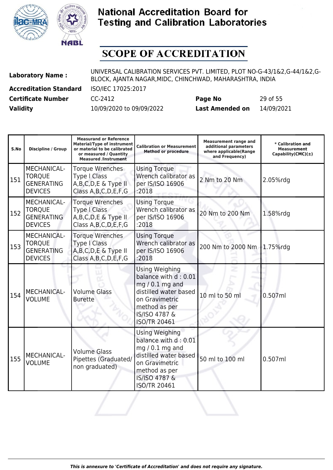



| <b>Laboratory Name:</b>       | UNIVERSAL CALIBRATION SERVICES PVT. LIMITED, PLOT NO-G-43/1&2,G-44/1&2,G-<br>BLOCK, AJANTA NAGAR, MIDC, CHINCHWAD, MAHARASHTRA, INDIA |                        |            |  |
|-------------------------------|---------------------------------------------------------------------------------------------------------------------------------------|------------------------|------------|--|
| <b>Accreditation Standard</b> | ISO/IEC 17025:2017                                                                                                                    |                        |            |  |
| <b>Certificate Number</b>     | CC-2412                                                                                                                               | Page No                | 29 of 55   |  |
| <b>Validity</b>               | 10/09/2020 to 09/09/2022                                                                                                              | <b>Last Amended on</b> | 14/09/2021 |  |

| S.No | <b>Discipline / Group</b>                                                  | <b>Measurand or Reference</b><br><b>Material/Type of instrument</b><br>or material to be calibrated<br>or measured / Quantity<br><b>Measured /Instrument</b> | <b>Calibration or Measurement</b><br><b>Method or procedure</b>                                                                                                      | <b>Measurement range and</b><br>additional parameters<br>where applicable(Range<br>and Frequency) | * Calibration and<br><b>Measurement</b><br>Capability(CMC) $(±)$ |
|------|----------------------------------------------------------------------------|--------------------------------------------------------------------------------------------------------------------------------------------------------------|----------------------------------------------------------------------------------------------------------------------------------------------------------------------|---------------------------------------------------------------------------------------------------|------------------------------------------------------------------|
| 151  | <b>MECHANICAL-</b><br><b>TORQUE</b><br><b>GENERATING</b><br><b>DEVICES</b> | Torque Wrenches<br><b>Type I Class</b><br>A, B, C, D, E & Type II<br>Class A, B, C, D, E, F, G                                                               | <b>Using Torque</b><br>Wrench calibrator as<br>per IS/ISO 16906<br>:2018                                                                                             | 2 Nm to 20 Nm                                                                                     | 2.05%rdg                                                         |
| 152  | MECHANICAL-<br><b>TORQUE</b><br><b>GENERATING</b><br><b>DEVICES</b>        | <b>Torque Wrenches</b><br><b>Type   Class</b><br>A, B, C, D, E & Type II<br>Class A, B, C, D, E, F, G                                                        | <b>Using Torque</b><br>Wrench calibrator as<br>per IS/ISO 16906<br>:2018                                                                                             | 20 Nm to 200 Nm                                                                                   | 1.58%rdg                                                         |
| 153  | MECHANICAL-<br><b>TORQUE</b><br><b>GENERATING</b><br><b>DEVICES</b>        | <b>Torque Wrenches</b><br><b>Type I Class</b><br>A, B, C, D, E & Type II<br>Class A, B, C, D, E, F, G                                                        | <b>Using Torque</b><br>Wrench calibrator as<br>per IS/ISO 16906<br>:2018                                                                                             | 200 Nm to 2000 Nm                                                                                 | 1.75%rdg                                                         |
| 154  | <b>MECHANICAL-</b><br><b>VOLUME</b>                                        | <b>Volume Glass</b><br><b>Burette</b>                                                                                                                        | <b>Using Weighing</b><br>balance with d: 0.01<br>$mg/0.1 mg$ and<br>distilled water based<br>on Gravimetric<br>method as per<br>IS/ISO 4787 &<br><b>ISO/TR 20461</b> | 10 ml to 50 ml                                                                                    | 0.507ml                                                          |
| 155  | MECHANICAL-<br><b>VOLUME</b>                                               | <b>Volume Glass</b><br>Pipettes (Graduated/<br>non graduated)                                                                                                | <b>Using Weighing</b><br>balance with d: 0.01<br>$mg/0.1 mg$ and<br>distilled water based<br>on Gravimetric<br>method as per<br>IS/ISO 4787 &<br><b>ISO/TR 20461</b> | 50 ml to 100 ml                                                                                   | 0.507ml                                                          |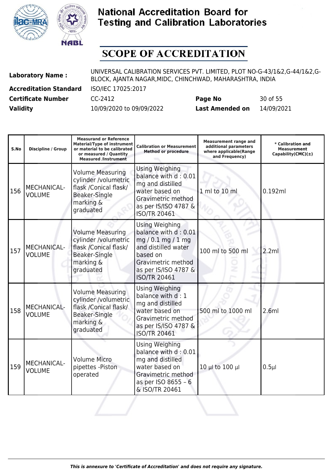



| <b>Laboratory Name:</b>       | UNIVERSAL CALIBRATION SERVICES PVT. LIMITED, PLOT NO-G-43/1&2,G-44/1&2,G-<br>BLOCK, AJANTA NAGAR, MIDC, CHINCHWAD, MAHARASHTRA, INDIA |                        |            |  |
|-------------------------------|---------------------------------------------------------------------------------------------------------------------------------------|------------------------|------------|--|
| <b>Accreditation Standard</b> | ISO/IEC 17025:2017                                                                                                                    |                        |            |  |
| <b>Certificate Number</b>     | CC-2412                                                                                                                               | Page No                | 30 of 55   |  |
| <b>Validity</b>               | 10/09/2020 to 09/09/2022                                                                                                              | <b>Last Amended on</b> | 14/09/2021 |  |

| S.No | <b>Discipline / Group</b>           | <b>Measurand or Reference</b><br><b>Material/Type of instrument</b><br>or material to be calibrated<br>or measured / Quantity<br><b>Measured /Instrument</b> | <b>Calibration or Measurement</b><br><b>Method or procedure</b>                                                                                                        | <b>Measurement range and</b><br>additional parameters<br>where applicable(Range<br>and Frequency) | * Calibration and<br><b>Measurement</b><br>$Capability(CMC)(\pm)$ |
|------|-------------------------------------|--------------------------------------------------------------------------------------------------------------------------------------------------------------|------------------------------------------------------------------------------------------------------------------------------------------------------------------------|---------------------------------------------------------------------------------------------------|-------------------------------------------------------------------|
| 156  | <b>MECHANICAL-</b><br><b>VOLUME</b> | <b>Volume Measuring</b><br>cylinder /volumetric<br>flask /Conical flask/<br>Beaker-Single<br>marking &<br>graduated                                          | Using Weighing<br>balance with d: 0.01<br>mg and distilled<br>water based on<br>Gravimetric method<br>as per IS/ISO 4787 &<br><b>ISO/TR 20461</b>                      | 1 ml to 10 ml                                                                                     | 0.192ml                                                           |
| 157  | <b>MECHANICAL-</b><br><b>VOLUME</b> | <b>Volume Measuring</b><br>cylinder /volumetric<br>flask /Conical flask/<br>Beaker-Single<br>marking &<br>graduated                                          | <b>Using Weighing</b><br>balance with d: 0.01<br>mg/0.1 mg/1mg<br>and distilled water<br>based on<br>Gravimetric method<br>as per IS/ISO 4787 &<br><b>ISO/TR 20461</b> | 100 ml to 500 ml                                                                                  | 2.2ml                                                             |
| 158  | <b>MECHANICAL-</b><br><b>VOLUME</b> | <b>Volume Measuring</b><br>cylinder /volumetric<br>flask /Conical flask/<br><b>Beaker-Single</b><br>marking &<br>graduated                                   | Using Weighing<br>balance with d: 1<br>mg and distilled<br>water based on<br>Gravimetric method<br>as per IS/ISO 4787 &<br><b>ISO/TR 20461</b>                         | 500 ml to 1000 ml                                                                                 | 2.6ml                                                             |
| 159  | MECHANICAL-<br><b>VOLUME</b>        | <b>Volume Micro</b><br>pipettes - Piston<br>operated                                                                                                         | <b>Using Weighing</b><br>balance with d: 0.01<br>mg and distilled<br>water based on<br>Gravimetric method<br>as per ISO 8655 - 6<br>& ISO/TR 20461                     | 10 µ to 100 µ                                                                                     | $0.5\mu$                                                          |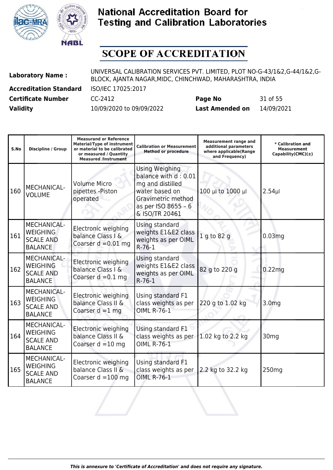



| <b>Laboratory Name:</b>       | UNIVERSAL CALIBRATION SERVICES PVT. LIMITED, PLOT NO-G-43/1&2,G-44/1&2,G-<br>BLOCK, AJANTA NAGAR, MIDC, CHINCHWAD, MAHARASHTRA, INDIA |                        |            |  |
|-------------------------------|---------------------------------------------------------------------------------------------------------------------------------------|------------------------|------------|--|
| <b>Accreditation Standard</b> | ISO/IEC 17025:2017                                                                                                                    |                        |            |  |
| <b>Certificate Number</b>     | CC-2412                                                                                                                               | Page No                | 31 of 55   |  |
| <b>Validity</b>               | 10/09/2020 to 09/09/2022                                                                                                              | <b>Last Amended on</b> | 14/09/2021 |  |

| S.No | <b>Discipline / Group</b>                                                   | <b>Measurand or Reference</b><br><b>Material/Type of instrument</b><br>or material to be calibrated<br>or measured / Quantity<br><b>Measured /Instrument</b> | Calibration or Measurement<br><b>Method or procedure</b>                                                                                    | <b>Measurement range and</b><br>additional parameters<br>where applicable(Range<br>and Frequency) | * Calibration and<br><b>Measurement</b><br>Capability(CMC)(±) |
|------|-----------------------------------------------------------------------------|--------------------------------------------------------------------------------------------------------------------------------------------------------------|---------------------------------------------------------------------------------------------------------------------------------------------|---------------------------------------------------------------------------------------------------|---------------------------------------------------------------|
| 160  | MECHANICAL-<br><b>VOLUME</b>                                                | <b>Volume Micro</b><br>pipettes - Piston<br>operated                                                                                                         | Using Weighing<br>balance with d: 0.01<br>mg and distilled<br>water based on<br>Gravimetric method<br>as per ISO 8655 - 6<br>& ISO/TR 20461 | 100 µl to 1000 µl                                                                                 | $2.54$ µl                                                     |
| 161  | MECHANICAL-<br><b>WEIGHING</b><br><b>SCALE AND</b><br><b>BALANCE</b>        | Electronic weighing<br>balance Class I &<br>Coarser $d = 0.01$ mg                                                                                            | Using standard<br>weights E1&E2 class<br>weights as per OIML<br>$R-76-1$                                                                    | 1 g to 82 g                                                                                       | 0.03 <sub>mg</sub>                                            |
| 162  | <b>MECHANICAL-</b><br><b>WEIGHING</b><br><b>SCALE AND</b><br><b>BALANCE</b> | Electronic weighing<br>balance Class I &<br>Coarser $d = 0.1$ mg                                                                                             | Using standard<br>weights E1&E2 class<br>weights as per OIML<br>$R-76-1$                                                                    | 82 g to 220 g                                                                                     | 0.22 <sub>mg</sub>                                            |
| 163  | <b>MECHANICAL-</b><br><b>WEIGHING</b><br><b>SCALE AND</b><br><b>BALANCE</b> | Electronic weighing<br>balance Class II &<br>Coarser $d = 1$ mg                                                                                              | Using standard F1<br>class weights as per<br><b>OIML R-76-1</b>                                                                             | 220 g to 1.02 kg                                                                                  | 3.0 <sub>mg</sub>                                             |
| 164  | <b>MECHANICAL-</b><br><b>WEIGHING</b><br><b>SCALE AND</b><br><b>BALANCE</b> | Electronic weighing<br>balance Class II &<br>Coarser $d = 10$ mg                                                                                             | Using standard F1<br>class weights as per<br><b>OIML R-76-1</b>                                                                             | 1.02 kg to 2.2 kg                                                                                 | 30 <sub>mg</sub>                                              |
| 165  | <b>MECHANICAL-</b><br><b>WEIGHING</b><br><b>SCALE AND</b><br><b>BALANCE</b> | Electronic weighing<br>balance Class II &<br>Coarser $d = 100$ mg                                                                                            | Using standard F1<br>class weights as per<br><b>OIML R-76-1</b>                                                                             | 2.2 kg to 32.2 kg                                                                                 | 250 <sub>mg</sub>                                             |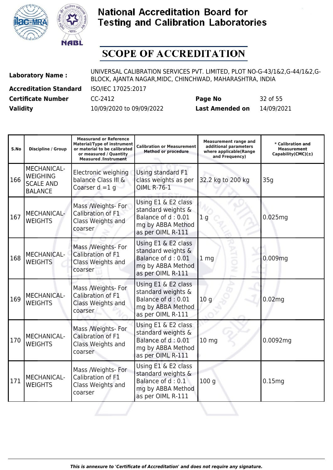



| <b>Laboratory Name:</b>       | UNIVERSAL CALIBRATION SERVICES PVT. LIMITED, PLOT NO-G-43/1&2,G-44/1&2,G-<br>BLOCK, AJANTA NAGAR, MIDC, CHINCHWAD, MAHARASHTRA, INDIA |                        |            |  |
|-------------------------------|---------------------------------------------------------------------------------------------------------------------------------------|------------------------|------------|--|
| <b>Accreditation Standard</b> | ISO/IEC 17025:2017                                                                                                                    |                        |            |  |
| <b>Certificate Number</b>     | CC-2412                                                                                                                               | Page No                | 32 of 55   |  |
| <b>Validity</b>               | 10/09/2020 to 09/09/2022                                                                                                              | <b>Last Amended on</b> | 14/09/2021 |  |

| S.No | Discipline / Group                                                          | <b>Measurand or Reference</b><br><b>Material/Type of instrument</b><br>or material to be calibrated<br>or measured / Quantity<br><b>Measured /Instrument</b> | <b>Calibration or Measurement</b><br><b>Method or procedure</b>                                           | <b>Measurement range and</b><br>additional parameters<br>where applicable(Range<br>and Frequency) | * Calibration and<br><b>Measurement</b><br>Capability(CMC) $(\pm)$ |
|------|-----------------------------------------------------------------------------|--------------------------------------------------------------------------------------------------------------------------------------------------------------|-----------------------------------------------------------------------------------------------------------|---------------------------------------------------------------------------------------------------|--------------------------------------------------------------------|
| 166  | <b>MECHANICAL-</b><br><b>WEIGHING</b><br><b>SCALE AND</b><br><b>BALANCE</b> | Electronic weighing<br>balance Class III &<br>Coarser $d = 1$ g                                                                                              | Using standard F1<br>class weights as per<br><b>OIML R-76-1</b>                                           | 32.2 kg to 200 kg                                                                                 | 35q                                                                |
| 167  | MECHANICAL-<br><b>WEIGHTS</b>                                               | Mass /Weights- For<br>Calibration of F1<br>Class Weights and<br>coarser                                                                                      | Using E1 & E2 class<br>standard weights &<br>Balance of d: 0.01<br>mg by ABBA Method<br>as per OIML R-111 | 1 <sub>q</sub>                                                                                    | 0.025mg                                                            |
| 168  | <b>MECHANICAL-</b><br>WEIGHTS                                               | Mass /Weights- For<br>Calibration of F1<br>Class Weights and<br>coarser                                                                                      | Using E1 & E2 class<br>standard weights &<br>Balance of d: 0.01<br>mg by ABBA Method<br>as per OIML R-111 | 1 <sub>mg</sub>                                                                                   | 0.009 <sub>mg</sub>                                                |
| 169  | MECHANICAL-<br><b>WEIGHTS</b>                                               | Mass /Weights- For<br>Calibration of F1<br>Class Weights and<br>coarser                                                                                      | Using E1 & E2 class<br>standard weights &<br>Balance of d: 0.01<br>mg by ABBA Method<br>as per OIML R-111 | 10 <sub>g</sub>                                                                                   | 0.02 <sub>mg</sub>                                                 |
| 170  | MECHANICAL-<br><b>WEIGHTS</b>                                               | Mass /Weights- For<br>Calibration of F1<br>Class Weights and<br>coarser                                                                                      | Using E1 & E2 class<br>standard weights &<br>Balance of d: 0.01<br>mg by ABBA Method<br>as per OIML R-111 | 10 <sub>mg</sub>                                                                                  | 0.0092mg                                                           |
| 171  | MECHANICAL-<br><b>WEIGHTS</b>                                               | Mass /Weights- For<br>Calibration of F1<br>Class Weights and<br>coarser                                                                                      | Using E1 & E2 class<br>standard weights &<br>Balance of d: 0.1<br>mg by ABBA Method<br>as per OIML R-111  | 100q                                                                                              | 0.15mg                                                             |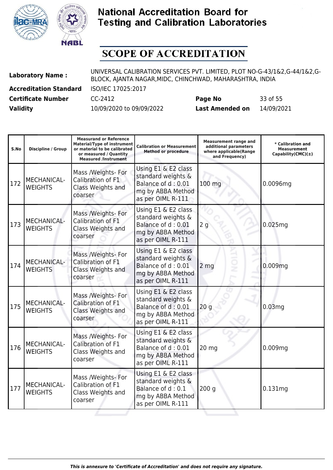



| <b>Laboratory Name:</b>       | UNIVERSAL CALIBRATION SERVICES PVT. LIMITED, PLOT NO-G-43/1&2,G-44/1&2,G-<br>BLOCK, AJANTA NAGAR, MIDC, CHINCHWAD, MAHARASHTRA, INDIA |                        |            |  |
|-------------------------------|---------------------------------------------------------------------------------------------------------------------------------------|------------------------|------------|--|
| <b>Accreditation Standard</b> | ISO/IEC 17025:2017                                                                                                                    |                        |            |  |
| <b>Certificate Number</b>     | CC-2412                                                                                                                               | Page No                | 33 of 55   |  |
| <b>Validity</b>               | 10/09/2020 to 09/09/2022                                                                                                              | <b>Last Amended on</b> | 14/09/2021 |  |

| S.No | <b>Discipline / Group</b>            | <b>Measurand or Reference</b><br><b>Material/Type of instrument</b><br>or material to be calibrated<br>or measured / Quantity<br><b>Measured /Instrument</b> | <b>Calibration or Measurement</b><br><b>Method or procedure</b>                                           | <b>Measurement range and</b><br>additional parameters<br>where applicable(Range<br>and Frequency) | * Calibration and<br><b>Measurement</b><br>Capability(CMC) $(\pm)$ |
|------|--------------------------------------|--------------------------------------------------------------------------------------------------------------------------------------------------------------|-----------------------------------------------------------------------------------------------------------|---------------------------------------------------------------------------------------------------|--------------------------------------------------------------------|
| 172  | MECHANICAL-<br><b>WEIGHTS</b>        | Mass /Weights- For<br>Calibration of F1<br>Class Weights and<br>coarser                                                                                      | Using E1 & E2 class<br>standard weights &<br>Balance of d: 0.01<br>mg by ABBA Method<br>as per OIML R-111 | 100 mg                                                                                            | 0.0096mg                                                           |
| 173  | <b>MECHANICAL-</b><br><b>WEIGHTS</b> | Mass /Weights- For<br>Calibration of F1<br>Class Weights and<br>coarser                                                                                      | Using E1 & E2 class<br>standard weights &<br>Balance of d: 0.01<br>mg by ABBA Method<br>as per OIML R-111 | 2g                                                                                                | 0.025mg                                                            |
| 174  | <b>MECHANICAL-</b><br><b>WEIGHTS</b> | Mass /Weights- For<br>Calibration of F1<br>Class Weights and<br>coarser                                                                                      | Using E1 & E2 class<br>standard weights &<br>Balance of d: 0.01<br>mg by ABBA Method<br>as per OIML R-111 | 2 <sub>mg</sub>                                                                                   | 0.009mg                                                            |
| 175  | <b>MECHANICAL-</b><br><b>WEIGHTS</b> | Mass /Weights- For<br>Calibration of F1<br>Class Weights and<br>coarser                                                                                      | Using E1 & E2 class<br>standard weights &<br>Balance of d: 0.01<br>mg by ABBA Method<br>as per OIML R-111 | 20 <sub>g</sub>                                                                                   | 0.03mg                                                             |
| 176  | MECHANICAL-<br><b>WEIGHTS</b>        | Mass /Weights- For<br>Calibration of F1<br>Class Weights and<br>coarser                                                                                      | Using E1 & E2 class<br>standard weights &<br>Balance of d: 0.01<br>mg by ABBA Method<br>as per OIML R-111 | $20$ mg                                                                                           | 0.009 <sub>mg</sub>                                                |
| 177  | MECHANICAL-<br><b>WEIGHTS</b>        | Mass /Weights- For<br>Calibration of F1<br>Class Weights and<br>coarser                                                                                      | Using E1 & E2 class<br>standard weights &<br>Balance of d: 0.1<br>mg by ABBA Method<br>as per OIML R-111  | 200q                                                                                              | 0.131mg                                                            |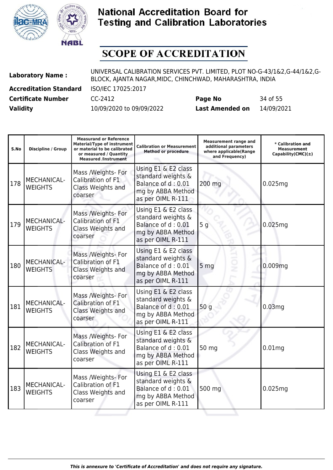



| <b>Laboratory Name:</b>       | UNIVERSAL CALIBRATION SERVICES PVT. LIMITED, PLOT NO-G-43/1&2,G-44/1&2,G-<br>BLOCK, AJANTA NAGAR, MIDC, CHINCHWAD, MAHARASHTRA, INDIA |                        |            |  |
|-------------------------------|---------------------------------------------------------------------------------------------------------------------------------------|------------------------|------------|--|
| <b>Accreditation Standard</b> | ISO/IEC 17025:2017                                                                                                                    |                        |            |  |
| <b>Certificate Number</b>     | CC-2412                                                                                                                               | Page No                | 34 of 55   |  |
| <b>Validity</b>               | 10/09/2020 to 09/09/2022                                                                                                              | <b>Last Amended on</b> | 14/09/2021 |  |

| S.No | <b>Discipline / Group</b>            | <b>Measurand or Reference</b><br><b>Material/Type of instrument</b><br>or material to be calibrated<br>or measured / Quantity<br><b>Measured /Instrument</b> | <b>Calibration or Measurement</b><br><b>Method or procedure</b>                                           | <b>Measurement range and</b><br>additional parameters<br>where applicable(Range<br>and Frequency) | * Calibration and<br><b>Measurement</b><br>Capability(CMC) $(\pm)$ |
|------|--------------------------------------|--------------------------------------------------------------------------------------------------------------------------------------------------------------|-----------------------------------------------------------------------------------------------------------|---------------------------------------------------------------------------------------------------|--------------------------------------------------------------------|
| 178  | <b>MECHANICAL-</b><br><b>WEIGHTS</b> | Mass /Weights- For<br>Calibration of F1<br>Class Weights and<br>coarser                                                                                      | Using E1 & E2 class<br>standard weights &<br>Balance of d: 0.01<br>mg by ABBA Method<br>as per OIML R-111 | 200 mg                                                                                            | 0.025mg                                                            |
| 179  | MECHANICAL-<br><b>WEIGHTS</b>        | Mass /Weights- For<br>Calibration of F1<br>Class Weights and<br>coarser                                                                                      | Using E1 & E2 class<br>standard weights &<br>Balance of d: 0.01<br>mg by ABBA Method<br>as per OIML R-111 | 5 <sub>g</sub>                                                                                    | 0.025mg                                                            |
| 180  | <b>MECHANICAL-</b><br><b>WEIGHTS</b> | Mass /Weights- For<br>Calibration of F1<br>Class Weights and<br>coarser                                                                                      | Using E1 & E2 class<br>standard weights &<br>Balance of d: 0.01<br>mg by ABBA Method<br>as per OIML R-111 | 5 <sub>mg</sub>                                                                                   | 0.009mg                                                            |
| 181  | <b>MECHANICAL-</b><br><b>WEIGHTS</b> | Mass /Weights- For<br>Calibration of F1<br>Class Weights and<br>coarser                                                                                      | Using E1 & E2 class<br>standard weights &<br>Balance of d: 0.01<br>mg by ABBA Method<br>as per OIML R-111 | 50q                                                                                               | 0.03 <sub>mg</sub>                                                 |
| 182  | MECHANICAL-<br><b>WEIGHTS</b>        | Mass /Weights- For<br>Calibration of F1<br>Class Weights and<br>coarser                                                                                      | Using E1 & E2 class<br>standard weights &<br>Balance of d: 0.01<br>mg by ABBA Method<br>as per OIML R-111 | 50 mg                                                                                             | 0.01 <sub>mg</sub>                                                 |
| 183  | <b>MECHANICAL-</b><br><b>WEIGHTS</b> | Mass /Weights- For<br>Calibration of F1<br>Class Weights and<br>coarser                                                                                      | Using E1 & E2 class<br>standard weights &<br>Balance of d: 0.01<br>mg by ABBA Method<br>as per OIML R-111 | 500 mg                                                                                            | 0.025mg                                                            |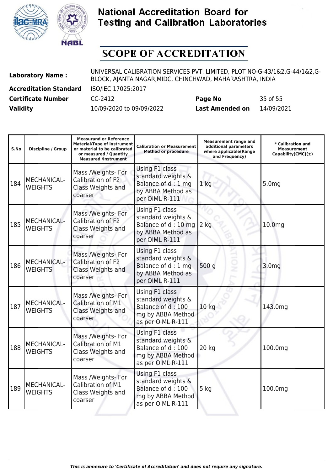



| <b>Laboratory Name:</b>       | UNIVERSAL CALIBRATION SERVICES PVT. LIMITED, PLOT NO-G-43/1&2,G-44/1&2,G-<br>BLOCK, AJANTA NAGAR, MIDC, CHINCHWAD, MAHARASHTRA, INDIA |                        |            |  |
|-------------------------------|---------------------------------------------------------------------------------------------------------------------------------------|------------------------|------------|--|
| <b>Accreditation Standard</b> | ISO/IEC 17025:2017                                                                                                                    |                        |            |  |
| <b>Certificate Number</b>     | CC-2412                                                                                                                               | Page No                | 35 of 55   |  |
| <b>Validity</b>               | 10/09/2020 to 09/09/2022                                                                                                              | <b>Last Amended on</b> | 14/09/2021 |  |

| S.No | <b>Discipline / Group</b>            | <b>Measurand or Reference</b><br><b>Material/Type of instrument</b><br>or material to be calibrated<br>or measured / Quantity<br><b>Measured /Instrument</b> | <b>Calibration or Measurement</b><br><b>Method or procedure</b>                                     | <b>Measurement range and</b><br>additional parameters<br>where applicable(Range<br>and Frequency) | * Calibration and<br><b>Measurement</b><br>Capability(CMC) $(\pm)$ |
|------|--------------------------------------|--------------------------------------------------------------------------------------------------------------------------------------------------------------|-----------------------------------------------------------------------------------------------------|---------------------------------------------------------------------------------------------------|--------------------------------------------------------------------|
| 184  | MECHANICAL-<br><b>WEIGHTS</b>        | Mass /Weights- For<br>Calibration of F2<br>Class Weights and<br>coarser                                                                                      | Using F1 class<br>standard weights &<br>Balance of d: 1 mg<br>by ABBA Method as<br>per OIML R-111   | 1 <sub>kg</sub>                                                                                   | 5.0 <sub>mg</sub>                                                  |
| 185  | MECHANICAL-<br><b>WEIGHTS</b>        | Mass /Weights- For<br>Calibration of F2<br>Class Weights and<br>coarser                                                                                      | Using F1 class<br>standard weights &<br>Balance of d: 10 mg<br>by ABBA Method as<br>per OIML R-111  | $2$ kg                                                                                            | 10.0mg                                                             |
| 186  | MECHANICAL-<br><b>WEIGHTS</b>        | Mass /Weights- For<br>Calibration of F2<br>Class Weights and<br>coarser                                                                                      | Using F1 class<br>standard weights &<br>Balance of d: 1 mg<br>by ABBA Method as<br>per OIML R-111   | 500 g                                                                                             | 3.0 <sub>mg</sub>                                                  |
| 187  | <b>MECHANICAL-</b><br><b>WEIGHTS</b> | Mass /Weights- For<br>Calibration of M1<br>Class Weights and<br>coarser                                                                                      | Using F1 class<br>standard weights &<br>Balance of d: 100<br>mg by ABBA Method<br>as per OIML R-111 | 10 kg                                                                                             | 143.0mg                                                            |
| 188  | MECHANICAL-<br><b>WEIGHTS</b>        | Mass /Weights- For<br>Calibration of M1<br>Class Weights and<br>coarser                                                                                      | Using F1 class<br>standard weights &<br>Balance of d: 100<br>mg by ABBA Method<br>as per OIML R-111 | 20 kg                                                                                             | 100.0mg                                                            |
| 189  | MECHANICAL-<br><b>WEIGHTS</b>        | Mass /Weights- For<br>Calibration of M1<br>Class Weights and<br>coarser                                                                                      | Using F1 class<br>standard weights &<br>Balance of d: 100<br>mg by ABBA Method<br>as per OIML R-111 | $5$ kg                                                                                            | 100.0mg                                                            |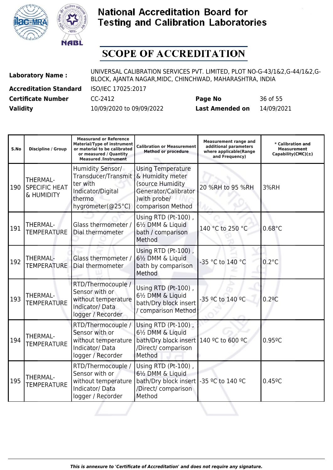



| <b>Laboratory Name:</b>       | UNIVERSAL CALIBRATION SERVICES PVT. LIMITED, PLOT NO-G-43/1&2,G-44/1&2,G-<br>BLOCK, AJANTA NAGAR, MIDC, CHINCHWAD, MAHARASHTRA, INDIA |                        |            |  |
|-------------------------------|---------------------------------------------------------------------------------------------------------------------------------------|------------------------|------------|--|
| <b>Accreditation Standard</b> | ISO/IEC 17025:2017                                                                                                                    |                        |            |  |
| <b>Certificate Number</b>     | CC-2412                                                                                                                               | Page No                | 36 of 55   |  |
| <b>Validity</b>               | 10/09/2020 to 09/09/2022                                                                                                              | <b>Last Amended on</b> | 14/09/2021 |  |

| S.No | <b>Discipline / Group</b>                      | <b>Measurand or Reference</b><br><b>Material/Type of instrument</b><br>or material to be calibrated<br>or measured / Quantity<br><b>Measured /Instrument</b> | <b>Calibration or Measurement</b><br><b>Method or procedure</b>                                                                | <b>Measurement range and</b><br>additional parameters<br>where applicable(Range<br>and Frequency) | * Calibration and<br><b>Measurement</b><br>Capability(CMC) $(\pm)$ |
|------|------------------------------------------------|--------------------------------------------------------------------------------------------------------------------------------------------------------------|--------------------------------------------------------------------------------------------------------------------------------|---------------------------------------------------------------------------------------------------|--------------------------------------------------------------------|
| 190  | THERMAL-<br><b>SPECIFIC HEAT</b><br>& HUMIDITY | Humidity Sensor/<br>Transducer/Transmit<br>ter with<br>Indicator/Digital<br>thermo<br>hygrometer(@25°C)                                                      | <b>Using Temperature</b><br>& Humidity meter<br>(source Humidity<br>Generator/Calibrator<br>) with probe/<br>comparison Method | 20 %RH to 95 %RH                                                                                  | 3%RH                                                               |
| 191  | <b>THERMAL-</b><br><b>TEMPERATURE</b>          | Glass thermometer /<br>Dial thermometer                                                                                                                      | Using RTD (Pt-100),<br>61/2 DMM & Liquid<br>bath / comparison<br>Method                                                        | 140 °C to 250 °C                                                                                  | $0.68^{\circ}$ C                                                   |
| 192  | <b>THERMAL-</b><br><b>TEMPERATURE</b>          | Glass thermometer /<br>Dial thermometer                                                                                                                      | Using RTD (Pt-100),<br>61/2 DMM & Liquid<br>bath by comparison<br>Method                                                       | -35 °C to 140 °C                                                                                  | $0.2^{\circ}$ C                                                    |
| 193  | THERMAL-<br><b>TEMPERATURE</b>                 | RTD/Thermocouple /<br>Sensor with or<br>without temperature<br>Indicator/Data<br>logger / Recorder                                                           | Using RTD (Pt-100),<br>61/2 DMM & Liquid<br>bath/Dry block insert<br>/ comparison Method                                       | -35 °C to 140 °C                                                                                  | 0.29C                                                              |
| 194  | THERMAL-<br><b>TEMPERATURE</b>                 | RTD/Thermocouple /<br>Sensor with or<br>without temperature<br>Indicator/Data<br>logger / Recorder                                                           | Using RTD (Pt-100),<br>61/2 DMM & Liquid<br>bath/Dry block insert<br>/Direct/ comparison<br>Method                             | 140 °C to 600 °C                                                                                  | 0.95°C                                                             |
| 195  | <b>THERMAL-</b><br><b>TEMPERATURE</b>          | RTD/Thermocouple /<br>Sensor with or<br>without temperature<br>Indicator/Data<br>logger / Recorder                                                           | Using RTD (Pt-100),<br>61/2 DMM & Liquid<br>bath/Dry block insert<br>/Direct/ comparison<br>Method                             | -35 °C to 140 °C                                                                                  | $0.45^{\circ}$ C                                                   |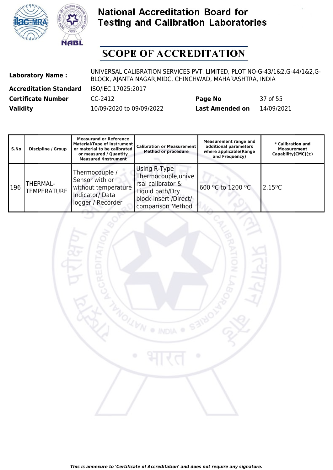



## **SCOPE OF ACCREDITATION**

| <b>Laboratory Name:</b>       | UNIVERSAL CALIBRATION SERVICES PVT. LIMITED, PLOT NO-G-43/1&2,G-44/1&2,G-<br>BLOCK, AJANTA NAGAR, MIDC, CHINCHWAD, MAHARASHTRA, INDIA |                        |            |  |
|-------------------------------|---------------------------------------------------------------------------------------------------------------------------------------|------------------------|------------|--|
| <b>Accreditation Standard</b> | ISO/IEC 17025:2017                                                                                                                    |                        |            |  |
| <b>Certificate Number</b>     | CC-2412                                                                                                                               | Page No                | 37 of 55   |  |
| <b>Validity</b>               | 10/09/2020 to 09/09/2022                                                                                                              | <b>Last Amended on</b> | 14/09/2021 |  |

| S.No | Discipline / Group             | <b>Measurand or Reference</b><br>Material/Type of instrument<br>or material to be calibrated<br>or measured / Quantity<br><b>Measured /Instrument</b> | <b>Calibration or Measurement</b><br><b>Method or procedure</b>                                                           | <b>Measurement range and</b><br>additional parameters<br>where applicable(Range<br>and Frequency) | * Calibration and<br><b>Measurement</b><br>Capability(CMC) $(\pm)$ |
|------|--------------------------------|-------------------------------------------------------------------------------------------------------------------------------------------------------|---------------------------------------------------------------------------------------------------------------------------|---------------------------------------------------------------------------------------------------|--------------------------------------------------------------------|
| 196  | THERMAL-<br><b>TEMPERATURE</b> | Thermocouple /<br>Sensor with or<br>without temperature<br>Indicator/Data<br>logger / Recorder                                                        | Using R-Type<br>Thermocouple, unive<br>rsal calibrator &<br>Liquid bath/Dry<br>block insert /Direct/<br>comparison Method | 600 °C to 1200 °C                                                                                 | $2.15^{\circ}$ C                                                   |



*This is annexure to 'Certificate of Accreditation' and does not require any signature.*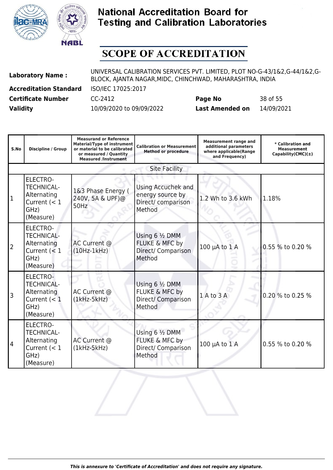



| <b>Laboratory Name:</b>       | UNIVERSAL CALIBRATION SERVICES PVT. LIMITED, PLOT NO-G-43/1&2,G-44/1&2,G-<br>BLOCK, AJANTA NAGAR, MIDC, CHINCHWAD, MAHARASHTRA, INDIA |                        |            |  |
|-------------------------------|---------------------------------------------------------------------------------------------------------------------------------------|------------------------|------------|--|
| <b>Accreditation Standard</b> | ISO/IEC 17025:2017                                                                                                                    |                        |            |  |
| <b>Certificate Number</b>     | CC-2412                                                                                                                               | Page No                | 38 of 55   |  |
| <b>Validity</b>               | 10/09/2020 to 09/09/2022                                                                                                              | <b>Last Amended on</b> | 14/09/2021 |  |

| S.No           | Discipline / Group                                                                         | <b>Measurand or Reference</b><br><b>Material/Type of instrument</b><br>or material to be calibrated<br>or measured / Quantity<br><b>Measured /Instrument</b> | <b>Calibration or Measurement</b><br><b>Method or procedure</b>        | <b>Measurement range and</b><br>additional parameters<br>where applicable(Range<br>and Frequency) | * Calibration and<br><b>Measurement</b><br>Capability(CMC) $(\pm)$ |
|----------------|--------------------------------------------------------------------------------------------|--------------------------------------------------------------------------------------------------------------------------------------------------------------|------------------------------------------------------------------------|---------------------------------------------------------------------------------------------------|--------------------------------------------------------------------|
|                |                                                                                            |                                                                                                                                                              | <b>Site Facility</b>                                                   |                                                                                                   |                                                                    |
| $\mathbf{1}$   | <b>ELECTRO-</b><br><b>TECHNICAL-</b><br>Alternating<br>Current $(< 1$<br>GHz)<br>(Measure) | 1&3 Phase Energy (<br>240V, 5A & UPF)@<br>50Hz                                                                                                               | Using Accuchek and<br>energy source by<br>Direct/ comparison<br>Method | 1.2 Wh to 3.6 kWh                                                                                 | 1.18%                                                              |
| $\overline{2}$ | <b>ELECTRO-</b><br><b>TECHNICAL-</b><br>Alternating<br>Current $(< 1$<br>GHz)<br>(Measure) | AC Current @<br>$(10Hz-1kHz)$                                                                                                                                | Using 6 1/2 DMM<br>FLUKE & MFC by<br>Direct/ Comparison<br>Method      | 100 µA to 1 A                                                                                     | 0.55 % to 0.20 %                                                   |
| 3              | ELECTRO-<br><b>TECHNICAL-</b><br>Alternating<br>Current $(< 1$<br>GHz)<br>(Measure)        | AC Current @<br>$(1kHz-5kHz)$                                                                                                                                | Using 6 1/2 DMM<br>FLUKE & MFC by<br>Direct/ Comparison<br>Method      | 1 A to 3 A                                                                                        | 0.20 % to 0.25 %                                                   |
| 4              | <b>ELECTRO-</b><br><b>TECHNICAL-</b><br>Alternating<br>Current $(< 1$<br>GHz)<br>(Measure) | AC Current @<br>$(1kHz-5kHz)$                                                                                                                                | Using 6 1/2 DMM<br>FLUKE & MFC by<br>Direct/ Comparison<br>Method      | $100 \mu A$ to $1 \text{ A}$                                                                      | 0.55 % to 0.20 %                                                   |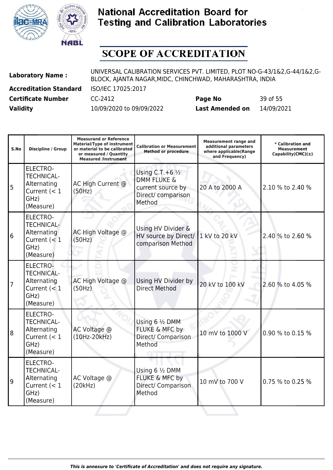



| <b>Laboratory Name:</b>       | UNIVERSAL CALIBRATION SERVICES PVT. LIMITED, PLOT NO-G-43/1&2,G-44/1&2,G-<br>BLOCK, AJANTA NAGAR, MIDC, CHINCHWAD, MAHARASHTRA, INDIA |                        |            |  |
|-------------------------------|---------------------------------------------------------------------------------------------------------------------------------------|------------------------|------------|--|
| <b>Accreditation Standard</b> | ISO/IEC 17025:2017                                                                                                                    |                        |            |  |
| <b>Certificate Number</b>     | CC-2412                                                                                                                               | Page No                | 39 of 55   |  |
| <b>Validity</b>               | 10/09/2020 to 09/09/2022                                                                                                              | <b>Last Amended on</b> | 14/09/2021 |  |

| S.No | <b>Discipline / Group</b>                                                                  | <b>Measurand or Reference</b><br><b>Material/Type of instrument</b><br>or material to be calibrated<br>or measured / Quantity<br><b>Measured /Instrument</b> | <b>Calibration or Measurement</b><br><b>Method or procedure</b>                                            | <b>Measurement range and</b><br>additional parameters<br>where applicable(Range<br>and Frequency) | * Calibration and<br><b>Measurement</b><br>Capability(CMC) $(\pm)$ |
|------|--------------------------------------------------------------------------------------------|--------------------------------------------------------------------------------------------------------------------------------------------------------------|------------------------------------------------------------------------------------------------------------|---------------------------------------------------------------------------------------------------|--------------------------------------------------------------------|
| 5    | <b>ELECTRO-</b><br><b>TECHNICAL-</b><br>Alternating<br>Current $(< 1$<br>GHz)<br>(Measure) | AC High Current @<br>(50Hz)                                                                                                                                  | Using C.T. + $6\frac{1}{2}$<br><b>DMM FLUKE &amp;</b><br>current source by<br>Direct/ comparison<br>Method | 20 A to 2000 A                                                                                    | 2.10 % to 2.40 %                                                   |
| 6    | <b>ELECTRO-</b><br><b>TECHNICAL-</b><br>Alternating<br>Current $(< 1$<br>GHz)<br>(Measure) | AC High Voltage @<br>(50Hz)                                                                                                                                  | Using HV Divider &<br>HV source by Direct/<br>comparison Method                                            | 1 kV to 20 kV                                                                                     | 2.40 % to 2.60 %                                                   |
| 7    | ELECTRO-<br><b>TECHNICAL-</b><br>Alternating<br>Current $(< 1$<br>GHz)<br>(Measure)        | AC High Voltage @<br>(50Hz)                                                                                                                                  | Using HV Divider by<br><b>Direct Method</b>                                                                | 20 kV to 100 kV                                                                                   | 2.60 % to 4.05 %                                                   |
| 8    | <b>ELECTRO-</b><br><b>TECHNICAL-</b><br>Alternating<br>Current $(< 1$<br>GHz)<br>(Measure) | AC Voltage @<br>$(10Hz-20kHz)$                                                                                                                               | Using 6 1/2 DMM<br>FLUKE & MFC by<br>Direct/ Comparison<br>Method                                          | 10 mV to 1000 V                                                                                   | 0.90 % to 0.15 %                                                   |
| و    | <b>ELECTRO-</b><br><b>TECHNICAL-</b><br>Alternating<br>Current $(< 1$<br>GHz)<br>(Measure) | AC Voltage @<br>(20kHz)                                                                                                                                      | Using 6 1/2 DMM<br><b>FLUKE &amp; MFC by</b><br>Direct/ Comparison<br>Method                               | 10 mV to 700 V                                                                                    | 0.75 % to 0.25 %                                                   |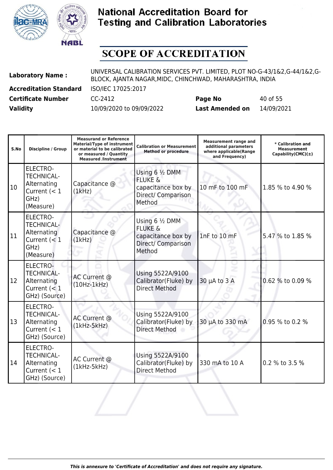



| <b>Laboratory Name:</b>       | UNIVERSAL CALIBRATION SERVICES PVT. LIMITED, PLOT NO-G-43/1&2,G-44/1&2,G-<br>BLOCK, AJANTA NAGAR, MIDC, CHINCHWAD, MAHARASHTRA, INDIA |                        |            |  |
|-------------------------------|---------------------------------------------------------------------------------------------------------------------------------------|------------------------|------------|--|
| <b>Accreditation Standard</b> | ISO/IEC 17025:2017                                                                                                                    |                        |            |  |
| <b>Certificate Number</b>     | CC-2412                                                                                                                               | Page No                | 40 of 55   |  |
| <b>Validity</b>               | 10/09/2020 to 09/09/2022                                                                                                              | <b>Last Amended on</b> | 14/09/2021 |  |

| S.No | <b>Discipline / Group</b>                                                                  | <b>Measurand or Reference</b><br><b>Material/Type of instrument</b><br>or material to be calibrated<br>or measured / Quantity<br><b>Measured /Instrument</b> | <b>Calibration or Measurement</b><br><b>Method or procedure</b>                             | <b>Measurement range and</b><br>additional parameters<br>where applicable(Range<br>and Frequency) | * Calibration and<br><b>Measurement</b><br>Capability(CMC) $(\pm)$ |
|------|--------------------------------------------------------------------------------------------|--------------------------------------------------------------------------------------------------------------------------------------------------------------|---------------------------------------------------------------------------------------------|---------------------------------------------------------------------------------------------------|--------------------------------------------------------------------|
| 10   | <b>ELECTRO-</b><br><b>TECHNICAL-</b><br>Alternating<br>Current $(< 1$<br>GHz)<br>(Measure) | Capacitance @<br>(1kHz)                                                                                                                                      | Using 6 1/2 DMM<br><b>FLUKE &amp;</b><br>capacitance box by<br>Direct/ Comparison<br>Method | 10 mF to 100 mF                                                                                   | 1.85 % to 4.90 %                                                   |
| 11   | <b>ELECTRO-</b><br><b>TECHNICAL-</b><br>Alternating<br>Current $(< 1$<br>GHz)<br>(Measure) | Capacitance @<br>(1kHz)                                                                                                                                      | Using 6 1/2 DMM<br><b>FLUKE &amp;</b><br>capacitance box by<br>Direct/ Comparison<br>Method | 1nF to 10 mF                                                                                      | 5.47 % to 1.85 %                                                   |
| 12   | <b>ELECTRO-</b><br><b>TECHNICAL-</b><br>Alternating<br>Current $(< 1$<br>GHz) (Source)     | AC Current @<br>$(10Hz-1kHz)$                                                                                                                                | Using 5522A/9100<br>Calibrator(Fluke) by<br><b>Direct Method</b>                            | $30 \mu A$ to $3 A$                                                                               | 0.62 % to 0.09 %                                                   |
| 13   | <b>ELECTRO-</b><br><b>TECHNICAL-</b><br>Alternating<br>Current $(< 1$<br>GHz) (Source)     | AC Current @<br>$(1kHz-5kHz)$                                                                                                                                | Using 5522A/9100<br>Calibrator(Fluke) by<br><b>Direct Method</b>                            | 30 µA to 330 mA                                                                                   | 0.95 % to 0.2 %                                                    |
| 14   | <b>ELECTRO-</b><br><b>TECHNICAL-</b><br>Alternating<br>Current $(< 1$<br>GHz) (Source)     | AC Current @<br>$(1kHz-5kHz)$                                                                                                                                | Using 5522A/9100<br>Calibrator(Fluke) by<br><b>Direct Method</b>                            | 330 mA to 10 A                                                                                    | 0.2 % to 3.5 %                                                     |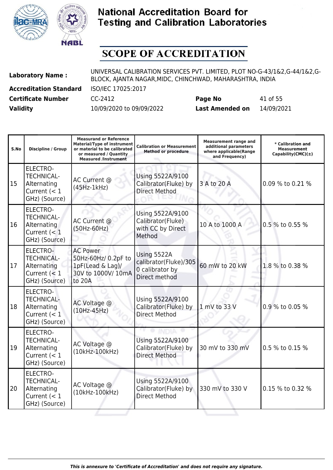



| <b>Laboratory Name:</b>       | UNIVERSAL CALIBRATION SERVICES PVT. LIMITED, PLOT NO-G-43/1&2,G-44/1&2,G-<br>BLOCK, AJANTA NAGAR, MIDC, CHINCHWAD, MAHARASHTRA, INDIA |                        |            |  |
|-------------------------------|---------------------------------------------------------------------------------------------------------------------------------------|------------------------|------------|--|
| <b>Accreditation Standard</b> | ISO/IEC 17025:2017                                                                                                                    |                        |            |  |
| <b>Certificate Number</b>     | CC-2412                                                                                                                               | Page No                | 41 of 55   |  |
| <b>Validity</b>               | 10/09/2020 to 09/09/2022                                                                                                              | <b>Last Amended on</b> | 14/09/2021 |  |

| S.No | <b>Discipline / Group</b>                                                              | <b>Measurand or Reference</b><br><b>Material/Type of instrument</b><br>or material to be calibrated<br>or measured / Quantity<br><b>Measured /Instrument</b> | <b>Calibration or Measurement</b><br><b>Method or procedure</b>          | <b>Measurement range and</b><br>additional parameters<br>where applicable(Range<br>and Frequency) | * Calibration and<br><b>Measurement</b><br>$Capability(CMC)(\pm)$ |
|------|----------------------------------------------------------------------------------------|--------------------------------------------------------------------------------------------------------------------------------------------------------------|--------------------------------------------------------------------------|---------------------------------------------------------------------------------------------------|-------------------------------------------------------------------|
| 15   | <b>ELECTRO-</b><br><b>TECHNICAL-</b><br>Alternating<br>Current $(< 1$<br>GHz) (Source) | AC Current @<br>$(45Hz-1kHz)$                                                                                                                                | Using 5522A/9100<br>Calibrator(Fluke) by<br><b>Direct Method</b>         | 3 A to 20 A                                                                                       | 0.09 % to 0.21 %                                                  |
| 16   | <b>ELECTRO-</b><br><b>TECHNICAL-</b><br>Alternating<br>Current $(< 1$<br>GHz) (Source) | AC Current @<br>$(50Hz-60Hz)$                                                                                                                                | Using 5522A/9100<br>Calibrator(Fluke)<br>with CC by Direct<br>Method     | 10 A to 1000 A                                                                                    | 0.5 % to 0.55 %                                                   |
| 17   | ELECTRO-<br><b>TECHNICAL-</b><br>Alternating<br>Current $(< 1$<br>GHz) (Source)        | <b>AC Power</b><br>50Hz-60Hz/ 0.2pF to<br>1pF(Lead & Lag)/<br>30V to 1000V/ 10mA<br>to 20A                                                                   | Using 5522A<br>calibrator(Fluke)/305<br>0 calibrator by<br>Direct method | 60 mW to 20 kW                                                                                    | 1.8 % to 0.38 %                                                   |
| 18   | <b>ELECTRO-</b><br><b>TECHNICAL-</b><br>Alternating<br>Current $(< 1$<br>GHz) (Source) | AC Voltage @<br>$(10Hz-45Hz)$                                                                                                                                | Using 5522A/9100<br>Calibrator(Fluke) by<br><b>Direct Method</b>         | 1 mV to 33 V                                                                                      | 0.9 % to 0.05 %                                                   |
| 19   | <b>ELECTRO-</b><br><b>TECHNICAL-</b><br>Alternating<br>Current $(< 1$<br>GHz) (Source) | AC Voltage @<br>(10kHz-100kHz)                                                                                                                               | Using 5522A/9100<br>Calibrator(Fluke) by<br><b>Direct Method</b>         | 30 mV to 330 mV                                                                                   | 0.5 % to 0.15 %                                                   |
| 20   | <b>ELECTRO-</b><br><b>TECHNICAL-</b><br>Alternating<br>Current $(< 1$<br>GHz) (Source) | AC Voltage @<br>(10kHz-100kHz)                                                                                                                               | Using 5522A/9100<br>Calibrator(Fluke) by<br><b>Direct Method</b>         | 330 mV to 330 V                                                                                   | 0.15 % to 0.32 %                                                  |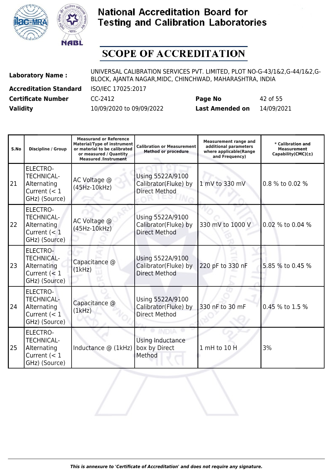



| <b>Laboratory Name:</b>       | UNIVERSAL CALIBRATION SERVICES PVT. LIMITED, PLOT NO-G-43/1&2,G-44/1&2,G-<br>BLOCK, AJANTA NAGAR, MIDC, CHINCHWAD, MAHARASHTRA, INDIA |                        |            |  |
|-------------------------------|---------------------------------------------------------------------------------------------------------------------------------------|------------------------|------------|--|
| <b>Accreditation Standard</b> | ISO/IEC 17025:2017                                                                                                                    |                        |            |  |
| <b>Certificate Number</b>     | CC-2412                                                                                                                               | Page No                | 42 of 55   |  |
| <b>Validity</b>               | 10/09/2020 to 09/09/2022                                                                                                              | <b>Last Amended on</b> | 14/09/2021 |  |

| S.No | Discipline / Group                                                                     | <b>Measurand or Reference</b><br><b>Material/Type of instrument</b><br>or material to be calibrated<br>or measured / Quantity<br><b>Measured /Instrument</b> | <b>Calibration or Measurement</b><br><b>Method or procedure</b>  | <b>Measurement range and</b><br>additional parameters<br>where applicable(Range<br>and Frequency) | * Calibration and<br><b>Measurement</b><br>Capability(CMC) $(\pm)$ |
|------|----------------------------------------------------------------------------------------|--------------------------------------------------------------------------------------------------------------------------------------------------------------|------------------------------------------------------------------|---------------------------------------------------------------------------------------------------|--------------------------------------------------------------------|
| I21  | <b>ELECTRO-</b><br><b>TECHNICAL-</b><br>Alternating<br>Current $(< 1$<br>GHz) (Source) | AC Voltage @<br>(45Hz-10kHz)                                                                                                                                 | Using 5522A/9100<br>Calibrator(Fluke) by<br><b>Direct Method</b> | 1 mV to 330 mV                                                                                    | 0.8 % to 0.02 %                                                    |
| 22   | <b>ELECTRO-</b><br><b>TECHNICAL-</b><br>Alternating<br>Current $(< 1$<br>GHz) (Source) | AC Voltage @<br>(45Hz-10kHz)                                                                                                                                 | Using 5522A/9100<br>Calibrator(Fluke) by<br><b>Direct Method</b> | 330 mV to 1000 V                                                                                  | 0.02 % to 0.04 %                                                   |
| 23   | ELECTRO-<br><b>TECHNICAL-</b><br>Alternating<br>Current $(< 1$<br>GHz) (Source)        | Capacitance @<br>(1kHz)                                                                                                                                      | Using 5522A/9100<br>Calibrator(Fluke) by<br><b>Direct Method</b> | 220 pF to 330 nF                                                                                  | 5.85 % to 0.45 %                                                   |
| 24   | <b>ELECTRO-</b><br><b>TECHNICAL-</b><br>Alternating<br>Current $(< 1$<br>GHz) (Source) | Capacitance @<br>(1kHz)                                                                                                                                      | Using 5522A/9100<br>Calibrator(Fluke) by<br><b>Direct Method</b> | 330 nF to 30 mF                                                                                   | 0.45 % to 1.5 %                                                    |
| 25   | <b>ELECTRO-</b><br><b>TECHNICAL-</b><br>Alternating<br>Current $(< 1$<br>GHz) (Source) | Inductance @ (1kHz)                                                                                                                                          | Using Inductance<br>box by Direct<br>Method                      | 1 mH to 10 H                                                                                      | 3%                                                                 |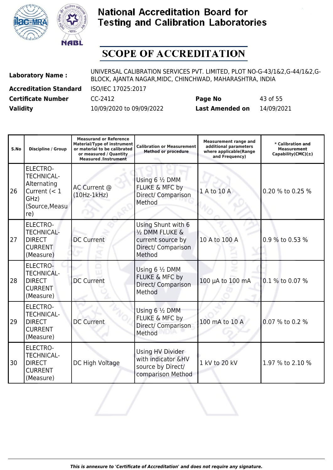



| <b>Laboratory Name:</b>       | UNIVERSAL CALIBRATION SERVICES PVT. LIMITED, PLOT NO-G-43/1&2,G-44/1&2,G-<br>BLOCK, AJANTA NAGAR, MIDC, CHINCHWAD, MAHARASHTRA, INDIA |                        |            |  |
|-------------------------------|---------------------------------------------------------------------------------------------------------------------------------------|------------------------|------------|--|
| <b>Accreditation Standard</b> | ISO/IEC 17025:2017                                                                                                                    |                        |            |  |
| <b>Certificate Number</b>     | CC-2412                                                                                                                               | Page No                | 43 of 55   |  |
| <b>Validity</b>               | 10/09/2020 to 09/09/2022                                                                                                              | <b>Last Amended on</b> | 14/09/2021 |  |

| S.No | <b>Discipline / Group</b>                                                                       | <b>Measurand or Reference</b><br><b>Material/Type of instrument</b><br>or material to be calibrated<br>or measured / Quantity<br><b>Measured /Instrument</b> | <b>Calibration or Measurement</b><br><b>Method or procedure</b>                            | <b>Measurement range and</b><br>additional parameters<br>where applicable(Range<br>and Frequency) | * Calibration and<br><b>Measurement</b><br>Capability(CMC) $(\pm)$ |
|------|-------------------------------------------------------------------------------------------------|--------------------------------------------------------------------------------------------------------------------------------------------------------------|--------------------------------------------------------------------------------------------|---------------------------------------------------------------------------------------------------|--------------------------------------------------------------------|
| 26   | ELECTRO-<br><b>TECHNICAL-</b><br>Alternating<br>Current $(< 1$<br>GHz)<br>(Source, Measu<br>re) | AC Current @<br>$(10Hz-1kHz)$                                                                                                                                | Using 6 1/2 DMM<br>FLUKE & MFC by<br>Direct/ Comparison<br>Method                          | 1 A to 10 A                                                                                       | 0.20 % to 0.25 %                                                   |
| 27   | <b>ELECTRO-</b><br><b>TECHNICAL-</b><br><b>DIRECT</b><br><b>CURRENT</b><br>(Measure)            | <b>DC Current</b>                                                                                                                                            | Using Shunt with 6<br>1/2 DMM FLUKE &<br>current source by<br>Direct/ Comparison<br>Method | 10 A to 100 A                                                                                     | 0.9 % to 0.53 %                                                    |
| 28   | <b>ELECTRO-</b><br><b>TECHNICAL-</b><br><b>DIRECT</b><br><b>CURRENT</b><br>(Measure)            | <b>DC Current</b>                                                                                                                                            | Using 6 1/2 DMM<br>FLUKE & MFC by<br>Direct/ Comparison<br>Method                          | 100 µA to 100 mA                                                                                  | 0.1 % to 0.07 %                                                    |
| 29   | <b>ELECTRO-</b><br><b>TECHNICAL-</b><br><b>DIRECT</b><br><b>CURRENT</b><br>(Measure)            | <b>DC Current</b>                                                                                                                                            | Using 6 1/2 DMM<br>FLUKE & MFC by<br>Direct/ Comparison<br>Method                          | 100 mA to 10 A                                                                                    | 0.07 % to 0.2 %                                                    |
| 30   | <b>ELECTRO-</b><br><b>TECHNICAL-</b><br><b>DIRECT</b><br><b>CURRENT</b><br>(Measure)            | DC High Voltage                                                                                                                                              | Using HV Divider<br>with indicator &HV<br>source by Direct/<br>comparison Method           | 1 kV to 20 kV                                                                                     | 1.97 % to 2.10 %                                                   |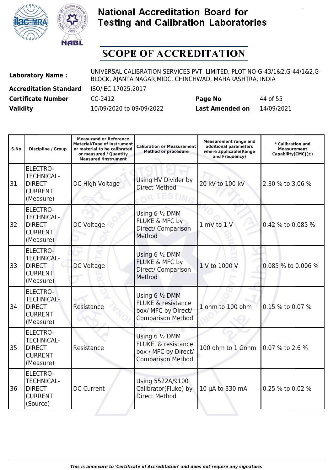



| <b>Laboratory Name:</b>       | UNIVERSAL CALIBRATION SERVICES PVT. LIMITED, PLOT NO-G-43/1&2,G-44/1&2,G-<br>BLOCK, AJANTA NAGAR, MIDC, CHINCHWAD, MAHARASHTRA, INDIA |                        |            |  |
|-------------------------------|---------------------------------------------------------------------------------------------------------------------------------------|------------------------|------------|--|
| <b>Accreditation Standard</b> | ISO/IEC 17025:2017                                                                                                                    |                        |            |  |
| <b>Certificate Number</b>     | CC-2412                                                                                                                               | Page No                | 44 of 55   |  |
| <b>Validity</b>               | 10/09/2020 to 09/09/2022                                                                                                              | <b>Last Amended on</b> | 14/09/2021 |  |

| S.No | <b>Discipline / Group</b>                                                            | <b>Measurand or Reference</b><br><b>Material/Type of instrument</b><br>or material to be calibrated<br>or measured / Quantity<br><b>Measured /Instrument</b> | <b>Calibration or Measurement</b><br><b>Method or procedure</b>                                     | <b>Measurement range and</b><br>additional parameters<br>where applicable(Range<br>and Frequency) | * Calibration and<br><b>Measurement</b><br>Capability(CMC) $(\pm)$ |
|------|--------------------------------------------------------------------------------------|--------------------------------------------------------------------------------------------------------------------------------------------------------------|-----------------------------------------------------------------------------------------------------|---------------------------------------------------------------------------------------------------|--------------------------------------------------------------------|
| 31   | <b>ELECTRO-</b><br><b>TECHNICAL-</b><br><b>DIRECT</b><br><b>CURRENT</b><br>(Measure) | DC High Voltage                                                                                                                                              | Using HV Divider by<br><b>Direct Method</b>                                                         | 20 kV to 100 kV                                                                                   | 2.30 % to 3.06 %                                                   |
| 32   | <b>ELECTRO-</b><br><b>TECHNICAL-</b><br><b>DIRECT</b><br><b>CURRENT</b><br>(Measure) | DC Voltage                                                                                                                                                   | Using 6 1/2 DMM<br>FLUKE & MFC by<br>Direct/ Comparison<br>Method                                   | 1 mV to 1 V                                                                                       | 0.42 % to 0.085 %                                                  |
| 33   | ELECTRO-<br><b>TECHNICAL-</b><br><b>DIRECT</b><br><b>CURRENT</b><br>(Measure)        | DC Voltage                                                                                                                                                   | Using 6 1/2 DMM<br>FLUKE & MFC by<br>Direct/ Comparison<br>Method                                   | 1 V to 1000 V                                                                                     | 0.085 % to 0.006 %                                                 |
| 34   | <b>ELECTRO-</b><br><b>TECHNICAL-</b><br><b>DIRECT</b><br><b>CURRENT</b><br>(Measure) | Resistance                                                                                                                                                   | Using 6 1/2 DMM<br><b>FLUKE &amp; resistance</b><br>box/ MFC by Direct/<br><b>Comparison Method</b> | 1 ohm to 100 ohm                                                                                  | 0.15 % to 0.07 %                                                   |
| 35   | <b>ELECTRO-</b><br><b>TECHNICAL-</b><br><b>DIRECT</b><br><b>CURRENT</b><br>(Measure) | Resistance                                                                                                                                                   | Using 6 1/2 DMM<br>FLUKE, & resistance<br>box / MFC by Direct/<br><b>Comparison Method</b>          | 100 ohm to 1 Gohm                                                                                 | 0.07 % to 2.6 %                                                    |
| 36   | <b>ELECTRO-</b><br><b>TECHNICAL-</b><br><b>DIRECT</b><br><b>CURRENT</b><br>(Source)  | <b>DC Current</b>                                                                                                                                            | Using 5522A/9100<br>Calibrator(Fluke) by<br><b>Direct Method</b>                                    | 10 µA to 330 mA                                                                                   | 0.25 % to 0.02 %                                                   |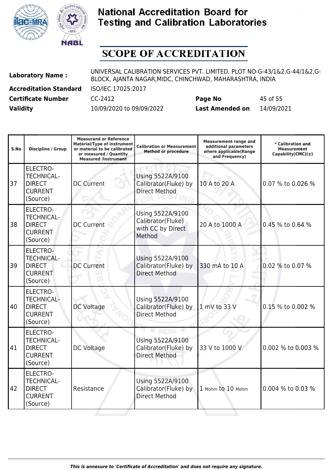



| <b>Laboratory Name:</b>       | UNIVERSAL CALIBRATION SERVICES PVT. LIMITED, PLOT NO-G-43/1&2,G-44/1&2,G-<br>BLOCK, AJANTA NAGAR, MIDC, CHINCHWAD, MAHARASHTRA, INDIA |                        |            |  |
|-------------------------------|---------------------------------------------------------------------------------------------------------------------------------------|------------------------|------------|--|
| <b>Accreditation Standard</b> | ISO/IEC 17025:2017                                                                                                                    |                        |            |  |
| <b>Certificate Number</b>     | CC-2412                                                                                                                               | Page No                | 45 of 55   |  |
| <b>Validity</b>               | 10/09/2020 to 09/09/2022                                                                                                              | <b>Last Amended on</b> | 14/09/2021 |  |

| S.No | <b>Discipline / Group</b>                                                           | <b>Measurand or Reference</b><br><b>Material/Type of instrument</b><br>or material to be calibrated<br>or measured / Quantity<br><b>Measured /Instrument</b> | <b>Calibration or Measurement</b><br><b>Method or procedure</b>      | <b>Measurement range and</b><br>additional parameters<br>where applicable(Range<br>and Frequency) | * Calibration and<br><b>Measurement</b><br>Capability(CMC) $(\pm)$ |
|------|-------------------------------------------------------------------------------------|--------------------------------------------------------------------------------------------------------------------------------------------------------------|----------------------------------------------------------------------|---------------------------------------------------------------------------------------------------|--------------------------------------------------------------------|
| 37   | <b>ELECTRO-</b><br><b>TECHNICAL-</b><br><b>DIRECT</b><br><b>CURRENT</b><br>(Source) | <b>DC Current</b>                                                                                                                                            | Using 5522A/9100<br>Calibrator(Fluke) by<br><b>Direct Method</b>     | 10 A to 20 A                                                                                      | 0.07 % to 0.026 %                                                  |
| 38   | <b>ELECTRO-</b><br><b>TECHNICAL-</b><br><b>DIRECT</b><br><b>CURRENT</b><br>(Source) | <b>DC Current</b>                                                                                                                                            | Using 5522A/9100<br>Calibrator(Fluke)<br>with CC by Direct<br>Method | 20 A to 1000 A                                                                                    | 0.45 % to 0.64 %                                                   |
| 39   | <b>ELECTRO-</b><br><b>TECHNICAL-</b><br><b>DIRECT</b><br><b>CURRENT</b><br>(Source) | <b>DC Current</b>                                                                                                                                            | Using 5522A/9100<br>Calibrator(Fluke) by<br><b>Direct Method</b>     | 330 mA to 10 A                                                                                    | 0.02 % to 0.07 %                                                   |
| 40   | <b>ELECTRO-</b><br><b>TECHNICAL-</b><br><b>DIRECT</b><br><b>CURRENT</b><br>(Source) | DC Voltage                                                                                                                                                   | Using 5522A/9100<br>Calibrator(Fluke) by<br><b>Direct Method</b>     | 1 mV to 33 V                                                                                      | 0.15 % to 0.002 %                                                  |
| 41   | <b>ELECTRO-</b><br><b>TECHNICAL-</b><br><b>DIRECT</b><br><b>CURRENT</b><br>(Source) | DC Voltage                                                                                                                                                   | Using 5522A/9100<br>Calibrator(Fluke) by<br><b>Direct Method</b>     | 33 V to 1000 V                                                                                    | 0.002 % to 0.003 %                                                 |
| 42   | <b>ELECTRO-</b><br><b>TECHNICAL-</b><br><b>DIRECT</b><br><b>CURRENT</b><br>(Source) | Resistance                                                                                                                                                   | Using 5522A/9100<br>Calibrator(Fluke) by<br><b>Direct Method</b>     | 1 Mohm to 10 Mohm                                                                                 | 0.004 % to 0.03 %                                                  |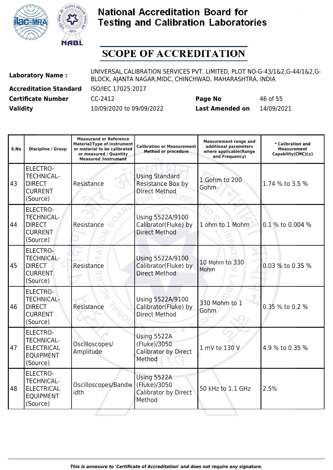



| <b>Laboratory Name:</b>       | UNIVERSAL CALIBRATION SERVICES PVT. LIMITED, PLOT NO-G-43/1&2,G-44/1&2,G-<br>BLOCK, AJANTA NAGAR, MIDC, CHINCHWAD, MAHARASHTRA, INDIA |                        |            |  |
|-------------------------------|---------------------------------------------------------------------------------------------------------------------------------------|------------------------|------------|--|
| <b>Accreditation Standard</b> | ISO/IEC 17025:2017                                                                                                                    |                        |            |  |
| <b>Certificate Number</b>     | CC-2412                                                                                                                               | Page No                | 46 of 55   |  |
| <b>Validity</b>               | 10/09/2020 to 09/09/2022                                                                                                              | <b>Last Amended on</b> | 14/09/2021 |  |

| S.No | <b>Discipline / Group</b>                                                                 | <b>Measurand or Reference</b><br><b>Material/Type of instrument</b><br>or material to be calibrated<br>or measured / Quantity<br><b>Measured /Instrument</b> | <b>Calibration or Measurement</b><br><b>Method or procedure</b>    | <b>Measurement range and</b><br>additional parameters<br>where applicable(Range<br>and Frequency) | * Calibration and<br><b>Measurement</b><br>Capability(CMC) $(\pm)$ |
|------|-------------------------------------------------------------------------------------------|--------------------------------------------------------------------------------------------------------------------------------------------------------------|--------------------------------------------------------------------|---------------------------------------------------------------------------------------------------|--------------------------------------------------------------------|
| 43   | <b>ELECTRO-</b><br><b>TECHNICAL-</b><br><b>DIRECT</b><br><b>CURRENT</b><br>(Source)       | Resistance                                                                                                                                                   | <b>Using Standard</b><br>Resistance Box by<br><b>Direct Method</b> | 1 Gohm to 200<br>Gohm                                                                             | 1.74 % to 3.5 %                                                    |
| 44   | <b>ELECTRO-</b><br><b>TECHNICAL-</b><br><b>DIRECT</b><br><b>CURRENT</b><br>(Source)       | Resistance                                                                                                                                                   | Using 5522A/9100<br>Calibrator(Fluke) by<br><b>Direct Method</b>   | 1 ohm to 1 Mohm                                                                                   | 0.1 % to 0.004 %                                                   |
| 45   | ELECTRO-<br><b>TECHNICAL-</b><br><b>DIRECT</b><br><b>CURRENT</b><br>(Source)              | Resistance                                                                                                                                                   | Using 5522A/9100<br>Calibrator(Fluke) by<br><b>Direct Method</b>   | 10 Mohm to 330<br>Mohm                                                                            | 0.03 % to 0.35 %                                                   |
| 46   | <b>ELECTRO-</b><br><b>TECHNICAL-</b><br><b>DIRECT</b><br><b>CURRENT</b><br>(Source)       | Resistance                                                                                                                                                   | Using 5522A/9100<br>Calibrator(Fluke) by<br><b>Direct Method</b>   | 330 Mohm to 1<br>Gohm                                                                             | 0.35 % to 0.2 %                                                    |
| 47   | <b>ELECTRO-</b><br><b>TECHNICAL-</b><br><b>ELECTRICAL</b><br><b>EQUIPMENT</b><br>(Source) | Oscilloscopes/<br>Amplitude                                                                                                                                  | Using 5522A<br>(Fluke)/3050<br>Calibrator by Direct<br>Method      | 1 mV to 130 V                                                                                     | 4.9 % to 0.35 %                                                    |
| 48   | <b>ELECTRO-</b><br><b>TECHNICAL-</b><br><b>ELECTRICAL</b><br><b>EQUIPMENT</b><br>(Source) | Oscilloscopes/Bandw<br>idth                                                                                                                                  | Using 5522A<br>(Fluke)/3050<br>Calibrator by Direct<br>Method      | 50 kHz to 1.1 GHz                                                                                 | 2.5%                                                               |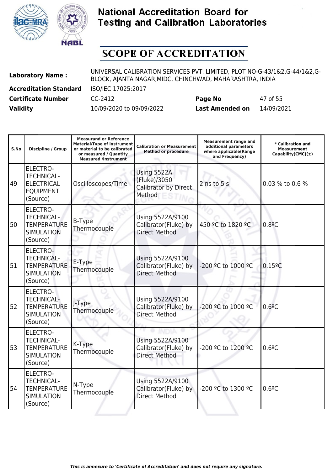



| <b>Laboratory Name:</b>       | UNIVERSAL CALIBRATION SERVICES PVT. LIMITED, PLOT NO-G-43/1&2,G-44/1&2,G-<br>BLOCK, AJANTA NAGAR, MIDC, CHINCHWAD, MAHARASHTRA, INDIA |                        |            |  |
|-------------------------------|---------------------------------------------------------------------------------------------------------------------------------------|------------------------|------------|--|
| <b>Accreditation Standard</b> | ISO/IEC 17025:2017                                                                                                                    |                        |            |  |
| <b>Certificate Number</b>     | CC-2412                                                                                                                               | Page No                | 47 of 55   |  |
| <b>Validity</b>               | 10/09/2020 to 09/09/2022                                                                                                              | <b>Last Amended on</b> | 14/09/2021 |  |

| S.No | <b>Discipline / Group</b>                                                                   | <b>Measurand or Reference</b><br><b>Material/Type of instrument</b><br>or material to be calibrated<br>or measured / Quantity<br><b>Measured /Instrument</b> | <b>Calibration or Measurement</b><br><b>Method or procedure</b>  | <b>Measurement range and</b><br>additional parameters<br>where applicable(Range<br>and Frequency) | * Calibration and<br><b>Measurement</b><br>Capability(CMC) $(\pm)$ |
|------|---------------------------------------------------------------------------------------------|--------------------------------------------------------------------------------------------------------------------------------------------------------------|------------------------------------------------------------------|---------------------------------------------------------------------------------------------------|--------------------------------------------------------------------|
| 49   | <b>ELECTRO-</b><br><b>TECHNICAL-</b><br><b>ELECTRICAL</b><br><b>EQUIPMENT</b><br>(Source)   | Oscilloscopes/Time                                                                                                                                           | Using 5522A<br>(Fluke)/3050<br>Calibrator by Direct<br>Method    | $2$ ns to $5s$                                                                                    | 0.03 % to 0.6 %                                                    |
| 50   | <b>ELECTRO-</b><br><b>TECHNICAL-</b><br><b>TEMPERATURE</b><br><b>SIMULATION</b><br>(Source) | <b>B-Type</b><br>Thermocouple                                                                                                                                | Using 5522A/9100<br>Calibrator(Fluke) by<br><b>Direct Method</b> | 450 °C to 1820 °C                                                                                 | 0.8 <sup>°</sup> C                                                 |
| 51   | ELECTRO-<br><b>TECHNICAL-</b><br><b>TEMPERATURE</b><br><b>SIMULATION</b><br>(Source)        | E-Type<br>Thermocouple                                                                                                                                       | Using 5522A/9100<br>Calibrator(Fluke) by<br><b>Direct Method</b> | -200 °C to 1000 °C                                                                                | $0.15$ <sup>o</sup> C                                              |
| 52   | <b>ELECTRO-</b><br><b>TECHNICAL-</b><br><b>TEMPERATURE</b><br><b>SIMULATION</b><br>(Source) | J-Type<br>Thermocouple                                                                                                                                       | Using 5522A/9100<br>Calibrator(Fluke) by<br><b>Direct Method</b> | -200 °C to 1000 °C                                                                                | 0.6 <sup>°</sup> C                                                 |
| 53   | <b>ELECTRO-</b><br><b>TECHNICAL-</b><br><b>TEMPERATURE</b><br><b>SIMULATION</b><br>(Source) | K-Type<br>Thermocouple                                                                                                                                       | Using 5522A/9100<br>Calibrator(Fluke) by<br><b>Direct Method</b> | -200 ºC to 1200 ºC                                                                                | 0.6 <sup>°</sup> C                                                 |
| 54   | <b>ELECTRO-</b><br><b>TECHNICAL-</b><br><b>TEMPERATURE</b><br><b>SIMULATION</b><br>(Source) | N-Type<br>Thermocouple                                                                                                                                       | Using 5522A/9100<br>Calibrator(Fluke) by<br><b>Direct Method</b> | -200 °C to 1300 °C                                                                                | 0.6 <sup>°</sup> C                                                 |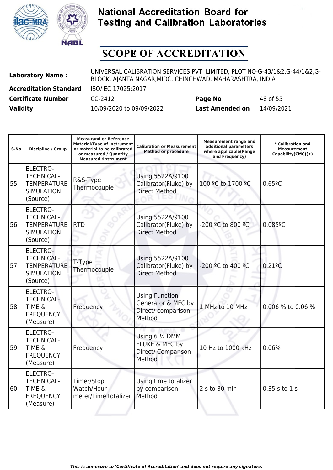



| <b>Laboratory Name:</b>       | UNIVERSAL CALIBRATION SERVICES PVT. LIMITED, PLOT NO-G-43/1&2,G-44/1&2,G-<br>BLOCK, AJANTA NAGAR, MIDC, CHINCHWAD, MAHARASHTRA, INDIA |                        |            |  |
|-------------------------------|---------------------------------------------------------------------------------------------------------------------------------------|------------------------|------------|--|
| <b>Accreditation Standard</b> | ISO/IEC 17025:2017                                                                                                                    |                        |            |  |
| <b>Certificate Number</b>     | CC-2412                                                                                                                               | Page No                | 48 of 55   |  |
| <b>Validity</b>               | 10/09/2020 to 09/09/2022                                                                                                              | <b>Last Amended on</b> | 14/09/2021 |  |

| S.No | <b>Discipline / Group</b>                                                                   | <b>Measurand or Reference</b><br><b>Material/Type of instrument</b><br>or material to be calibrated<br>or measured / Quantity<br><b>Measured /Instrument</b> | <b>Calibration or Measurement</b><br><b>Method or procedure</b>             | <b>Measurement range and</b><br>additional parameters<br>where applicable(Range<br>and Frequency) | * Calibration and<br><b>Measurement</b><br>Capability(CMC)(±) |
|------|---------------------------------------------------------------------------------------------|--------------------------------------------------------------------------------------------------------------------------------------------------------------|-----------------------------------------------------------------------------|---------------------------------------------------------------------------------------------------|---------------------------------------------------------------|
| 55   | <b>ELECTRO-</b><br><b>TECHNICAL-</b><br><b>TEMPERATURE</b><br><b>SIMULATION</b><br>(Source) | R&S-Type<br>Thermocouple                                                                                                                                     | Using 5522A/9100<br>Calibrator(Fluke) by<br><b>Direct Method</b>            | 100 °C to 1700 °C                                                                                 | 0.659C                                                        |
| 56   | <b>ELECTRO-</b><br><b>TECHNICAL-</b><br><b>TEMPERATURE</b><br><b>SIMULATION</b><br>(Source) | <b>RTD</b>                                                                                                                                                   | Using 5522A/9100<br>Calibrator(Fluke) by<br><b>Direct Method</b>            | -200 ºC to 800 ºC                                                                                 | $0.085$ <sup>o</sup> C                                        |
| 57   | <b>ELECTRO-</b><br><b>TECHNICAL-</b><br><b>TEMPERATURE</b><br><b>SIMULATION</b><br>(Source) | T-Type<br>Thermocouple                                                                                                                                       | Using 5522A/9100<br>Calibrator(Fluke) by<br><b>Direct Method</b>            | -200 °C to 400 °C                                                                                 | $0.21$ <sup>o</sup> C                                         |
| 58   | <b>ELECTRO-</b><br><b>TECHNICAL-</b><br><b>TIME &amp;</b><br><b>FREQUENCY</b><br>(Measure)  | Frequency                                                                                                                                                    | <b>Using Function</b><br>Generator & MFC by<br>Direct/ comparison<br>Method | 1 MHz to 10 MHz                                                                                   | 0.006 % to 0.06 %                                             |
| 59   | <b>ELECTRO-</b><br><b>TECHNICAL-</b><br><b>TIME &amp;</b><br><b>FREQUENCY</b><br>(Measure)  | Frequency                                                                                                                                                    | Using 6 1/2 DMM<br>FLUKE & MFC by<br>Direct/ Comparison<br>Method           | 10 Hz to 1000 kHz                                                                                 | 0.06%                                                         |
| 60   | <b>ELECTRO-</b><br><b>TECHNICAL-</b><br><b>TIME &amp;</b><br><b>FREQUENCY</b><br>(Measure)  | Timer/Stop<br>Watch/Hour<br>meter/Time totalizer                                                                                                             | Using time totalizer<br>by comparison<br>Method                             | 2 s to 30 min                                                                                     | 0.35 s to 1 s                                                 |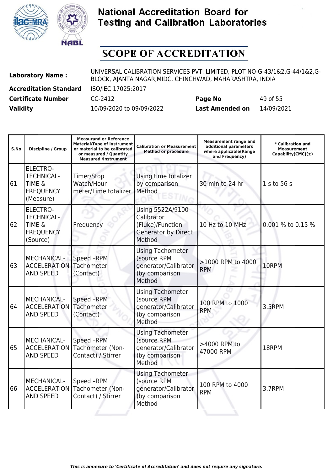



| <b>Laboratory Name:</b>       | UNIVERSAL CALIBRATION SERVICES PVT. LIMITED, PLOT NO-G-43/1&2,G-44/1&2,G-<br>BLOCK, AJANTA NAGAR, MIDC, CHINCHWAD, MAHARASHTRA, INDIA |                        |            |  |
|-------------------------------|---------------------------------------------------------------------------------------------------------------------------------------|------------------------|------------|--|
| <b>Accreditation Standard</b> | ISO/IEC 17025:2017                                                                                                                    |                        |            |  |
| <b>Certificate Number</b>     | CC-2412                                                                                                                               | Page No                | 49 of 55   |  |
| <b>Validity</b>               | 10/09/2020 to 09/09/2022                                                                                                              | <b>Last Amended on</b> | 14/09/2021 |  |

| S.No | <b>Discipline / Group</b>                                                                  | <b>Measurand or Reference</b><br>Material/Type of instrument<br>or material to be calibrated<br>or measured / Quantity<br><b>Measured /Instrument</b> | <b>Calibration or Measurement</b><br><b>Method or procedure</b>                            | <b>Measurement range and</b><br>additional parameters<br>where applicable(Range<br>and Frequency) | * Calibration and<br><b>Measurement</b><br>Capability(CMC) $(\pm)$ |
|------|--------------------------------------------------------------------------------------------|-------------------------------------------------------------------------------------------------------------------------------------------------------|--------------------------------------------------------------------------------------------|---------------------------------------------------------------------------------------------------|--------------------------------------------------------------------|
| 61   | <b>ELECTRO-</b><br><b>TECHNICAL-</b><br><b>TIME &amp;</b><br><b>FREQUENCY</b><br>(Measure) | Timer/Stop<br>Watch/Hour<br>meter/Time totalizer                                                                                                      | Using time totalizer<br>by comparison<br>Method                                            | 30 min to 24 hr                                                                                   | 1 s to 56 s                                                        |
| 62   | ELECTRO-<br><b>TECHNICAL-</b><br><b>TIME &amp;</b><br><b>FREQUENCY</b><br>(Source)         | Frequency                                                                                                                                             | Using 5522A/9100<br>Calibrator<br>(Fluke)/Function<br><b>Generator by Direct</b><br>Method | 10 Hz to 10 MHz                                                                                   | 0.001 % to 0.15 %                                                  |
| 63   | MECHANICAL-<br><b>ACCELERATION</b><br><b>AND SPEED</b>                                     | Speed -RPM<br>Tachometer<br>(Contact)                                                                                                                 | <b>Using Tachometer</b><br>(source RPM<br>generator/Calibrator<br>)by comparison<br>Method | >1000 RPM to 4000<br><b>RPM</b>                                                                   | 10RPM                                                              |
| 64   | MECHANICAL-<br><b>ACCELERATION</b><br><b>AND SPEED</b>                                     | Speed -RPM<br>Tachometer<br>(Contact)                                                                                                                 | <b>Using Tachometer</b><br>(source RPM<br>generator/Calibrator<br>)by comparison<br>Method | 100 RPM to 1000<br><b>RPM</b>                                                                     | 3.5RPM                                                             |
| 65   | MECHANICAL-<br><b>ACCELERATION</b><br><b>AND SPEED</b>                                     | Speed -RPM<br>Tachometer (Non-<br>Contact) / Stirrer                                                                                                  | <b>Using Tachometer</b><br>(source RPM<br>generator/Calibrator<br>)by comparison<br>Method | >4000 RPM to<br>47000 RPM                                                                         | 18RPM                                                              |
| 66   | MECHANICAL-<br><b>ACCELERATION</b><br><b>AND SPEED</b>                                     | Speed -RPM<br>Tachometer (Non-<br>Contact) / Stirrer                                                                                                  | <b>Using Tachometer</b><br>(source RPM<br>generator/Calibrator<br>)by comparison<br>Method | 100 RPM to 4000<br><b>RPM</b>                                                                     | 3.7RPM                                                             |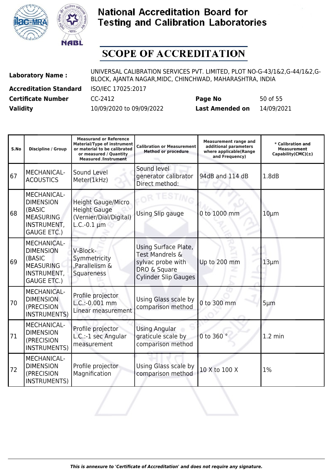



| <b>Laboratory Name:</b>       | UNIVERSAL CALIBRATION SERVICES PVT. LIMITED, PLOT NO-G-43/1&2,G-44/1&2,G-<br>BLOCK, AJANTA NAGAR, MIDC, CHINCHWAD, MAHARASHTRA, INDIA |                        |            |  |
|-------------------------------|---------------------------------------------------------------------------------------------------------------------------------------|------------------------|------------|--|
| <b>Accreditation Standard</b> | ISO/IEC 17025:2017                                                                                                                    |                        |            |  |
| <b>Certificate Number</b>     | CC-2412                                                                                                                               | Page No                | 50 of 55   |  |
| <b>Validity</b>               | 10/09/2020 to 09/09/2022                                                                                                              | <b>Last Amended on</b> | 14/09/2021 |  |

| S.No | <b>Discipline / Group</b>                                                                                 | <b>Measurand or Reference</b><br><b>Material/Type of instrument</b><br>or material to be calibrated<br>or measured / Quantity<br><b>Measured /Instrument</b> | <b>Calibration or Measurement</b><br><b>Method or procedure</b>                                             | <b>Measurement range and</b><br>additional parameters<br>where applicable(Range<br>and Frequency) | * Calibration and<br><b>Measurement</b><br>Capability(CMC) $(\pm)$ |
|------|-----------------------------------------------------------------------------------------------------------|--------------------------------------------------------------------------------------------------------------------------------------------------------------|-------------------------------------------------------------------------------------------------------------|---------------------------------------------------------------------------------------------------|--------------------------------------------------------------------|
| 67   | MECHANICAL-<br><b>ACOUSTICS</b>                                                                           | Sound Level<br>Meter(1kHz)                                                                                                                                   | Sound level<br>generator calibrator<br>Direct method:                                                       | 94dB and 114 dB                                                                                   | 1.8dB                                                              |
| 68   | MECHANICAL-<br><b>DIMENSION</b><br>(BASIC<br><b>MEASURING</b><br>INSTRUMENT,<br><b>GAUGE ETC.)</b>        | <b>Height Gauge/Micro</b><br><b>Height Gauge</b><br>(Vernier/Dial/Digital)<br>$L.C.-0.1 \mu m$                                                               | Using Slip gauge                                                                                            | 0 to 1000 mm                                                                                      | $10 \mu m$                                                         |
| 69   | <b>MECHANICAL-</b><br><b>DIMENSION</b><br>(BASIC<br><b>MEASURING</b><br>INSTRUMENT,<br><b>GAUGE ETC.)</b> | V-Block-<br>Symmetricity<br>,Parallelism &<br>Squareness                                                                                                     | Using Surface Plate,<br>Test Mandrels &<br>sylvac probe with<br>DRO & Square<br><b>Cylinder Slip Gauges</b> | Up to 200 mm                                                                                      | $13 \mu m$                                                         |
| 70   | <b>MECHANICAL-</b><br><b>DIMENSION</b><br>(PRECISION<br><b>INSTRUMENTS)</b>                               | Profile projector<br>L.C.:-0.001 mm<br>Linear measurement                                                                                                    | Using Glass scale by<br>comparison method                                                                   | 0 to 300 mm                                                                                       | $5 \mu m$                                                          |
| 71   | MECHANICAL-<br><b>DIMENSION</b><br>(PRECISION<br><b>INSTRUMENTS)</b>                                      | Profile projector<br>L.C.:-1 sec Angular<br>measurement                                                                                                      | <b>Using Angular</b><br>graticule scale by<br>comparison method                                             | 0 to 360 °                                                                                        | $1.2 \text{ min}$                                                  |
| 72   | <b>MECHANICAL-</b><br><b>DIMENSION</b><br>(PRECISION<br><b>INSTRUMENTS)</b>                               | Profile projector<br>Magnification                                                                                                                           | Using Glass scale by<br>comparison method                                                                   | 10 X to 100 X                                                                                     | 1%                                                                 |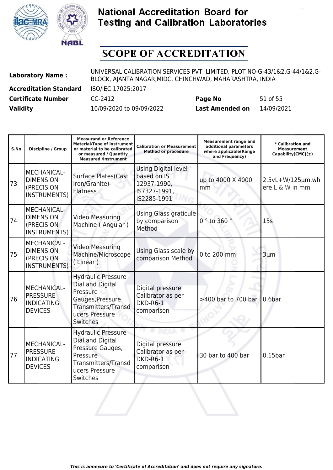



| <b>Laboratory Name:</b>       | UNIVERSAL CALIBRATION SERVICES PVT. LIMITED, PLOT NO-G-43/1&2,G-44/1&2,G-<br>BLOCK, AJANTA NAGAR, MIDC, CHINCHWAD, MAHARASHTRA, INDIA |                        |            |  |
|-------------------------------|---------------------------------------------------------------------------------------------------------------------------------------|------------------------|------------|--|
| <b>Accreditation Standard</b> | ISO/IEC 17025:2017                                                                                                                    |                        |            |  |
| <b>Certificate Number</b>     | CC-2412                                                                                                                               | Page No                | 51 of 55   |  |
| <b>Validity</b>               | 10/09/2020 to 09/09/2022                                                                                                              | <b>Last Amended on</b> | 14/09/2021 |  |

| S.No | Discipline / Group                                                           | <b>Measurand or Reference</b><br><b>Material/Type of instrument</b><br>or material to be calibrated<br>or measured / Quantity<br><b>Measured /Instrument</b> | <b>Calibration or Measurement</b><br><b>Method or procedure</b>                  | <b>Measurement range and</b><br>additional parameters<br>where applicable(Range<br>and Frequency) | * Calibration and<br><b>Measurement</b><br>Capability(CMC) $(\pm)$ |
|------|------------------------------------------------------------------------------|--------------------------------------------------------------------------------------------------------------------------------------------------------------|----------------------------------------------------------------------------------|---------------------------------------------------------------------------------------------------|--------------------------------------------------------------------|
| 73   | MECHANICAL-<br><b>DIMENSION</b><br>(PRECISION<br><b>INSTRUMENTS)</b>         | <b>Surface Plates(Cast</b><br>Iron/Granite)-<br><b>Flatness</b>                                                                                              | Using Digital level<br>based on IS<br>12937-1990,<br>IS7327-1991,<br>IS2285-1991 | up to 4000 X 4000<br>mm                                                                           | 2.5vL+W/125µm,wh<br>ere L & W in mm                                |
| 74   | <b>MECHANICAL-</b><br><b>DIMENSION</b><br>(PRECISION<br>INSTRUMENTS)         | <b>Video Measuring</b><br>Machine (Angular)                                                                                                                  | Using Glass graticule<br>by comparison<br>Method                                 | $0°$ to 360                                                                                       | 15s                                                                |
| 75   | <b>MECHANICAL-</b><br><b>DIMENSION</b><br>(PRECISION<br>INSTRUMENTS)         | <b>Video Measuring</b><br>Machine/Microscope<br>(Linear)                                                                                                     | Using Glass scale by<br>comparison Method                                        | 0 to 200 mm                                                                                       | $3 \mu m$                                                          |
| 76   | <b>MECHANICAL-</b><br><b>PRESSURE</b><br><b>INDICATING</b><br><b>DEVICES</b> | <b>Hydraulic Pressure</b><br>Dial and Digital<br>Pressure<br>Gauges, Pressure<br>Transmitters/Transd<br>ucers Pressure<br><b>Switches</b>                    | Digital pressure<br>Calibrator as per<br>DKD-R6-1<br>comparison                  | >400 bar to 700 bar                                                                               | 0.6 <sub>bar</sub>                                                 |
| 177  | <b>MECHANICAL-</b><br><b>PRESSURE</b><br><b>INDICATING</b><br><b>DEVICES</b> | <b>Hydraulic Pressure</b><br>Dial and Digital<br>Pressure Gauges,<br>Pressure<br><b>Transmitters/Transd</b><br>ucers Pressure<br>Switches                    | Digital pressure<br>Calibrator as per<br>DKD-R6-1<br>comparison                  | 30 bar to 400 bar                                                                                 | $0.15$ bar                                                         |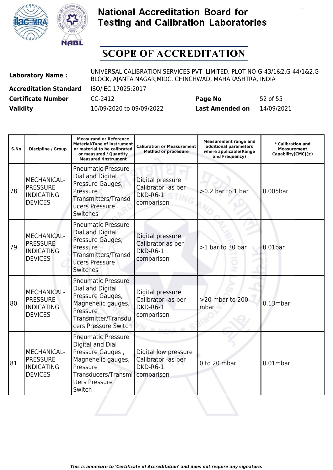



| <b>Laboratory Name:</b>       | UNIVERSAL CALIBRATION SERVICES PVT. LIMITED, PLOT NO-G-43/1&2,G-44/1&2,G-<br>BLOCK, AJANTA NAGAR, MIDC, CHINCHWAD, MAHARASHTRA, INDIA |                        |            |  |
|-------------------------------|---------------------------------------------------------------------------------------------------------------------------------------|------------------------|------------|--|
| <b>Accreditation Standard</b> | ISO/IEC 17025:2017                                                                                                                    |                        |            |  |
| <b>Certificate Number</b>     | CC-2412                                                                                                                               | Page No                | 52 of 55   |  |
| <b>Validity</b>               | 10/09/2020 to 09/09/2022                                                                                                              | <b>Last Amended on</b> | 14/09/2021 |  |

| S.No | <b>Discipline / Group</b>                                                    | <b>Measurand or Reference</b><br><b>Material/Type of instrument</b><br>or material to be calibrated<br>or measured / Quantity<br><b>Measured /Instrument</b> | <b>Calibration or Measurement</b><br><b>Method or procedure</b>      | <b>Measurement range and</b><br>additional parameters<br>where applicable(Range<br>and Frequency) | * Calibration and<br><b>Measurement</b><br>Capability(CMC) $(\pm)$ |
|------|------------------------------------------------------------------------------|--------------------------------------------------------------------------------------------------------------------------------------------------------------|----------------------------------------------------------------------|---------------------------------------------------------------------------------------------------|--------------------------------------------------------------------|
| 78   | MECHANICAL-<br><b>PRESSURE</b><br><b>INDICATING</b><br><b>DEVICES</b>        | <b>Pneumatic Pressure</b><br>Dial and Digital<br>Pressure Gauges,<br>Pressure<br>Transmitters/Transd<br>ucers Pressure<br>Switches                           | Digital pressure<br>Calibrator -as per<br>DKD-R6-1<br>comparison     | $>0.2$ bar to 1 bar                                                                               | $0.005$ bar                                                        |
| 79   | <b>MECHANICAL-</b><br><b>PRESSURE</b><br><b>INDICATING</b><br><b>DEVICES</b> | <b>Pneumatic Pressure</b><br>Dial and Digital<br>Pressure Gauges,<br>Pressure<br>Transmitters/Transd<br>ucers Pressure<br><b>Switches</b>                    | Digital pressure<br>Calibrator as per<br>DKD-R6-1<br>comparison      | >1 bar to 30 bar                                                                                  | 0.01 <sub>bar</sub>                                                |
| l80  | <b>MECHANICAL-</b><br><b>PRESSURE</b><br><b>INDICATING</b><br><b>DEVICES</b> | <b>Pneumatic Pressure</b><br>Dial and Digital<br>Pressure Gauges,<br>Magnehelic gauges,<br>Pressure<br>Transmitter/Transdu<br>cers Pressure Switch           | Digital pressure<br>Calibrator -as per<br>DKD-R6-1<br>comparison     | $>20$ mbar to 200<br>mbar                                                                         | $0.13$ mbar                                                        |
| 81   | <b>MECHANICAL-</b><br><b>PRESSURE</b><br><b>INDICATING</b><br><b>DEVICES</b> | <b>Pneumatic Pressure</b><br>Digital and Dial<br>Pressure Gauges,<br>Magnehelic gauges,<br>Pressure<br>Transducers/Transmi<br>tters Pressure<br>Switch       | Digital low pressure<br>Calibrator -as per<br>DKD-R6-1<br>comparison | 0 to 20 mbar                                                                                      | $0.01$ mbar                                                        |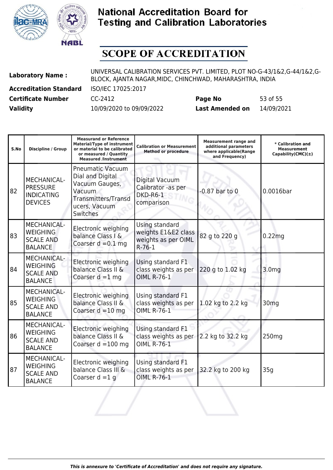



| <b>Validity</b>               | 10/09/2020 to 09/09/2022                                                                                                              | <b>Last Amended on</b> | 14/09/2021 |  |
|-------------------------------|---------------------------------------------------------------------------------------------------------------------------------------|------------------------|------------|--|
| <b>Certificate Number</b>     | CC-2412                                                                                                                               | Page No                | 53 of 55   |  |
| <b>Accreditation Standard</b> | ISO/IEC 17025:2017                                                                                                                    |                        |            |  |
| <b>Laboratory Name:</b>       | UNIVERSAL CALIBRATION SERVICES PVT. LIMITED, PLOT NO-G-43/1&2,G-44/1&2,G-<br>BLOCK, AJANTA NAGAR, MIDC, CHINCHWAD, MAHARASHTRA, INDIA |                        |            |  |

| S.No | Discipline / Group                                                          | <b>Measurand or Reference</b><br><b>Material/Type of instrument</b><br>or material to be calibrated<br>or measured / Quantity<br><b>Measured /Instrument</b> | <b>Calibration or Measurement</b><br><b>Method or procedure</b>          | <b>Measurement range and</b><br>additional parameters<br>where applicable(Range<br>and Frequency) | * Calibration and<br><b>Measurement</b><br>Capability(CMC)(±) |
|------|-----------------------------------------------------------------------------|--------------------------------------------------------------------------------------------------------------------------------------------------------------|--------------------------------------------------------------------------|---------------------------------------------------------------------------------------------------|---------------------------------------------------------------|
| 82   | MECHANICAL-<br><b>PRESSURE</b><br><b>INDICATING</b><br><b>DEVICES</b>       | <b>Pneumatic Vacuum</b><br>Dial and Digital<br>Vacuum Gauges,<br>Vacuum<br>Transmitters/Transd<br>ucers, Vacuum<br>Switches                                  | Digital Vacuum<br>Calibrator -as per<br>DKD-R6-1<br>comparison           | $-0.87$ bar to $0$                                                                                | 0.0016bar                                                     |
| 83   | <b>MECHANICAL-</b><br><b>WEIGHING</b><br><b>SCALE AND</b><br><b>BALANCE</b> | Electronic weighing<br>balance Class I &<br>Coarser $d = 0.1$ mg                                                                                             | Using standard<br>weights E1&E2 class<br>weights as per OIML<br>$R-76-1$ | 82 g to 220 g                                                                                     | 0.22mg                                                        |
| 84   | <b>MECHANICAL-</b><br><b>WEIGHING</b><br><b>SCALE AND</b><br><b>BALANCE</b> | Electronic weighing<br>balance Class II &<br>Coarser $d = 1$ mg                                                                                              | Using standard F1<br>class weights as per<br><b>OIML R-76-1</b>          | 220 g to 1.02 kg                                                                                  | 3.0 <sub>mg</sub>                                             |
| 85   | <b>MECHANICAL-</b><br><b>WEIGHING</b><br><b>SCALE AND</b><br><b>BALANCE</b> | Electronic weighing<br>balance Class II &<br>Coarser $d = 10$ mg                                                                                             | Using standard F1<br>class weights as per<br><b>OIML R-76-1</b>          | 1.02 kg to 2.2 kg                                                                                 | 30 <sub>mg</sub>                                              |
| 86   | <b>MECHANICAL-</b><br><b>WEIGHING</b><br><b>SCALE AND</b><br><b>BALANCE</b> | Electronic weighing<br>balance Class II &<br>Coarser $d = 100$ mg                                                                                            | Using standard F1<br>class weights as per<br><b>OIML R-76-1</b>          | 2.2 kg to 32.2 kg                                                                                 | 250 <sub>mg</sub>                                             |
| 87   | <b>MECHANICAL-</b><br><b>WEIGHING</b><br><b>SCALE AND</b><br><b>BALANCE</b> | Electronic weighing<br>balance Class III &<br>Coarser $d = 1$ q                                                                                              | Using standard F1<br>class weights as per<br><b>OIML R-76-1</b>          | 32.2 kg to 200 kg                                                                                 | 35q                                                           |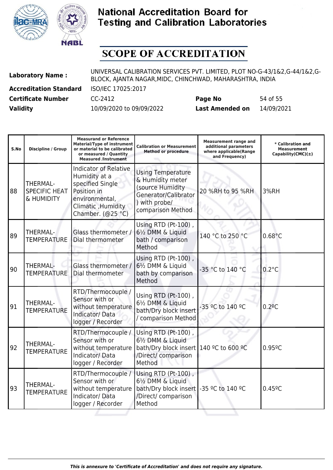



| <b>Laboratory Name:</b>       | UNIVERSAL CALIBRATION SERVICES PVT. LIMITED, PLOT NO-G-43/1&2,G-44/1&2,G-<br>BLOCK, AJANTA NAGAR, MIDC, CHINCHWAD, MAHARASHTRA, INDIA |                        |            |  |
|-------------------------------|---------------------------------------------------------------------------------------------------------------------------------------|------------------------|------------|--|
| <b>Accreditation Standard</b> | ISO/IEC 17025:2017                                                                                                                    |                        |            |  |
| <b>Certificate Number</b>     | CC-2412                                                                                                                               | Page No                | 54 of 55   |  |
| <b>Validity</b>               | 10/09/2020 to 09/09/2022                                                                                                              | <b>Last Amended on</b> | 14/09/2021 |  |

| S.No | <b>Discipline / Group</b>                             | <b>Measurand or Reference</b><br><b>Material/Type of instrument</b><br>or material to be calibrated<br>or measured / Quantity<br><b>Measured /Instrument</b> | <b>Calibration or Measurement</b><br><b>Method or procedure</b>                                                                             | <b>Measurement range and</b><br>additional parameters<br>where applicable(Range<br>and Frequency) | * Calibration and<br><b>Measurement</b><br>Capability(CMC) $(\pm)$ |
|------|-------------------------------------------------------|--------------------------------------------------------------------------------------------------------------------------------------------------------------|---------------------------------------------------------------------------------------------------------------------------------------------|---------------------------------------------------------------------------------------------------|--------------------------------------------------------------------|
| 88   | <b>THERMAL-</b><br><b>SPECIFIC HEAT</b><br>& HUMIDITY | <b>Indicator of Relative</b><br>Humidity at a<br>specified Single<br>Position in<br>environmental,<br>Climatic , Humidity<br>Chamber. (@25 °C)               | <b>Using Temperature</b><br>& Humidity meter<br>(source Humidity<br>Generator/Calibrator<br>) with probe/<br>comparison Method              | 20 %RH to 95 %RH                                                                                  | 3%RH                                                               |
| 89   | THERMAL-<br><b>TEMPERATURE</b>                        | Glass thermometer /<br>Dial thermometer                                                                                                                      | Using RTD (Pt-100),<br>61/2 DMM & Liquid<br>bath / comparison<br>Method                                                                     | 140 °C to 250 °C                                                                                  | $0.68^{\circ}$ C                                                   |
| 90   | <b>THERMAL-</b><br><b>TEMPERATURE</b>                 | Glass thermometer /<br>Dial thermometer                                                                                                                      | Using RTD (Pt-100),<br>61/2 DMM & Liquid<br>bath by comparison<br>Method                                                                    | -35 °C to 140 °C                                                                                  | $0.2^{\circ}$ C                                                    |
| 91   | <b>THERMAL-</b><br><b>TEMPERATURE</b>                 | RTD/Thermocouple /<br>Sensor with or<br>without temperature<br>Indicator/Data<br>logger / Recorder                                                           | Using RTD (Pt-100),<br>61/2 DMM & Liquid<br>bath/Dry block insert<br>/ comparison Method                                                    | -35 °C to 140 °C                                                                                  | $0.2$ <sup>o</sup> C                                               |
| 92   | THERMAL-<br><b>TEMPERATURE</b>                        | RTD/Thermocouple /<br>Sensor with or<br>Indicator/Data<br>logger / Recorder                                                                                  | Using RTD (Pt-100),<br>61/2 DMM & Liquid<br>without temperature   bath/Dry block insert   140 °C to 600 °C<br>/Direct/ comparison<br>Method |                                                                                                   | 0.959C                                                             |
| 93   | THERMAL-<br><b>TEMPERATURE</b>                        | RTD/Thermocouple /<br>Sensor with or<br>Indicator/Data<br>logger / Recorder                                                                                  | Using RTD (Pt-100),<br>61/ <sub>2</sub> DMM & Liquid<br>without temperature   bath/Dry block insert<br>/Direct/ comparison<br>Method        | -35 °C to 140 °C                                                                                  | $0.45^{\circ}$ C                                                   |